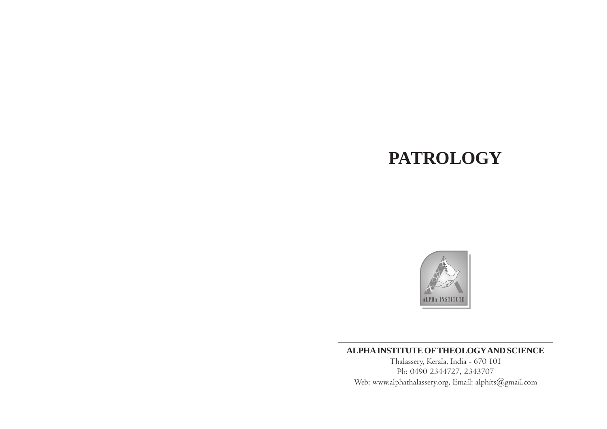# **PATROLOGY**



### **ALPHA INSTITUTE OFTHEOLOGYAND SCIENCE**

Thalassery, Kerala, India - 670 101 Ph: 0490 2344727, 2343707 Web: www.alphathalassery.org, Email: alphits@gmail.com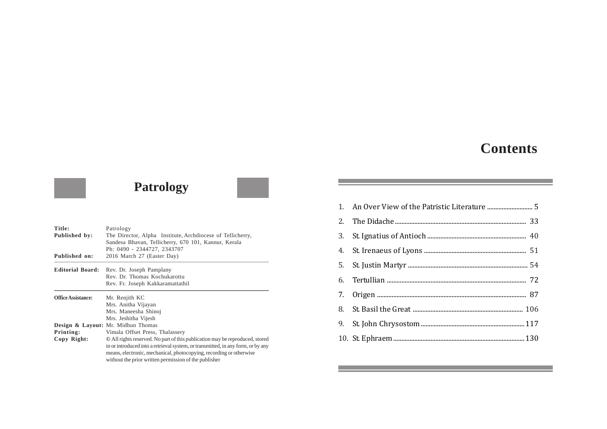# **Contents**

# **Patrology**

| Title:                    | Patrology                                                                                                                                         |
|---------------------------|---------------------------------------------------------------------------------------------------------------------------------------------------|
| Published by:             | The Director, Alpha Institute, Archdiocese of Tellicherry,<br>Sandesa Bhavan, Tellicherry, 670 101, Kannur, Kerala<br>Ph: 0490 - 2344727, 2343707 |
| Published on:             | 2016 March 27 (Easter Day)                                                                                                                        |
| <b>Editorial Board:</b>   | Rev. Dr. Joseph Pamplany                                                                                                                          |
|                           | Rev. Dr. Thomas Kochukarottu                                                                                                                      |
|                           | Rev. Fr. Joseph Kakkaramattathil                                                                                                                  |
| <b>Office Assistance:</b> | Mr. Renjith KC                                                                                                                                    |
|                           | Mrs. Anitha Vijayan                                                                                                                               |
|                           | Mrs. Maneesha Shinoj                                                                                                                              |
|                           | Mrs. Jeshitha Vijesh                                                                                                                              |
|                           | <b>Design &amp; Layout:</b> Mr. Midhun Thomas                                                                                                     |
| Printing:                 | Vimala Offset Press, Thalassery                                                                                                                   |
| Copy Right:               | © All rights reserved. No part of this publication may be reproduced, stored                                                                      |
|                           | in or introduced into a retrieval system, or transmitted, in any form, or by any                                                                  |
|                           | means, electronic, mechanical, photocopying, recording or otherwise                                                                               |
|                           | without the prior written permission of the publisher                                                                                             |

**The Committee of the Committee of the Committee** 

**Links**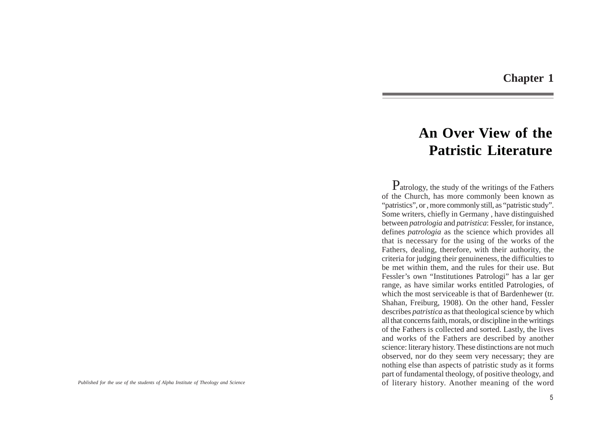# **An Over View of the Patristic Literature**

Patrology, the study of the writings of the Fathers of the Church, has more commonly been known as "patristics", or, more commonly still, as "patristic study". Some writers, chiefly in Germany , have distinguished between *patrologia* and *patristica*: Fessler, for instance, defines *patrologia* as the science which provides all that is necessary for the using of the works of the Fathers, dealing, therefore, with their authority, the criteria for judging their genuineness, the difficulties to be met within them, and the rules for their use. But Fessler's own "Institutiones Patrologi" has a lar ger range, as have similar works entitled Patrologies, of which the most serviceable is that of Bardenhewer (tr. Shahan, Freiburg, 1908). On the other hand, Fessler describes *patristica* as that theological science by which all that concerns faith, morals, or discipline in the writings of the Fathers is collected and sorted. Lastly, the lives and works of the Fathers are described by another science: literary history. These distinctions are not much observed, nor do they seem very necessary; they are nothing else than aspects of patristic study as it forms part of fundamental theology, of positive theology, and *Published for the use of the students of Alpha Institute of Theology and Science* of *istory* of literary history. Another meaning of the word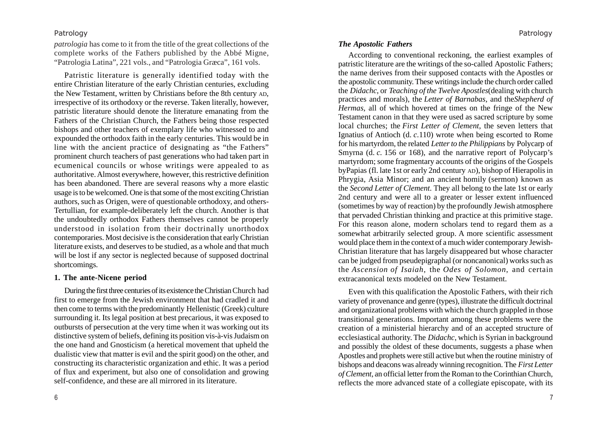*patrologia* has come to it from the title of the great collections of the complete works of the Fathers published by the Abbé Migne, "Patrologia Latina", 221 vols., and "Patrologia Græca", 161 vols.

Patristic literature is generally identified today with the entire Christian literature of the early Christian centuries, excluding the New Testament, written by Christians before the 8th century AD, irrespective of its orthodoxy or the reverse. Taken literally, however, patristic literature should denote the literature emanating from the Fathers of the Christian Church, the Fathers being those respected bishops and other teachers of exemplary life who witnessed to and expounded the orthodox faith in the early centuries. This would be in line with the ancient practice of designating as "the Fathers" prominent church teachers of past generations who had taken part in ecumenical councils or whose writings were appealed to as authoritative. Almost everywhere, however, this restrictive definition has been abandoned. There are several reasons why a more elastic usage is to be welcomed. One is that some of the most exciting Christian authors, such as Origen, were of questionable orthodoxy, and others-Tertullian, for example-deliberately left the church. Another is that the undoubtedly orthodox Fathers themselves cannot be properly understood in isolation from their doctrinally unorthodox contemporaries. Most decisive is the consideration that early Christian literature exists, and deserves to be studied, as a whole and that much will be lost if any sector is neglected because of supposed doctrinal shortcomings.

#### **1. The ante-Nicene period**

During the first three centuries of its existence the Christian Church had first to emerge from the Jewish environment that had cradled it and then come to terms with the predominantly Hellenistic (Greek) culture surrounding it. Its legal position at best precarious, it was exposed to outbursts of persecution at the very time when it was working out its distinctive system of beliefs, defining its position vis-à-vis Judaism on the one hand and Gnosticism (a heretical movement that upheld the dualistic view that matter is evil and the spirit good) on the other, and constructing its characteristic organization and ethic. It was a period of flux and experiment, but also one of consolidation and growing self-confidence, and these are all mirrored in its literature.

#### *The Apostolic Fathers*

According to conventional reckoning, the earliest examples of patristic literature are the writings of the so-called Apostolic Fathers; the name derives from their supposed contacts with the Apostles or the apostolic community. These writings include the church order called the *Didachc*, or *Teaching of the Twelve Apostles*(dealing with church practices and morals), the *Letter of Barnabas*, and the*Shepherd of Hermas*, all of which hovered at times on the fringe of the New Testament canon in that they were used as sacred scripture by some local churches; the *First Letter of Clement*, the seven letters that Ignatius of Antioch (d. *c.*110) wrote when being escorted to Rome for his martyrdom, the related *Letter to the Philippians* by Polycarp of Smyrna (d. *c.* 156 or 168), and the narrative report of Polycarp's martyrdom; some fragmentary accounts of the origins of the Gospels byPapias (fl. late 1st or early 2nd century AD), bishop of Hierapolis in Phrygia, Asia Minor; and an ancient homily (sermon) known as the *Second Letter of Clement*. They all belong to the late 1st or early 2nd century and were all to a greater or lesser extent influenced (sometimes by way of reaction) by the profoundly Jewish atmosphere that pervaded Christian thinking and practice at this primitive stage. For this reason alone, modern scholars tend to regard them as a somewhat arbitrarily selected group. A more scientific assessment would place them in the context of a much wider contemporary Jewish-Christian literature that has largely disappeared but whose character can be judged from pseudepigraphal (or noncanonical) works such as the *Ascension of Isaiah*, the *Odes of Solomon*, and certain extracanonical texts modeled on the New Testament.

Even with this qualification the Apostolic Fathers, with their rich variety of provenance and genre (types), illustrate the difficult doctrinal and organizational problems with which the church grappled in those transitional generations. Important among these problems were the creation of a ministerial hierarchy and of an accepted structure of ecclesiastical authority. The *Didachc*, which is Syrian in background and possibly the oldest of these documents, suggests a phase when Apostles and prophets were still active but when the routine ministry of bishops and deacons was already winning recognition. The *First Letter of Clement*, an official letter from the Roman to the Corinthian Church, reflects the more advanced state of a collegiate episcopate, with its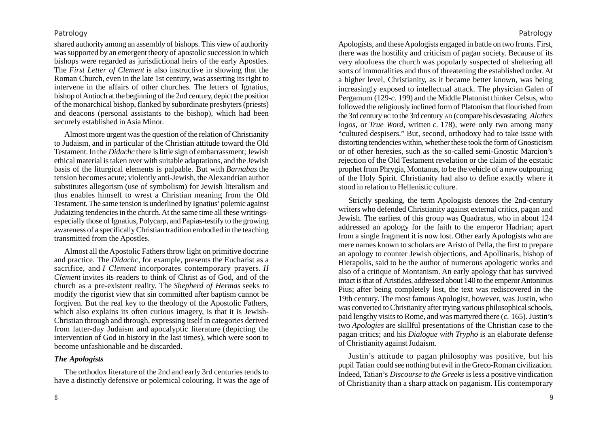shared authority among an assembly of bishops. This view of authority was supported by an emergent theory of apostolic succession in which bishops were regarded as jurisdictional heirs of the early Apostles. The *First Letter of Clement* is also instructive in showing that the Roman Church, even in the late 1st century, was asserting its right to intervene in the affairs of other churches. The letters of Ignatius, bishop of Antioch at the beginning of the 2nd century, depict the position of the monarchical bishop, flanked by subordinate presbyters (priests) and deacons (personal assistants to the bishop), which had been securely established in Asia Minor.

Almost more urgent was the question of the relation of Christianity to Judaism, and in particular of the Christian attitude toward the Old Testament. In the *Didachc* there is little sign of embarrassment; Jewish ethical material is taken over with suitable adaptations, and the Jewish basis of the liturgical elements is palpable. But with *Barnabas* the tension becomes acute; violently anti-Jewish, the Alexandrian author substitutes allegorism (use of symbolism) for Jewish literalism and thus enables himself to wrest a Christian meaning from the Old Testament. The same tension is underlined by Ignatius' polemic against Judaizing tendencies in the church. At the same time all these writingsespecially those of Ignatius, Polycarp, and Papias-testify to the growing awareness of a specifically Christian tradition embodied in the teaching transmitted from the Apostles.

Almost all the Apostolic Fathers throw light on primitive doctrine and practice. The *Didachc*, for example, presents the Eucharist as a sacrifice, and *I Clement* incorporates contemporary prayers. *II Clement* invites its readers to think of Christ as of God, and of the church as a pre-existent reality. The *Shepherd of Hermas* seeks to modify the rigorist view that sin committed after baptism cannot be forgiven. But the real key to the theology of the Apostolic Fathers, which also explains its often curious imagery, is that it is Jewish-Christian through and through, expressing itself in categories derived from latter-day Judaism and apocalyptic literature (depicting the intervention of God in history in the last times), which were soon to become unfashionable and be discarded.

#### *The Apologists*

The orthodox literature of the 2nd and early 3rd centuries tends to have a distinctly defensive or polemical colouring. It was the age of Apologists, and these Apologists engaged in battle on two fronts. First, there was the hostility and criticism of pagan society. Because of its very aloofness the church was popularly suspected of sheltering all sorts of immoralities and thus of threatening the established order. At a higher level, Christianity, as it became better known, was being increasingly exposed to intellectual attack. The physician Galen of Pergamum (129-*c.* 199) and the Middle Platonist thinker Celsus, who followed the religiously inclined form of Platonism that flourished from the 3rd century BC to the 3rd century AD (compare his devastating *Alcthcs logos*, or *True Word*, written *c.* 178), were only two among many "cultured despisers." But, second, orthodoxy had to take issue with distorting tendencies within, whether these took the form of Gnosticism or of other heresies, such as the so-called semi-Gnostic Marcion's rejection of the Old Testament revelation or the claim of the ecstatic prophet from Phrygia, Montanus, to be the vehicle of a new outpouring of the Holy Spirit. Christianity had also to define exactly where it stood in relation to Hellenistic culture.

Strictly speaking, the term Apologists denotes the 2nd-century writers who defended Christianity against external critics, pagan and Jewish. The earliest of this group was Quadratus, who in about 124 addressed an apology for the faith to the emperor Hadrian; apart from a single fragment it is now lost. Other early Apologists who are mere names known to scholars are Aristo of Pella, the first to prepare an apology to counter Jewish objections, and Apollinaris, bishop of Hierapolis, said to be the author of numerous apologetic works and also of a critique of Montanism. An early apology that has survived intact is that of Aristides, addressed about 140 to the emperor Antoninus Pius; after being completely lost, the text was rediscovered in the 19th century. The most famous Apologist, however, was Justin, who was converted to Christianity after trying various philosophical schools, paid lengthy visits to Rome, and was martyred there (*c.* 165). Justin's two *Apologies* are skillful presentations of the Christian case to the pagan critics; and his *Dialogue with Trypho* is an elaborate defense of Christianity against Judaism.

Justin's attitude to pagan philosophy was positive, but his pupil Tatian could see nothing but evil in the Greco-Roman civilization. Indeed, Tatian's *Discourse to the Greeks* is less a positive vindication of Christianity than a sharp attack on paganism. His contemporary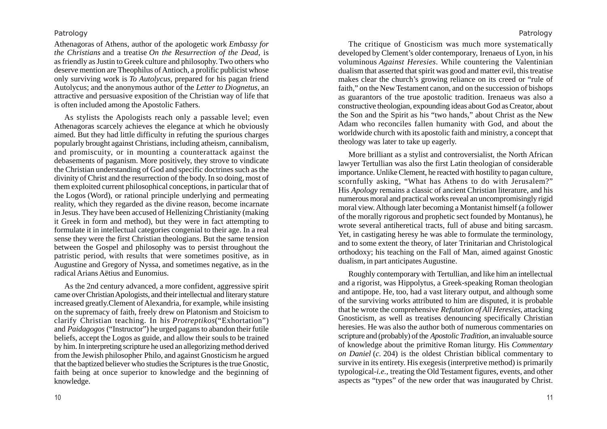Athenagoras of Athens, author of the apologetic work *Embassy for the Christians* and a treatise *On the Resurrection of the Dead*, is as friendly as Justin to Greek culture and philosophy. Two others who deserve mention are Theophilus of Antioch, a prolific publicist whose only surviving work is *To Autolycus*, prepared for his pagan friend Autolycus; and the anonymous author of the *Letter to Diognetus*, an attractive and persuasive exposition of the Christian way of life that is often included among the Apostolic Fathers.

As stylists the Apologists reach only a passable level; even Athenagoras scarcely achieves the elegance at which he obviously aimed. But they had little difficulty in refuting the spurious charges popularly brought against Christians, including atheism, cannibalism, and promiscuity, or in mounting a counterattack against the debasements of paganism. More positively, they strove to vindicate the Christian understanding of God and specific doctrines such as the divinity of Christ and the resurrection of the body. In so doing, most of them exploited current philosophical conceptions, in particular that of the Logos (Word), or rational principle underlying and permeating reality, which they regarded as the divine reason, become incarnate in Jesus. They have been accused of Hellenizing Christianity (making it Greek in form and method), but they were in fact attempting to formulate it in intellectual categories congenial to their age. In a real sense they were the first Christian theologians. But the same tension between the Gospel and philosophy was to persist throughout the patristic period, with results that were sometimes positive, as in Augustine and Gregory of Nyssa, and sometimes negative, as in the radical Arians Aëtius and Eunomius.

As the 2nd century advanced, a more confident, aggressive spirit came over Christian Apologists, and their intellectual and literary stature increased greatly.Clement of Alexandria, for example, while insisting on the supremacy of faith, freely drew on Platonism and Stoicism to clarify Christian teaching. In his *Protreptikos*("Exhortation") and *Paidagogos* ("Instructor") he urged pagans to abandon their futile beliefs, accept the Logos as guide, and allow their souls to be trained by him. In interpreting scripture he used an allegorizing method derived from the Jewish philosopher Philo, and against Gnosticism he argued that the baptized believer who studies the Scriptures is the true Gnostic, faith being at once superior to knowledge and the beginning of knowledge.

The critique of Gnosticism was much more systematically developed by Clement's older contemporary, Irenaeus of Lyon, in his voluminous *Against Heresies*. While countering the Valentinian dualism that asserted that spirit was good and matter evil, this treatise makes clear the church's growing reliance on its creed or "rule of faith," on the New Testament canon, and on the succession of bishops as guarantors of the true apostolic tradition. Irenaeus was also a constructive theologian, expounding ideas about God as Creator, about the Son and the Spirit as his "two hands," about Christ as the New Adam who reconciles fallen humanity with God, and about the worldwide church with its apostolic faith and ministry, a concept that theology was later to take up eagerly.

More brilliant as a stylist and controversialist, the North African lawyer Tertullian was also the first Latin theologian of considerable importance. Unlike Clement, he reacted with hostility to pagan culture, scornfully asking, "What has Athens to do with Jerusalem?" His *Apology* remains a classic of ancient Christian literature, and his numerous moral and practical works reveal an uncompromisingly rigid moral view. Although later becoming a Montanist himself (a follower of the morally rigorous and prophetic sect founded by Montanus), he wrote several antiheretical tracts, full of abuse and biting sarcasm. Yet, in castigating heresy he was able to formulate the terminology, and to some extent the theory, of later Trinitarian and Christological orthodoxy; his teaching on the Fall of Man, aimed against Gnostic dualism, in part anticipates Augustine.

Roughly contemporary with Tertullian, and like him an intellectual and a rigorist, was Hippolytus, a Greek-speaking Roman theologian and antipope. He, too, had a vast literary output, and although some of the surviving works attributed to him are disputed, it is probable that he wrote the comprehensive *Refutation of All Heresies*, attacking Gnosticism, as well as treatises denouncing specifically Christian heresies. He was also the author both of numerous commentaries on scripture and (probably) of the *Apostolic Tradition*, an invaluable source of knowledge about the primitive Roman liturgy. His *Commentary on Daniel* (*c.* 204) is the oldest Christian biblical commentary to survive in its entirety. His exegesis (interpretive method) is primarily typological-*i.e.,* treating the Old Testament figures, events, and other aspects as "types" of the new order that was inaugurated by Christ.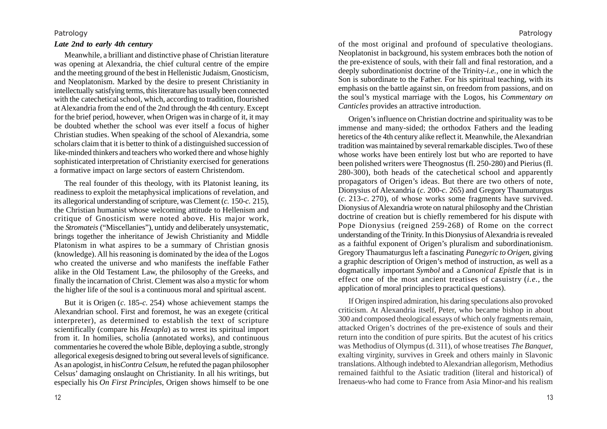#### *Late 2nd to early 4th century*

Meanwhile, a brilliant and distinctive phase of Christian literature was opening at Alexandria, the chief cultural centre of the empire and the meeting ground of the best in Hellenistic Judaism, Gnosticism, and Neoplatonism. Marked by the desire to present Christianity in intellectually satisfying terms, this literature has usually been connected with the catechetical school, which, according to tradition, flourished at Alexandria from the end of the 2nd through the 4th century. Except for the brief period, however, when Origen was in charge of it, it may be doubted whether the school was ever itself a focus of higher Christian studies. When speaking of the school of Alexandria, some scholars claim that it is better to think of a distinguished succession of like-minded thinkers and teachers who worked there and whose highly sophisticated interpretation of Christianity exercised for generations a formative impact on large sectors of eastern Christendom.

The real founder of this theology, with its Platonist leaning, its readiness to exploit the metaphysical implications of revelation, and its allegorical understanding of scripture, was Clement (*c.* 150-*c.* 215), the Christian humanist whose welcoming attitude to Hellenism and critique of Gnosticism were noted above. His major work, the *Stromateis* ("Miscellanies"), untidy and deliberately unsystematic, brings together the inheritance of Jewish Christianity and Middle Platonism in what aspires to be a summary of Christian gnosis (knowledge). All his reasoning is dominated by the idea of the Logos who created the universe and who manifests the ineffable Father alike in the Old Testament Law, the philosophy of the Greeks, and finally the incarnation of Christ. Clement was also a mystic for whom the higher life of the soul is a continuous moral and spiritual ascent.

But it is Origen (*c.* 185-*c.* 254) whose achievement stamps the Alexandrian school. First and foremost, he was an exegete (critical interpreter), as determined to establish the text of scripture scientifically (compare his *Hexapla*) as to wrest its spiritual import from it. In homilies, scholia (annotated works), and continuous commentaries he covered the whole Bible, deploying a subtle, strongly allegorical exegesis designed to bring out several levels of significance. As an apologist, in his*Contra Celsum*, he refuted the pagan philosopher Celsus' damaging onslaught on Christianity. In all his writings, but especially his *On First Principles*, Origen shows himself to be one

of the most original and profound of speculative theologians. Neoplatonist in background, his system embraces both the notion of the pre-existence of souls, with their fall and final restoration, and a deeply subordinationist doctrine of the Trinity-*i.e.,* one in which the Son is subordinate to the Father. For his spiritual teaching, with its emphasis on the battle against sin, on freedom from passions, and on the soul's mystical marriage with the Logos, his *Commentary on Canticles* provides an attractive introduction.

Origen's influence on Christian doctrine and spirituality was to be immense and many-sided; the orthodox Fathers and the leading heretics of the 4th century alike reflect it. Meanwhile, the Alexandrian tradition was maintained by several remarkable disciples. Two of these whose works have been entirely lost but who are reported to have been polished writers were Theognostus (fl. 250-280) and Pierius (fl. 280-300), both heads of the catechetical school and apparently propagators of Origen's ideas. But there are two others of note, Dionysius of Alexandria (*c.* 200-*c.* 265) and Gregory Thaumaturgus (*c.* 213-*c.* 270), of whose works some fragments have survived. Dionysius of Alexandria wrote on natural philosophy and the Christian doctrine of creation but is chiefly remembered for his dispute with Pope Dionysius (reigned 259-268) of Rome on the correct understanding of the Trinity. In this Dionysius of Alexandria is revealed as a faithful exponent of Origen's pluralism and subordinationism. Gregory Thaumaturgus left a fascinating *Panegyric to Origen*, giving a graphic description of Origen's method of instruction, as well as a dogmatically important *Symbol* and a *Canonical Epistle* that is in effect one of the most ancient treatises of casuistry (*i.e.,* the application of moral principles to practical questions).

If Origen inspired admiration, his daring speculations also provoked criticism. At Alexandria itself, Peter, who became bishop in about 300 and composed theological essays of which only fragments remain, attacked Origen's doctrines of the pre-existence of souls and their return into the condition of pure spirits. But the acutest of his critics was Methodius of Olympus (d. 311), of whose treatises *The Banquet*, exalting virginity, survives in Greek and others mainly in Slavonic translations. Although indebted to Alexandrian allegorism, Methodius remained faithful to the Asiatic tradition (literal and historical) of Irenaeus-who had come to France from Asia Minor-and his realism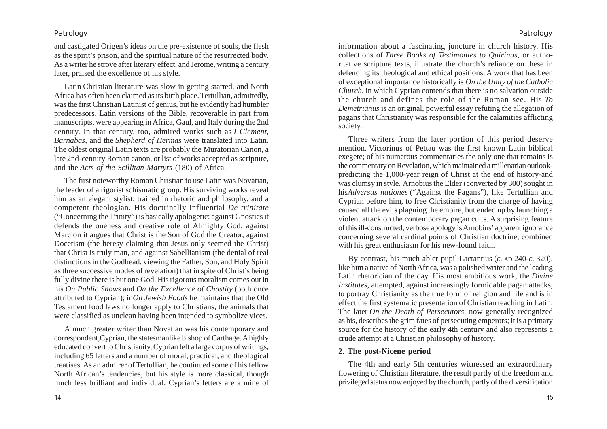#### Patrology

and castigated Origen's ideas on the pre-existence of souls, the flesh as the spirit's prison, and the spiritual nature of the resurrected body. As a writer he strove after literary effect, and Jerome, writing a century later, praised the excellence of his style.

Latin Christian literature was slow in getting started, and North Africa has often been claimed as its birth place. Tertullian, admittedly, was the first Christian Latinist of genius, but he evidently had humbler predecessors. Latin versions of the Bible, recoverable in part from manuscripts, were appearing in Africa, Gaul, and Italy during the 2nd century. In that century, too, admired works such as *I Clement*, *Barnabas*, and the *Shepherd of Hermas* were translated into Latin. The oldest original Latin texts are probably the Muratorian Canon, a late 2nd-century Roman canon, or list of works accepted as scripture, and the *Acts of the Scillitan Martyrs* (180) of Africa.

The first noteworthy Roman Christian to use Latin was Novatian, the leader of a rigorist schismatic group. His surviving works reveal him as an elegant stylist, trained in rhetoric and philosophy, and a competent theologian. His doctrinally influential *De trinitate* ("Concerning the Trinity") is basically apologetic: against Gnostics it defends the oneness and creative role of Almighty God, against Marcion it argues that Christ is the Son of God the Creator, against Docetism (the heresy claiming that Jesus only seemed the Christ) that Christ is truly man, and against Sabellianism (the denial of real distinctions in the Godhead, viewing the Father, Son, and Holy Spirit as three successive modes of revelation) that in spite of Christ's being fully divine there is but one God. His rigorous moralism comes out in his *On Public Shows* and *On the Excellence of Chastity* (both once attributed to Cyprian); in*On Jewish Foods* he maintains that the Old Testament food laws no longer apply to Christians, the animals that were classified as unclean having been intended to symbolize vices.

A much greater writer than Novatian was his contemporary and correspondent,Cyprian, the statesmanlike bishop of Carthage. A highly educated convert to Christianity, Cyprian left a large corpus of writings, including 65 letters and a number of moral, practical, and theological treatises. As an admirer of Tertullian, he continued some of his fellow North African's tendencies, but his style is more classical, though much less brilliant and individual. Cyprian's letters are a mine of information about a fascinating juncture in church history. His collections of *Three Books of Testimonies to Quirinus*, or authoritative scripture texts, illustrate the church's reliance on these in defending its theological and ethical positions. A work that has been of exceptional importance historically is *On the Unity of the Catholic Church*, in which Cyprian contends that there is no salvation outside the church and defines the role of the Roman see. His *To Demetrianus* is an original, powerful essay refuting the allegation of pagans that Christianity was responsible for the calamities afflicting society.

Three writers from the later portion of this period deserve mention. Victorinus of Pettau was the first known Latin biblical exegete; of his numerous commentaries the only one that remains is the commentary on Revelation, which maintained a millenarian outlookpredicting the 1,000-year reign of Christ at the end of history-and was clumsy in style. Arnobius the Elder (converted by 300) sought in his*Adversus nationes* ("Against the Pagans"), like Tertullian and Cyprian before him, to free Christianity from the charge of having caused all the evils plaguing the empire, but ended up by launching a violent attack on the contemporary pagan cults. A surprising feature of this ill-constructed, verbose apology is Arnobius' apparent ignorance concerning several cardinal points of Christian doctrine, combined with his great enthusiasm for his new-found faith.

By contrast, his much abler pupil Lactantius (*c.* AD 240-*c.* 320), like him a native of North Africa, was a polished writer and the leading Latin rhetorician of the day. His most ambitious work, the *Divine Institutes*, attempted, against increasingly formidable pagan attacks, to portray Christianity as the true form of religion and life and is in effect the first systematic presentation of Christian teaching in Latin. The later *On the Death of Persecutors*, now generally recognized as his, describes the grim fates of persecuting emperors; it is a primary source for the history of the early 4th century and also represents a crude attempt at a Christian philosophy of history.

#### **2. The post-Nicene period**

The 4th and early 5th centuries witnessed an extraordinary flowering of Christian literature, the result partly of the freedom and privileged status now enjoyed by the church, partly of the diversification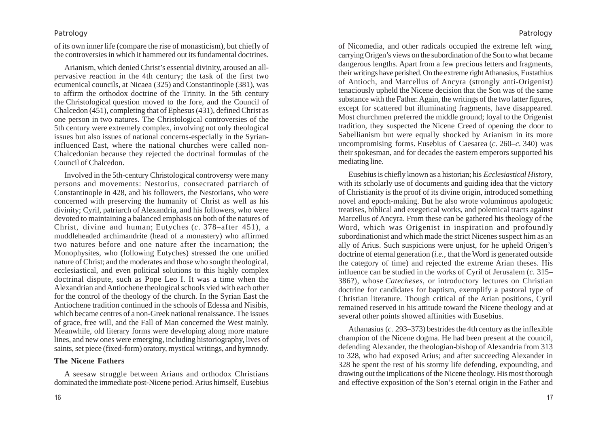of its own inner life (compare the rise of monasticism), but chiefly of the controversies in which it hammered out its fundamental doctrines.

Arianism, which denied Christ's essential divinity, aroused an allpervasive reaction in the 4th century; the task of the first two ecumenical councils, at Nicaea (325) and Constantinople (381), was to affirm the orthodox doctrine of the Trinity. In the 5th century the Christological question moved to the fore, and the Council of Chalcedon (451), completing that of Ephesus (431), defined Christ as one person in two natures. The Christological controversies of the 5th century were extremely complex, involving not only theological issues but also issues of national concerns-especially in the Syrianinfluenced East, where the national churches were called non-Chalcedonian because they rejected the doctrinal formulas of the Council of Chalcedon.

Involved in the 5th-century Christological controversy were many persons and movements: Nestorius, consecrated patriarch of Constantinople in 428, and his followers, the Nestorians, who were concerned with preserving the humanity of Christ as well as his divinity; Cyril, patriarch of Alexandria, and his followers, who were devoted to maintaining a balanced emphasis on both of the natures of Christ, divine and human; Eutyches (*c.* 378–after 451), a muddleheaded archimandrite (head of a monastery) who affirmed two natures before and one nature after the incarnation; the Monophysites, who (following Eutyches) stressed the one unified nature of Christ; and the moderates and those who sought theological, ecclesiastical, and even political solutions to this highly complex doctrinal dispute, such as Pope Leo I. It was a time when the Alexandrian and Antiochene theological schools vied with each other for the control of the theology of the church. In the Syrian East the Antiochene tradition continued in the schools of Edessa and Nisibis, which became centres of a non-Greek national renaissance. The issues of grace, free will, and the Fall of Man concerned the West mainly. Meanwhile, old literary forms were developing along more mature lines, and new ones were emerging, including historiography, lives of saints, set piece (fixed-form) oratory, mystical writings, and hymnody.

#### **The Nicene Fathers**

A seesaw struggle between Arians and orthodox Christians dominated the immediate post-Nicene period. Arius himself, Eusebius of Nicomedia, and other radicals occupied the extreme left wing, carrying Origen's views on the subordination of the Son to what became dangerous lengths. Apart from a few precious letters and fragments, their writings have perished. On the extreme right Athanasius, Eustathius of Antioch, and Marcellus of Ancyra (strongly anti-Origenist) tenaciously upheld the Nicene decision that the Son was of the same substance with the Father. Again, the writings of the two latter figures, except for scattered but illuminating fragments, have disappeared. Most churchmen preferred the middle ground; loyal to the Origenist tradition, they suspected the Nicene Creed of opening the door to Sabellianism but were equally shocked by Arianism in its more uncompromising forms. Eusebius of Caesarea (*c.* 260–*c.* 340) was their spokesman, and for decades the eastern emperors supported his mediating line.

Eusebius is chiefly known as a historian; his *Ecclesiastical History*, with its scholarly use of documents and guiding idea that the victory of Christianity is the proof of its divine origin, introduced something novel and epoch-making. But he also wrote voluminous apologetic treatises, biblical and exegetical works, and polemical tracts against Marcellus of Ancyra. From these can be gathered his theology of the Word, which was Origenist in inspiration and profoundly subordinationist and which made the strict Nicenes suspect him as an ally of Arius. Such suspicions were unjust, for he upheld Origen's doctrine of eternal generation (*i.e.,* that the Word is generated outside the category of time) and rejected the extreme Arian theses. His influence can be studied in the works of Cyril of Jerusalem (*c.* 315– 386?), whose *Catecheses*, or introductory lectures on Christian doctrine for candidates for baptism, exemplify a pastoral type of Christian literature. Though critical of the Arian positions, Cyril remained reserved in his attitude toward the Nicene theology and at several other points showed affinities with Eusebius.

Athanasius (*c.* 293–373) bestrides the 4th century as the inflexible champion of the Nicene dogma. He had been present at the council, defending Alexander, the theologian-bishop of Alexandria from 313 to 328, who had exposed Arius; and after succeeding Alexander in 328 he spent the rest of his stormy life defending, expounding, and drawing out the implications of the Nicene theology. His most thorough and effective exposition of the Son's eternal origin in the Father and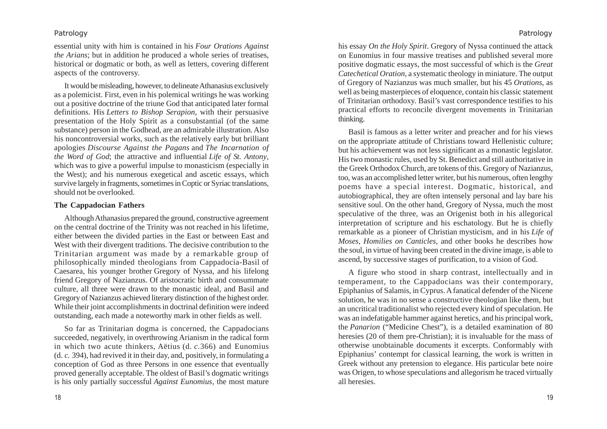essential unity with him is contained in his *Four Orations Against the Arians*; but in addition he produced a whole series of treatises, historical or dogmatic or both, as well as letters, covering different aspects of the controversy.

It would be misleading, however, to delineate Athanasius exclusively as a polemicist. First, even in his polemical writings he was working out a positive doctrine of the triune God that anticipated later formal definitions. His *Letters to Bishop Serapion*, with their persuasive presentation of the Holy Spirit as a consubstantial (of the same substance) person in the Godhead, are an admirable illustration. Also his noncontroversial works, such as the relatively early but brilliant apologies *Discourse Against the Pagans* and *The Incarnation of the Word of God*; the attractive and influential *Life of St. Antony*, which was to give a powerful impulse to monasticism (especially in the West); and his numerous exegetical and ascetic essays, which survive largely in fragments, sometimes in Coptic or Syriac translations, should not be overlooked.

#### **The Cappadocian Fathers**

Although Athanasius prepared the ground, constructive agreement on the central doctrine of the Trinity was not reached in his lifetime, either between the divided parties in the East or between East and West with their divergent traditions. The decisive contribution to the Trinitarian argument was made by a remarkable group of philosophically minded theologians from Cappadocia-Basil of Caesarea, his younger brother Gregory of Nyssa, and his lifelong friend Gregory of Nazianzus. Of aristocratic birth and consummate culture, all three were drawn to the monastic ideal, and Basil and Gregory of Nazianzus achieved literary distinction of the highest order. While their joint accomplishments in doctrinal definition were indeed outstanding, each made a noteworthy mark in other fields as well.

So far as Trinitarian dogma is concerned, the Cappadocians succeeded, negatively, in overthrowing Arianism in the radical form in which two acute thinkers, Aëtius (d. *c.*366) and Eunomius (d. *c.* 394), had revived it in their day, and, positively, in formulating a conception of God as three Persons in one essence that eventually proved generally acceptable. The oldest of Basil's dogmatic writings is his only partially successful *Against Eunomius*, the most mature his essay *On the Holy Spirit*. Gregory of Nyssa continued the attack on Eunomius in four massive treatises and published several more positive dogmatic essays, the most successful of which is the *Great Catechetical Oration*, a systematic theology in miniature. The output of Gregory of Nazianzus was much smaller, but his 45 *Orations*, as well as being masterpieces of eloquence, contain his classic statement of Trinitarian orthodoxy. Basil's vast correspondence testifies to his practical efforts to reconcile divergent movements in Trinitarian thinking.

Basil is famous as a letter writer and preacher and for his views on the appropriate attitude of Christians toward Hellenistic culture; but his achievement was not less significant as a monastic legislator. His two monastic rules, used by St. Benedict and still authoritative in the Greek Orthodox Church, are tokens of this. Gregory of Nazianzus, too, was an accomplished letter writer, but his numerous, often lengthy poems have a special interest. Dogmatic, historical, and autobiographical, they are often intensely personal and lay bare his sensitive soul. On the other hand, Gregory of Nyssa, much the most speculative of the three, was an Origenist both in his allegorical interpretation of scripture and his eschatology. But he is chiefly remarkable as a pioneer of Christian mysticism, and in his *Life of Moses, Homilies on Canticles*, and other books he describes how the soul, in virtue of having been created in the divine image, is able to ascend, by successive stages of purification, to a vision of God.

A figure who stood in sharp contrast, intellectually and in temperament, to the Cappadocians was their contemporary, Epiphanius of Salamis, in Cyprus. A fanatical defender of the Nicene solution, he was in no sense a constructive theologian like them, but an uncritical traditionalist who rejected every kind of speculation. He was an indefatigable hammer against heretics, and his principal work, the *Panarion* ("Medicine Chest"), is a detailed examination of 80 heresies (20 of them pre-Christian); it is invaluable for the mass of otherwise unobtainable documents it excerpts. Conformably with Epiphanius' contempt for classical learning, the work is written in Greek without any pretension to elegance. His particular bete noire was Origen, to whose speculations and allegorism he traced virtually all heresies.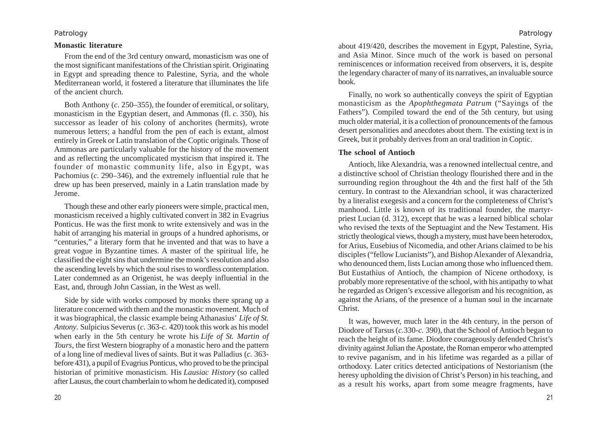#### **Monastic literature**

From the end of the 3rd century onward, monasticism was one of the most significant manifestations of the Christian spirit. Originating in Egypt and spreading thence to Palestine, Syria, and the whole Mediterranean world, it fostered a literature that illuminates the life of the ancient church.

Both Anthony (*c.* 250–355), the founder of eremitical, or solitary, monasticism in the Egyptian desert, and Ammonas (fl. *c.* 350), his successor as leader of his colony of anchorites (hermits), wrote numerous letters; a handful from the pen of each is extant, almost entirely in Greek or Latin translation of the Coptic originals. Those of Ammonas are particularly valuable for the history of the movement and as reflecting the uncomplicated mysticism that inspired it. The founder of monastic community life, also in Egypt, was Pachomius (*c.* 290–346), and the extremely influential rule that he drew up has been preserved, mainly in a Latin translation made by Jerome.

Though these and other early pioneers were simple, practical men, monasticism received a highly cultivated convert in 382 in Evagrius Ponticus. He was the first monk to write extensively and was in the habit of arranging his material in groups of a hundred aphorisms, or "centuries," a literary form that he invented and that was to have a great vogue in Byzantine times. A master of the spiritual life, he classified the eight sins that undermine the monk's resolution and also the ascending levels by which the soul rises to wordless contemplation. Later condemned as an Origenist, he was deeply influential in the East, and, through John Cassian, in the West as well.

Side by side with works composed by monks there sprang up a literature concerned with them and the monastic movement. Much of it was biographical, the classic example being Athanasius' *Life of St. Antony*. Sulpicius Severus (*c.* 363-*c.* 420) took this work as his model when early in the 5th century he wrote his *Life of St. Martin of Tours*, the first Western biography of a monastic hero and the pattern of a long line of medieval lives of saints. But it was Palladius (*c.* 363 before 431), a pupil of Evagrius Ponticus, who proved to be the principal historian of primitive monasticism. His *Lausiac History* (so called after Lausus, the court chamberlain to whom he dedicated it), composed

about 419/420, describes the movement in Egypt, Palestine, Syria, and Asia Minor. Since much of the work is based on personal reminiscences or information received from observers, it is, despite the legendary character of many of its narratives, an invaluable source book.

Finally, no work so authentically conveys the spirit of Egyptian monasticism as the *Apophthegmata Patrum* ("Sayings of the Fathers"). Compiled toward the end of the 5th century, but using much older material, it is a collection of pronouncements of the famous desert personalities and anecdotes about them. The existing text is in Greek, but it probably derives from an oral tradition in Coptic.

#### **The school of Antioch**

Antioch, like Alexandria, was a renowned intellectual centre, and a distinctive school of Christian theology flourished there and in the surrounding region throughout the 4th and the first half of the 5th century. In contrast to the Alexandrian school, it was characterized by a literalist exegesis and a concern for the completeness of Christ's manhood. Little is known of its traditional founder, the martyr priest Lucian (d. 312), except that he was a learned biblical scholar who revised the texts of the Septuagint and the New Testament. His strictly theological views, though a mystery, must have been heterodox, for Arius, Eusebius of Nicomedia, and other Arians claimed to be his disciples ("fellow Lucianists"), and Bishop Alexander of Alexandria, who denounced them, lists Lucian among those who influenced them. But Eustathius of Antioch, the champion of Nicene orthodoxy, is probably more representative of the school, with his antipathy to what he regarded as Origen's excessive allegorism and his recognition, as against the Arians, of the presence of a human soul in the incarnate Christ.

It was, however, much later in the 4th century, in the person of Diodore of Tarsus (*c.*330-*c.* 390), that the School of Antioch began to reach the height of its fame. Diodore courageously defended Christ's divinity against Julian the Apostate, the Roman emperor who attempted to revive paganism, and in his lifetime was regarded as a pillar of orthodoxy. Later critics detected anticipations of Nestorianism (the heresy upholding the division of Christ's Person) in his teaching, and as a result his works, apart from some meagre fragments, have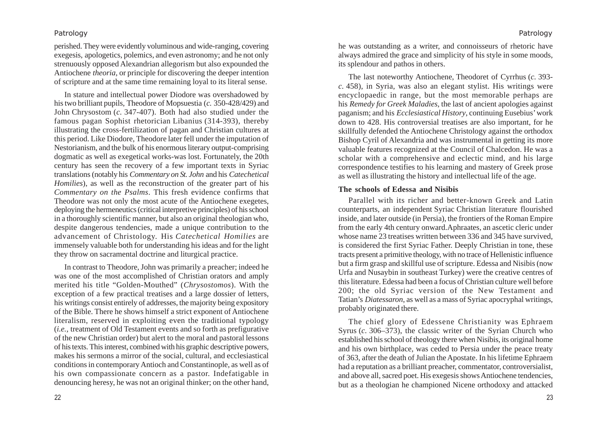perished. They were evidently voluminous and wide-ranging, covering exegesis, apologetics, polemics, and even astronomy; and he not only strenuously opposed Alexandrian allegorism but also expounded the Antiochene *theoria*, or principle for discovering the deeper intention of scripture and at the same time remaining loyal to its literal sense.

In stature and intellectual power Diodore was overshadowed by his two brilliant pupils, Theodore of Mopsuestia (*c.* 350-428/429) and John Chrysostom (*c.* 347-407). Both had also studied under the famous pagan Sophist rhetorician Libanius (314-393), thereby illustrating the cross-fertilization of pagan and Christian cultures at this period. Like Diodore, Theodore later fell under the imputation of Nestorianism, and the bulk of his enormous literary output-comprising dogmatic as well as exegetical works-was lost. Fortunately, the 20th century has seen the recovery of a few important texts in Syriac translations (notably his *Commentary on St. John* and his *Catechetical Homilies*), as well as the reconstruction of the greater part of his *Commentary on the Psalms*. This fresh evidence confirms that Theodore was not only the most acute of the Antiochene exegetes, deploying the hermeneutics (critical interpretive principles) of his school in a thoroughly scientific manner, but also an original theologian who, despite dangerous tendencies, made a unique contribution to the advancement of Christology. His *Catechetical Homilies* are immensely valuable both for understanding his ideas and for the light they throw on sacramental doctrine and liturgical practice.

In contrast to Theodore, John was primarily a preacher; indeed he was one of the most accomplished of Christian orators and amply merited his title "Golden-Mouthed" (*Chrysostomos*). With the exception of a few practical treatises and a large dossier of letters, his writings consist entirely of addresses, the majority being expository of the Bible. There he shows himself a strict exponent of Antiochene literalism, reserved in exploiting even the traditional typology (*i.e.,* treatment of Old Testament events and so forth as prefigurative of the new Christian order) but alert to the moral and pastoral lessons of his texts. This interest, combined with his graphic descriptive powers, makes his sermons a mirror of the social, cultural, and ecclesiastical conditions in contemporary Antioch and Constantinople, as well as of his own compassionate concern as a pastor. Indefatigable in denouncing heresy, he was not an original thinker; on the other hand,

he was outstanding as a writer, and connoisseurs of rhetoric have always admired the grace and simplicity of his style in some moods, its splendour and pathos in others.

The last noteworthy Antiochene, Theodoret of Cyrrhus (*c.* 393 *c.* 458), in Syria, was also an elegant stylist. His writings were encyclopaedic in range, but the most memorable perhaps are his *Remedy for Greek Maladies*, the last of ancient apologies against paganism; and his *Ecclesiastical History*, continuing Eusebius' work down to 428. His controversial treatises are also important, for he skillfully defended the Antiochene Christology against the orthodox Bishop Cyril of Alexandria and was instrumental in getting its more valuable features recognized at the Council of Chalcedon. He was a scholar with a comprehensive and eclectic mind, and his large correspondence testifies to his learning and mastery of Greek prose as well as illustrating the history and intellectual life of the age.

#### **The schools of Edessa and Nisibis**

Parallel with its richer and better-known Greek and Latin counterparts, an independent Syriac Christian literature flourished inside, and later outside (in Persia), the frontiers of the Roman Empire from the early 4th century onward.Aphraates, an ascetic cleric under whose name 23 treatises written between 336 and 345 have survived, is considered the first Syriac Father. Deeply Christian in tone, these tracts present a primitive theology, with no trace of Hellenistic influence but a firm grasp and skillful use of scripture. Edessa and Nisibis (now Urfa and Nusaybin in southeast Turkey) were the creative centres of this literature. Edessa had been a focus of Christian culture well before 200; the old Syriac version of the New Testament and Tatian's *Diatessaron*, as well as a mass of Syriac apocryphal writings, probably originated there.

The chief glory of Edessene Christianity was Ephraem Syrus (*c.* 306–373), the classic writer of the Syrian Church who established his school of theology there when Nisibis, its original home and his own birthplace, was ceded to Persia under the peace treaty of 363, after the death of Julian the Apostate. In his lifetime Ephraem had a reputation as a brilliant preacher, commentator, controversialist, and above all, sacred poet. His exegesis shows Antiochene tendencies, but as a theologian he championed Nicene orthodoxy and attacked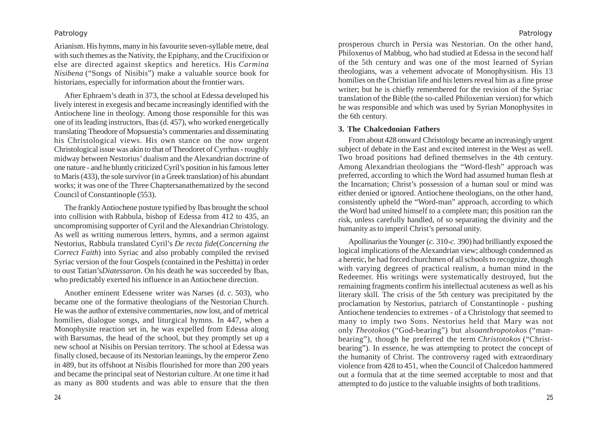Arianism. His hymns, many in his favourite seven-syllable metre, deal with such themes as the Nativity, the Epiphany, and the Crucifixion or else are directed against skeptics and heretics. His *Carmina Nisibena* ("Songs of Nisibis") make a valuable source book for historians, especially for information about the frontier wars.

After Ephraem's death in 373, the school at Edessa developed his lively interest in exegesis and became increasingly identified with the Antiochene line in theology. Among those responsible for this was one of its leading instructors, Ibas (d. 457), who worked energetically translating Theodore of Mopsuestia's commentaries and disseminating his Christological views. His own stance on the now urgent Christological issue was akin to that of Theodoret of Cyrrhus - roughly midway between Nestorius' dualism and the Alexandrian doctrine of one nature - and he bluntly criticized Cyril's position in his famous letter to Maris (433), the sole survivor (in a Greek translation) of his abundant works; it was one of the Three Chaptersanathematized by the second Council of Constantinople (553).

The frankly Antiochene posture typified by Ibas brought the school into collision with Rabbula, bishop of Edessa from 412 to 435, an uncompromising supporter of Cyril and the Alexandrian Christology. As well as writing numerous letters, hymns, and a sermon against Nestorius, Rabbula translated Cyril's *De recta fide*(*Concerning the Correct Faith*) into Syriac and also probably compiled the revised Syriac version of the four Gospels (contained in the Peshitta) in order to oust Tatian's*Diatessaron*. On his death he was succeeded by Ibas, who predictably exerted his influence in an Antiochene direction.

Another eminent Edessene writer was Narses (d. *c.* 503), who became one of the formative theologians of the Nestorian Church. He was the author of extensive commentaries, now lost, and of metrical homilies, dialogue songs, and liturgical hymns. In 447, when a Monophysite reaction set in, he was expelled from Edessa along with Barsumas, the head of the school, but they promptly set up a new school at Nisibis on Persian territory. The school at Edessa was finally closed, because of its Nestorian leanings, by the emperor Zeno in 489, but its offshoot at Nisibis flourished for more than 200 years and became the principal seat of Nestorian culture. At one time it had as many as 800 students and was able to ensure that the then prosperous church in Persia was Nestorian. On the other hand, Philoxenus of Mabbug, who had studied at Edessa in the second half of the 5th century and was one of the most learned of Syrian theologians, was a vehement advocate of Monophysitism. His 13 homilies on the Christian life and his letters reveal him as a fine prose writer; but he is chiefly remembered for the revision of the Syriac translation of the Bible (the so-called Philoxenian version) for which he was responsible and which was used by Syrian Monophysites in the 6th century.

#### **3. The Chalcedonian Fathers**

From about 428 onward Christology became an increasingly urgent subject of debate in the East and excited interest in the West as well. Two broad positions had defined themselves in the 4th century. Among Alexandrian theologians the "Word-flesh" approach was preferred, according to which the Word had assumed human flesh at the Incarnation; Christ's possession of a human soul or mind was either denied or ignored. Antiochene theologians, on the other hand, consistently upheld the "Word-man" approach, according to which the Word had united himself to a complete man; this position ran the risk, unless carefully handled, of so separating the divinity and the humanity as to imperil Christ's personal unity.

Apollinarius the Younger (*c.* 310-*c.* 390) had brilliantly exposed the logical implications of the Alexandrian view; although condemned as a heretic, he had forced churchmen of all schools to recognize, though with varying degrees of practical realism, a human mind in the Redeemer. His writings were systematically destroyed, but the remaining fragments confirm his intellectual acuteness as well as his literary skill. The crisis of the 5th century was precipitated by the proclamation by Nestorius, patriarch of Constantinople - pushing Antiochene tendencies to extremes - of a Christology that seemed to many to imply two Sons. Nestorius held that Mary was not only *Theotokos* ("God-bearing") but also*anthropotokos* ("manbearing"), though he preferred the term *Christotokos* ("Christbearing"). In essence, he was attempting to protect the concept of the humanity of Christ. The controversy raged with extraordinary violence from 428 to 451, when the Council of Chalcedon hammered out a formula that at the time seemed acceptable to most and that attempted to do justice to the valuable insights of both traditions.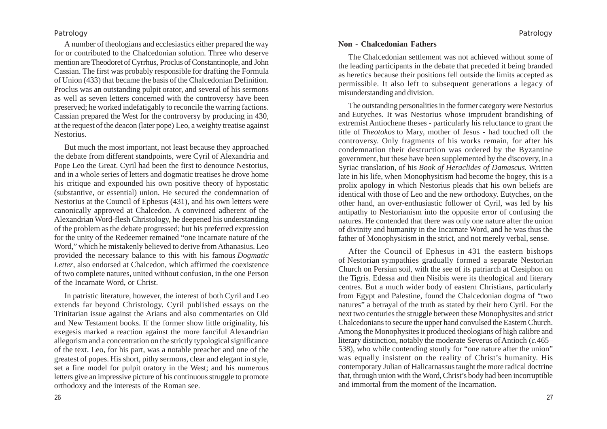A number of theologians and ecclesiastics either prepared the way for or contributed to the Chalcedonian solution. Three who deserve mention are Theodoret of Cyrrhus, Proclus of Constantinople, and John Cassian. The first was probably responsible for drafting the Formula of Union (433) that became the basis of the Chalcedonian Definition. Proclus was an outstanding pulpit orator, and several of his sermons as well as seven letters concerned with the controversy have been preserved; he worked indefatigably to reconcile the warring factions. Cassian prepared the West for the controversy by producing in 430, at the request of the deacon (later pope) Leo, a weighty treatise against Nestorius.

But much the most important, not least because they approached the debate from different standpoints, were Cyril of Alexandria and Pope Leo the Great. Cyril had been the first to denounce Nestorius, and in a whole series of letters and dogmatic treatises he drove home his critique and expounded his own positive theory of hypostatic (substantive, or essential) union. He secured the condemnation of Nestorius at the Council of Ephesus (431), and his own letters were canonically approved at Chalcedon. A convinced adherent of the Alexandrian Word-flesh Christology, he deepened his understanding of the problem as the debate progressed; but his preferred expression for the unity of the Redeemer remained "one incarnate nature of the Word," which he mistakenly believed to derive from Athanasius. Leo provided the necessary balance to this with his famous *Dogmatic Letter*, also endorsed at Chalcedon, which affirmed the coexistence of two complete natures, united without confusion, in the one Person of the Incarnate Word, or Christ.

In patristic literature, however, the interest of both Cyril and Leo extends far beyond Christology. Cyril published essays on the Trinitarian issue against the Arians and also commentaries on Old and New Testament books. If the former show little originality, his exegesis marked a reaction against the more fanciful Alexandrian allegorism and a concentration on the strictly typological significance of the text. Leo, for his part, was a notable preacher and one of the greatest of popes. His short, pithy sermons, clear and elegant in style, set a fine model for pulpit oratory in the West; and his numerous letters give an impressive picture of his continuous struggle to promote orthodoxy and the interests of the Roman see.

#### **Non - Chalcedonian Fathers**

The Chalcedonian settlement was not achieved without some of the leading participants in the debate that preceded it being branded as heretics because their positions fell outside the limits accepted as permissible. It also left to subsequent generations a legacy of misunderstanding and division.

The outstanding personalities in the former category were Nestorius and Eutyches. It was Nestorius whose imprudent brandishing of extremist Antiochene theses - particularly his reluctance to grant the title of *Theotokos* to Mary, mother of Jesus - had touched off the controversy. Only fragments of his works remain, for after his condemnation their destruction was ordered by the Byzantine government, but these have been supplemented by the discovery, in a Syriac translation, of his *Book of Heraclides of Damascus*. Written late in his life, when Monophysitism had become the bogey, this is a prolix apology in which Nestorius pleads that his own beliefs are identical with those of Leo and the new orthodoxy. Eutyches, on the other hand, an over-enthusiastic follower of Cyril, was led by his antipathy to Nestorianism into the opposite error of confusing the natures. He contended that there was only one nature after the union of divinity and humanity in the Incarnate Word, and he was thus the father of Monophysitism in the strict, and not merely verbal, sense.

After the Council of Ephesus in 431 the eastern bishops of Nestorian sympathies gradually formed a separate Nestorian Church on Persian soil, with the see of its patriarch at Ctesiphon on the Tigris. Edessa and then Nisibis were its theological and literary centres. But a much wider body of eastern Christians, particularly from Egypt and Palestine, found the Chalcedonian dogma of "two natures" a betrayal of the truth as stated by their hero Cyril. For the next two centuries the struggle between these Monophysites and strict Chalcedonians to secure the upper hand convulsed the Eastern Church. Among the Monophysites it produced theologians of high calibre and literary distinction, notably the moderate Severus of Antioch (*c.*465– 538), who while contending stoutly for "one nature after the union" was equally insistent on the reality of Christ's humanity. His contemporary Julian of Halicarnassus taught the more radical doctrine that, through union with the Word, Christ's body had been incorruptible and immortal from the moment of the Incarnation.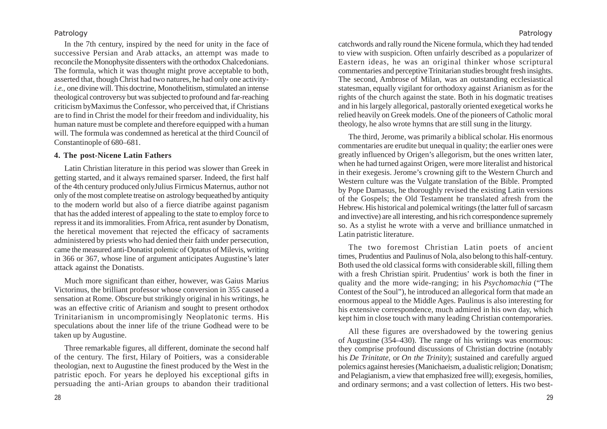In the 7th century, inspired by the need for unity in the face of successive Persian and Arab attacks, an attempt was made to reconcile the Monophysite dissenters with the orthodox Chalcedonians. The formula, which it was thought might prove acceptable to both, asserted that, though Christ had two natures, he had only one activity*i.e.,* one divine will. This doctrine, Monothelitism, stimulated an intense theological controversy but was subjected to profound and far-reaching criticism byMaximus the Confessor, who perceived that, if Christians are to find in Christ the model for their freedom and individuality, his human nature must be complete and therefore equipped with a human will. The formula was condemned as heretical at the third Council of Constantinople of 680–681.

#### **4. The post-Nicene Latin Fathers**

Latin Christian literature in this period was slower than Greek in getting started, and it always remained sparser. Indeed, the first half of the 4th century produced onlyJulius Firmicus Maternus, author not only of the most complete treatise on astrology bequeathed by antiquity to the modern world but also of a fierce diatribe against paganism that has the added interest of appealing to the state to employ force to repress it and its immoralities. From Africa, rent asunder by Donatism, the heretical movement that rejected the efficacy of sacraments administered by priests who had denied their faith under persecution, came the measured anti-Donatist polemic of Optatus of Milevis, writing in 366 or 367, whose line of argument anticipates Augustine's later attack against the Donatists.

Much more significant than either, however, was Gaius Marius Victorinus, the brilliant professor whose conversion in 355 caused a sensation at Rome. Obscure but strikingly original in his writings, he was an effective critic of Arianism and sought to present orthodox Trinitarianism in uncompromisingly Neoplatonic terms. His speculations about the inner life of the triune Godhead were to be taken up by Augustine.

Three remarkable figures, all different, dominate the second half of the century. The first, Hilary of Poitiers, was a considerable theologian, next to Augustine the finest produced by the West in the patristic epoch. For years he deployed his exceptional gifts in persuading the anti-Arian groups to abandon their traditional

catchwords and rally round the Nicene formula, which they had tended to view with suspicion. Often unfairly described as a popularizer of Eastern ideas, he was an original thinker whose scriptural commentaries and perceptive Trinitarian studies brought fresh insights. The second, Ambrose of Milan, was an outstanding ecclesiastical statesman, equally vigilant for orthodoxy against Arianism as for the rights of the church against the state. Both in his dogmatic treatises and in his largely allegorical, pastorally oriented exegetical works he relied heavily on Greek models. One of the pioneers of Catholic moral theology, he also wrote hymns that are still sung in the liturgy.

The third, Jerome, was primarily a biblical scholar. His enormous commentaries are erudite but unequal in quality; the earlier ones were greatly influenced by Origen's allegorism, but the ones written later, when he had turned against Origen, were more literalist and historical in their exegesis. Jerome's crowning gift to the Western Church and Western culture was the Vulgate translation of the Bible. Prompted by Pope Damasus, he thoroughly revised the existing Latin versions of the Gospels; the Old Testament he translated afresh from the Hebrew. His historical and polemical writings (the latter full of sarcasm and invective) are all interesting, and his rich correspondence supremely so. As a stylist he wrote with a verve and brilliance unmatched in Latin patristic literature.

The two foremost Christian Latin poets of ancient times, Prudentius and Paulinus of Nola, also belong to this half-century. Both used the old classical forms with considerable skill, filling them with a fresh Christian spirit. Prudentius' work is both the finer in quality and the more wide-ranging; in his *Psychomachia* ("The Contest of the Soul"), he introduced an allegorical form that made an enormous appeal to the Middle Ages. Paulinus is also interesting for his extensive correspondence, much admired in his own day, which kept him in close touch with many leading Christian contemporaries.

All these figures are overshadowed by the towering genius of Augustine (354–430). The range of his writings was enormous: they comprise profound discussions of Christian doctrine (notably his *De Trinitate*, or *On the Trinity*); sustained and carefully argued polemics against heresies (Manichaeism, a dualistic religion; Donatism; and Pelagianism, a view that emphasized free will); exegesis, homilies, and ordinary sermons; and a vast collection of letters. His two best-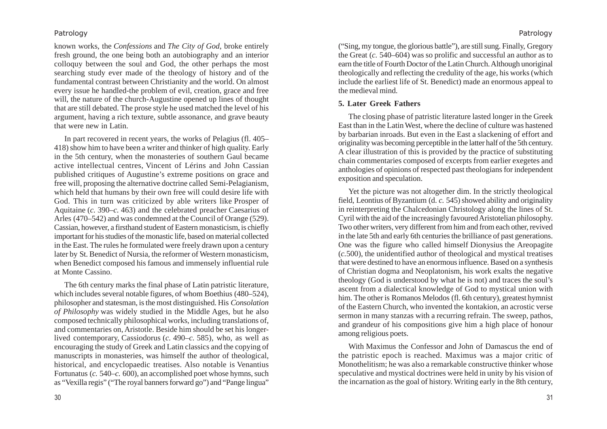known works, the *Confessions* and *The City of God*, broke entirely fresh ground, the one being both an autobiography and an interior colloquy between the soul and God, the other perhaps the most searching study ever made of the theology of history and of the fundamental contrast between Christianity and the world. On almost every issue he handled-the problem of evil, creation, grace and free will, the nature of the church-Augustine opened up lines of thought that are still debated. The prose style he used matched the level of his argument, having a rich texture, subtle assonance, and grave beauty that were new in Latin.

In part recovered in recent years, the works of Pelagius (fl. 405– 418) show him to have been a writer and thinker of high quality. Early in the 5th century, when the monasteries of southern Gaul became active intellectual centres, Vincent of Lérins and John Cassian published critiques of Augustine's extreme positions on grace and free will, proposing the alternative doctrine called Semi-Pelagianism, which held that humans by their own free will could desire life with God. This in turn was criticized by able writers like Prosper of Aquitaine (*c.* 390–*c.* 463) and the celebrated preacher Caesarius of Arles (470–542) and was condemned at the Council of Orange (529). Cassian, however, a firsthand student of Eastern monasticism, is chiefly important for his studies of the monastic life, based on material collected in the East. The rules he formulated were freely drawn upon a century later by St. Benedict of Nursia, the reformer of Western monasticism, when Benedict composed his famous and immensely influential rule at Monte Cassino.

The 6th century marks the final phase of Latin patristic literature, which includes several notable figures, of whom Boethius (480–524). philosopher and statesman, is the most distinguished. His *Consolation of Philosophy* was widely studied in the Middle Ages, but he also composed technically philosophical works, including translations of, and commentaries on, Aristotle. Beside him should be set his longer lived contemporary, Cassiodorus (*c.* 490–*c.* 585), who, as well as encouraging the study of Greek and Latin classics and the copying of manuscripts in monasteries, was himself the author of theological, historical, and encyclopaedic treatises. Also notable is Venantius Fortunatus (*c.* 540–*c.* 600), an accomplished poet whose hymns, such as "Vexilla regis" ("The royal banners forward go") and "Pange lingua"

("Sing, my tongue, the glorious battle"), are still sung. Finally, Gregory the Great (*c.* 540–604) was so prolific and successful an author as to earn the title of Fourth Doctor of the Latin Church. Although unoriginal theologically and reflecting the credulity of the age, his works (which include the earliest life of St. Benedict) made an enormous appeal to the medieval mind.

#### **5. Later Greek Fathers**

The closing phase of patristic literature lasted longer in the Greek East than in the Latin West, where the decline of culture was hastened by barbarian inroads. But even in the East a slackening of effort and originality was becoming perceptible in the latter half of the 5th century. A clear illustration of this is provided by the practice of substituting chain commentaries composed of excerpts from earlier exegetes and anthologies of opinions of respected past theologians for independent exposition and speculation.

Yet the picture was not altogether dim. In the strictly theological field, Leontius of Byzantium (d. *c.* 545) showed ability and originality in reinterpreting the Chalcedonian Christology along the lines of St. Cyril with the aid of the increasingly favoured Aristotelian philosophy. Two other writers, very different from him and from each other, revived in the late 5th and early 6th centuries the brilliance of past generations. One was the figure who called himself Dionysius the Areopagite (*c.*500), the unidentified author of theological and mystical treatises that were destined to have an enormous influence. Based on a synthesis of Christian dogma and Neoplatonism, his work exalts the negative theology (God is understood by what he is not) and traces the soul's ascent from a dialectical knowledge of God to mystical union with him. The other is Romanos Melodos (fl. 6th century), greatest hymnist of the Eastern Church, who invented the kontakion, an acrostic verse sermon in many stanzas with a recurring refrain. The sweep, pathos, and grandeur of his compositions give him a high place of honour among religious poets.

With Maximus the Confessor and John of Damascus the end of the patristic epoch is reached. Maximus was a major critic of Monothelitism; he was also a remarkable constructive thinker whose speculative and mystical doctrines were held in unity by his vision of the incarnation as the goal of history. Writing early in the 8th century,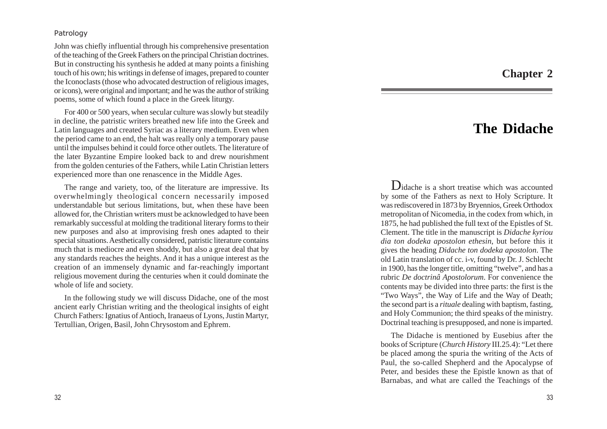John was chiefly influential through his comprehensive presentation of the teaching of the Greek Fathers on the principal Christian doctrines. But in constructing his synthesis he added at many points a finishing touch of his own; his writings in defense of images, prepared to counter the Iconoclasts (those who advocated destruction of religious images, or icons), were original and important; and he was the author of striking poems, some of which found a place in the Greek liturgy.

For 400 or 500 years, when secular culture was slowly but steadily in decline, the patristic writers breathed new life into the Greek and Latin languages and created Syriac as a literary medium. Even when the period came to an end, the halt was really only a temporary pause until the impulses behind it could force other outlets. The literature of the later Byzantine Empire looked back to and drew nourishment from the golden centuries of the Fathers, while Latin Christian letters experienced more than one renascence in the Middle Ages.

The range and variety, too, of the literature are impressive. Its overwhelmingly theological concern necessarily imposed understandable but serious limitations, but, when these have been allowed for, the Christian writers must be acknowledged to have been remarkably successful at molding the traditional literary forms to their new purposes and also at improvising fresh ones adapted to their special situations. Aesthetically considered, patristic literature contains much that is mediocre and even shoddy, but also a great deal that by any standards reaches the heights. And it has a unique interest as the creation of an immensely dynamic and far-reachingly important religious movement during the centuries when it could dominate the whole of life and society.

In the following study we will discuss Didache, one of the most ancient early Christian writing and the theological insights of eight Church Fathers: Ignatius of Antioch, Iranaeus of Lyons, Justin Martyr, Tertullian, Origen, Basil, John Chrysostom and Ephrem.

### **Chapter 2**

# **The Didache**

D<sub>idache</sub> is a short treatise which was accounted by some of the Fathers as next to Holy Scripture. It was rediscovered in 1873 by Bryennios, Greek Orthodox metropolitan of Nicomedia, in the codex from which, in 1875, he had published the full text of the Epistles of St. Clement. The title in the manuscript is *Didache kyriou dia ton dodeka apostolon ethesin*, but before this it gives the heading *Didache ton dodeka apostolon*. The old Latin translation of cc. i-v, found by Dr. J. Schlecht in 1900, has the longer title, omitting "twelve", and has a rubric *De doctrinâ Apostolorum*. For convenience the contents may be divided into three parts: the first is the "Two Ways", the Way of Life and the Way of Death; the second part is a *rituale* dealing with baptism, fasting, and Holy Communion; the third speaks of the ministry. Doctrinal teaching is presupposed, and none is imparted.

The Didache is mentioned by Eusebius after the books of Scripture (*Church History* III.25.4): "Let there be placed among the spuria the writing of the Acts of Paul, the so-called Shepherd and the Apocalypse of Peter, and besides these the Epistle known as that of Barnabas, and what are called the Teachings of the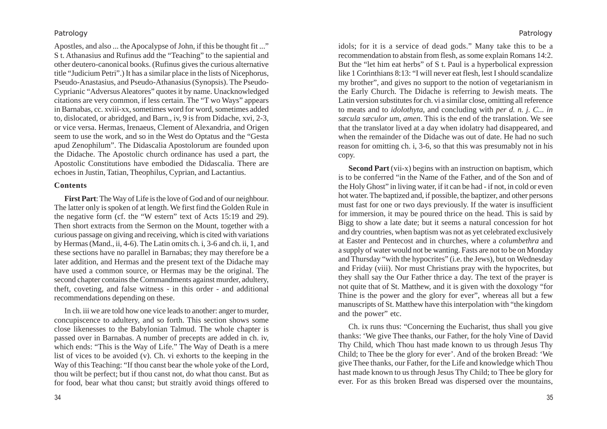Apostles, and also ... the Apocalypse of John, if this be thought fit ..." S t. Athanasius and Rufinus add the "Teaching" to the sapiential and other deutero-canonical books. (Rufinus gives the curious alternative title "Judicium Petri".) It has a similar place in the lists of Nicephorus, Pseudo-Anastasius, and Pseudo-Athanasius (Synopsis). The Pseudo-Cyprianic "Adversus Aleatores" quotes it by name. Unacknowledged citations are very common, if less certain. The "T wo Ways" appears in Barnabas, cc. xviii-xx, sometimes word for word, sometimes added to, dislocated, or abridged, and Barn., iv, 9 is from Didache, xvi, 2-3, or vice versa. Hermas, Irenaeus, Clement of Alexandria, and Origen seem to use the work, and so in the West do Optatus and the "Gesta apud Zenophilum". The Didascalia Apostolorum are founded upon the Didache. The Apostolic church ordinance has used a part, the Apostolic Constitutions have embodied the Didascalia. There are echoes in Justin, Tatian, Theophilus, Cyprian, and Lactantius.

#### **Contents**

**First Part**: The Way of Life is the love of God and of our neighbour. The latter only is spoken of at length. We first find the Golden Rule in the negative form (cf. the "W estern" text of Acts 15:19 and 29). Then short extracts from the Sermon on the Mount, together with a curious passage on giving and receiving, which is cited with variations by Hermas (Mand., ii, 4-6). The Latin omits ch. i, 3-6 and ch. ii, 1, and these sections have no parallel in Barnabas; they may therefore be a later addition, and Hermas and the present text of the Didache may have used a common source, or Hermas may be the original. The second chapter contains the Commandments against murder, adultery, theft, coveting, and false witness - in this order - and additional recommendations depending on these.

In ch. iii we are told how one vice leads to another: anger to murder, concupiscence to adultery, and so forth. This section shows some close likenesses to the Babylonian Talmud. The whole chapter is passed over in Barnabas. A number of precepts are added in ch. iv, which ends: "This is the Way of Life." The Way of Death is a mere list of vices to be avoided (v). Ch. vi exhorts to the keeping in the Way of this Teaching: "If thou canst bear the whole yoke of the Lord, thou wilt be perfect; but if thou canst not, do what thou canst. But as for food, bear what thou canst; but straitly avoid things offered to

idols; for it is a service of dead gods." Many take this to be a recommendation to abstain from flesh, as some explain Romans 14:2. But the "let him eat herbs" of S t. Paul is a hyperbolical expression like 1 Corinthians 8:13: "I will never eat flesh, lest I should scandalize my brother", and gives no support to the notion of vegetarianism in the Early Church. The Didache is referring to Jewish meats. The Latin version substitutes for ch. vi a similar close, omitting all reference to meats and to *idolothyta*, and concluding with *per d. n. j. C... in sæcula sæculor um, amen*. This is the end of the translation. We see that the translator lived at a day when idolatry had disappeared, and when the remainder of the Didache was out of date. He had no such reason for omitting ch. i, 3-6, so that this was presumably not in his copy.

**Second Part** (vii-x) begins with an instruction on baptism, which is to be conferred "in the Name of the Father, and of the Son and of the Holy Ghost" in living water, if it can be had - if not, in cold or even hot water. The baptized and, if possible, the baptizer, and other persons must fast for one or two days previously. If the water is insufficient for immersion, it may be poured thrice on the head. This is said by Bigg to show a late date; but it seems a natural concession for hot and dry countries, when baptism was not as yet celebrated exclusively at Easter and Pentecost and in churches, where a *columbethra* and a supply of water would not be wanting. Fasts are not to be on Monday and Thursday "with the hypocrites" (i.e. the Jews), but on Wednesday and Friday (viii). Nor must Christians pray with the hypocrites, but they shall say the Our Father thrice a day. The text of the prayer is not quite that of St. Matthew, and it is given with the doxology "for Thine is the power and the glory for ever", whereas all but a few manuscripts of St. Matthew have this interpolation with "the kingdom and the power" etc.

Ch. ix runs thus: "Concerning the Eucharist, thus shall you give thanks: 'We give Thee thanks, our Father, for the holy Vine of David Thy Child, which Thou hast made known to us through Jesus Thy Child; to Thee be the glory for ever'. And of the broken Bread: 'We give Thee thanks, our Father, for the Life and knowledge which Thou hast made known to us through Jesus Thy Child; to Thee be glory for ever. For as this broken Bread was dispersed over the mountains,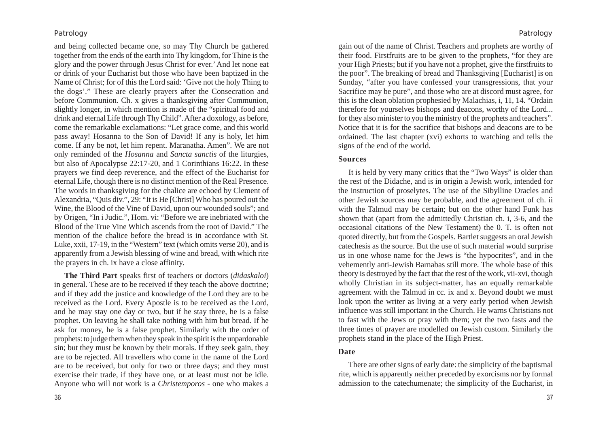and being collected became one, so may Thy Church be gathered together from the ends of the earth into Thy kingdom, for Thine is the glory and the power through Jesus Christ for ever.'And let none eat or drink of your Eucharist but those who have been baptized in the Name of Christ; for of this the Lord said: 'Give not the holy Thing to the dogs'." These are clearly prayers after the Consecration and before Communion. Ch. x gives a thanksgiving after Communion. slightly longer, in which mention is made of the "spiritual food and drink and eternal Life through Thy Child". After a doxology, as before, come the remarkable exclamations: "Let grace come, and this world pass away! Hosanna to the Son of David! If any is holy, let him come. If any be not, let him repent. Maranatha. Amen". We are not only reminded of the *Hosanna* and *Sancta sanctis* of the liturgies, but also of Apocalypse 22:17-20, and 1 Corinthians 16:22. In these prayers we find deep reverence, and the effect of the Eucharist for eternal Life, though there is no distinct mention of the Real Presence. The words in thanksgiving for the chalice are echoed by Clement of Alexandria, "Quis div.", 29: "It is He [Christ] Who has poured out the Wine, the Blood of the Vine of David, upon our wounded souls"; and by Origen, "In i Judic.", Hom. vi: "Before we are inebriated with the Blood of the True Vine Which ascends from the root of David." The mention of the chalice before the bread is in accordance with St. Luke, xxii, 17-19, in the "Western" text (which omits verse 20), and is apparently from a Jewish blessing of wine and bread, with which rite the prayers in ch. ix have a close affinity.

**The Third Part** speaks first of teachers or doctors (*didaskaloi*) in general. These are to be received if they teach the above doctrine; and if they add the justice and knowledge of the Lord they are to be received as the Lord. Every Apostle is to be received as the Lord, and he may stay one day or two, but if he stay three, he is a false prophet. On leaving he shall take nothing with him but bread. If he ask for money, he is a false prophet. Similarly with the order of prophets: to judge them when they speak in the spirit is the unpardonable sin; but they must be known by their morals. If they seek gain, they are to be rejected. All travellers who come in the name of the Lord are to be received, but only for two or three days; and they must exercise their trade, if they have one, or at least must not be idle. Anyone who will not work is a *Christemporos* - one who makes a

gain out of the name of Christ. Teachers and prophets are worthy of their food. Firstfruits are to be given to the prophets, "for they are your High Priests; but if you have not a prophet, give the firstfruits to the poor". The breaking of bread and Thanksgiving [Eucharist] is on Sunday, "after you have confessed your transgressions, that your Sacrifice may be pure", and those who are at discord must agree, for this is the clean oblation prophesied by Malachias, i, 11, 14. "Ordain therefore for yourselves bishops and deacons, worthy of the Lord... for they also minister to you the ministry of the prophets and teachers". Notice that it is for the sacrifice that bishops and deacons are to be ordained. The last chapter (xvi) exhorts to watching and tells the signs of the end of the world.

#### **Sources**

It is held by very many critics that the "Two Ways" is older than the rest of the Didache, and is in origin a Jewish work, intended for the instruction of proselytes. The use of the Sibylline Oracles and other Jewish sources may be probable, and the agreement of ch. ii with the Talmud may be certain; but on the other hand Funk has shown that (apart from the admittedly Christian ch. i, 3-6, and the occasional citations of the New Testament) the 0. T. is often not quoted directly, but from the Gospels. Bartlet suggests an oral Jewish catechesis as the source. But the use of such material would surprise us in one whose name for the Jews is "the hypocrites", and in the vehemently anti-Jewish Barnabas still more. The whole base of this theory is destroyed by the fact that the rest of the work, vii-xvi, though wholly Christian in its subject-matter, has an equally remarkable agreement with the Talmud in cc. ix and x. Beyond doubt we must look upon the writer as living at a very early period when Jewish influence was still important in the Church. He warns Christians not to fast with the Jews or pray with them; yet the two fasts and the three times of prayer are modelled on Jewish custom. Similarly the prophets stand in the place of the High Priest.

#### **Date**

There are other signs of early date: the simplicity of the baptismal rite, which is apparently neither preceded by exorcisms nor by formal admission to the catechumenate; the simplicity of the Eucharist, in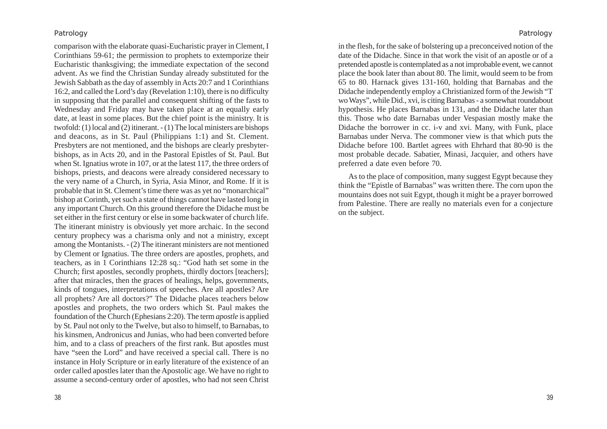comparison with the elaborate quasi-Eucharistic prayer in Clement, I Corinthians 59-61; the permission to prophets to extemporize their Eucharistic thanksgiving; the immediate expectation of the second advent. As we find the Christian Sunday already substituted for the Jewish Sabbath as the day of assembly in Acts 20:7 and 1 Corinthians 16:2, and called the Lord's day (Revelation 1:10), there is no difficulty in supposing that the parallel and consequent shifting of the fasts to Wednesday and Friday may have taken place at an equally early date, at least in some places. But the chief point is the ministry. It is twofold: (1) local and (2) itinerant. - (1) The local ministers are bishops and deacons, as in St. Paul (Philippians 1:1) and St. Clement. Presbyters are not mentioned, and the bishops are clearly presbyterbishops, as in Acts 20, and in the Pastoral Epistles of St. Paul. But when St. Ignatius wrote in 107, or at the latest 117, the three orders of bishops, priests, and deacons were already considered necessary to the very name of a Church, in Syria, Asia Minor, and Rome. If it is probable that in St. Clement's time there was as yet no "monarchical" bishop at Corinth, yet such a state of things cannot have lasted long in any important Church. On this ground therefore the Didache must be set either in the first century or else in some backwater of church life. The itinerant ministry is obviously yet more archaic. In the second century prophecy was a charisma only and not a ministry, except among the Montanists. - (2) The itinerant ministers are not mentioned by Clement or Ignatius. The three orders are apostles, prophets, and teachers, as in 1 Corinthians 12:28 sq.: "God hath set some in the Church; first apostles, secondly prophets, thirdly doctors [teachers]; after that miracles, then the graces of healings, helps, governments, kinds of tongues, interpretations of speeches. Are all apostles? Are all prophets? Are all doctors?" The Didache places teachers below apostles and prophets, the two orders which St. Paul makes the foundation of the Church (Ephesians 2:20). The term *apostle* is applied by St. Paul not only to the Twelve, but also to himself, to Barnabas, to his kinsmen, Andronicus and Junias, who had been converted before him, and to a class of preachers of the first rank. But apostles must have "seen the Lord" and have received a special call. There is no instance in Holy Scripture or in early literature of the existence of an order called apostles later than the Apostolic age. We have no right to assume a second-century order of apostles, who had not seen Christ

#### Patrology

in the flesh, for the sake of bolstering up a preconceived notion of the date of the Didache. Since in that work the visit of an apostle or of a pretended apostle is contemplated as a not improbable event, we cannot place the book later than about 80. The limit, would seem to be from 65 to 80. Harnack gives 131-160, holding that Barnabas and the Didache independently employ a Christianized form of the Jewish "T wo Ways", while Did., xvi, is citing Barnabas - a somewhat roundabout hypothesis. He places Barnabas in 131, and the Didache later than this. Those who date Barnabas under Vespasian mostly make the Didache the borrower in cc. i-v and xvi. Many, with Funk, place Barnabas under Nerva. The commoner view is that which puts the Didache before 100. Bartlet agrees with Ehrhard that 80-90 is the most probable decade. Sabatier, Minasi, Jacquier, and others have preferred a date even before 70.

As to the place of composition, many suggest Egypt because they think the "Epistle of Barnabas" was written there. The corn upon the mountains does not suit Egypt, though it might be a prayer borrowed from Palestine. There are really no materials even for a conjecture on the subject.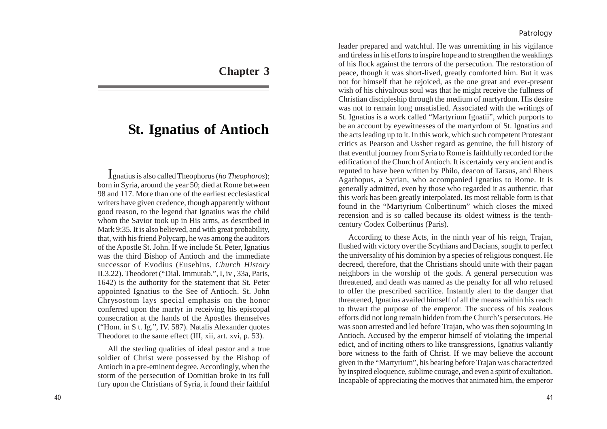### **Chapter 3**

# **St. Ignatius of Antioch**

Ignatius is also called Theophorus (*ho Theophoros*); born in Syria, around the year 50; died at Rome between 98 and 117. More than one of the earliest ecclesiastical writers have given credence, though apparently without good reason, to the legend that Ignatius was the child whom the Savior took up in His arms, as described in Mark 9:35. It is also believed, and with great probability, that, with his friend Polycarp, he was among the auditors of the Apostle St. John. If we include St. Peter, Ignatius was the third Bishop of Antioch and the immediate successor of Evodius (Eusebius, *Church History* II.3.22). Theodoret ("Dial. Immutab.", I, iv , 33a, Paris, 1642) is the authority for the statement that St. Peter appointed Ignatius to the See of Antioch. St. John Chrysostom lays special emphasis on the honor conferred upon the martyr in receiving his episcopal consecration at the hands of the Apostles themselves ("Hom. in S t. Ig.", IV. 587). Natalis Alexander quotes Theodoret to the same effect (III, xii, art. xvi, p. 53).

All the sterling qualities of ideal pastor and a true soldier of Christ were possessed by the Bishop of Antioch in a pre-eminent degree. Accordingly, when the storm of the persecution of Domitian broke in its full fury upon the Christians of Syria, it found their faithful

Patrology

leader prepared and watchful. He was unremitting in his vigilance and tireless in his efforts to inspire hope and to strengthen the weaklings of his flock against the terrors of the persecution. The restoration of peace, though it was short-lived, greatly comforted him. But it was not for himself that he rejoiced, as the one great and ever-present wish of his chivalrous soul was that he might receive the fullness of Christian discipleship through the medium of martyrdom. His desire was not to remain long unsatisfied. Associated with the writings of St. Ignatius is a work called "Martyrium Ignatii", which purports to be an account by eyewitnesses of the martyrdom of St. Ignatius and the acts leading up to it. In this work, which such competent Protestant critics as Pearson and Ussher regard as genuine, the full history of that eventful journey from Syria to Rome is faithfully recorded for the edification of the Church of Antioch. It is certainly very ancient and is reputed to have been written by Philo, deacon of Tarsus, and Rheus Agathopus, a Syrian, who accompanied Ignatius to Rome. It is generally admitted, even by those who regarded it as authentic, that this work has been greatly interpolated. Its most reliable form is that found in the "Martyrium Colbertinum" which closes the mixed recension and is so called because its oldest witness is the tenthcentury Codex Colbertinus (Paris).

According to these Acts, in the ninth year of his reign, Trajan, flushed with victory over the Scythians and Dacians, sought to perfect the universality of his dominion by a species of religious conquest. He decreed, therefore, that the Christians should unite with their pagan neighbors in the worship of the gods. A general persecution was threatened, and death was named as the penalty for all who refused to offer the prescribed sacrifice. Instantly alert to the danger that threatened, Ignatius availed himself of all the means within his reach to thwart the purpose of the emperor. The success of his zealous efforts did not long remain hidden from the Church's persecutors. He was soon arrested and led before Trajan, who was then sojourning in Antioch. Accused by the emperor himself of violating the imperial edict, and of inciting others to like transgressions, Ignatius valiantly bore witness to the faith of Christ. If we may believe the account given in the "Martyrium", his bearing before Trajan was characterized by inspired eloquence, sublime courage, and even a spirit of exultation. Incapable of appreciating the motives that animated him, the emperor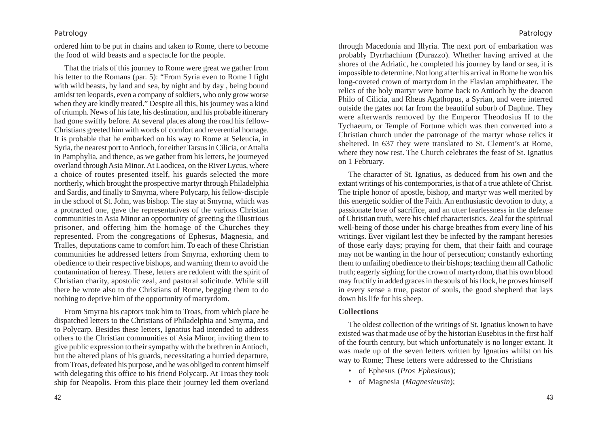ordered him to be put in chains and taken to Rome, there to become the food of wild beasts and a spectacle for the people.

That the trials of this journey to Rome were great we gather from his letter to the Romans (par. 5): "From Syria even to Rome I fight with wild beasts, by land and sea, by night and by day , being bound amidst ten leopards, even a company of soldiers, who only grow worse when they are kindly treated." Despite all this, his journey was a kind of triumph. News of his fate, his destination, and his probable itinerary had gone swiftly before. At several places along the road his fellow-Christians greeted him with words of comfort and reverential homage. It is probable that he embarked on his way to Rome at Seleucia, in Syria, the nearest port to Antioch, for either Tarsus in Cilicia, or Attalia in Pamphylia, and thence, as we gather from his letters, he journeyed overland through Asia Minor. At Laodicea, on the River Lycus, where a choice of routes presented itself, his guards selected the more northerly, which brought the prospective martyr through Philadelphia and Sardis, and finally to Smyrna, where Polycarp, his fellow-disciple in the school of St. John, was bishop. The stay at Smyrna, which was a protracted one, gave the representatives of the various Christian communities in Asia Minor an opportunity of greeting the illustrious prisoner, and offering him the homage of the Churches they represented. From the congregations of Ephesus, Magnesia, and Tralles, deputations came to comfort him. To each of these Christian communities he addressed letters from Smyrna, exhorting them to obedience to their respective bishops, and warning them to avoid the contamination of heresy. These, letters are redolent with the spirit of Christian charity, apostolic zeal, and pastoral solicitude. While still there he wrote also to the Christians of Rome, begging them to do nothing to deprive him of the opportunity of martyrdom.

From Smyrna his captors took him to Troas, from which place he dispatched letters to the Christians of Philadelphia and Smyrna, and to Polycarp. Besides these letters, Ignatius had intended to address others to the Christian communities of Asia Minor, inviting them to give public expression to their sympathy with the brethren in Antioch, but the altered plans of his guards, necessitating a hurried departure, from Troas, defeated his purpose, and he was obliged to content himself with delegating this office to his friend Polycarp. At Troas they took ship for Neapolis. From this place their journey led them overland

through Macedonia and Illyria. The next port of embarkation was probably Dyrrhachium (Durazzo). Whether having arrived at the shores of the Adriatic, he completed his journey by land or sea, it is impossible to determine. Not long after his arrival in Rome he won his long-coveted crown of martyrdom in the Flavian amphitheater. The relics of the holy martyr were borne back to Antioch by the deacon Philo of Cilicia, and Rheus Agathopus, a Syrian, and were interred outside the gates not far from the beautiful suburb of Daphne. They were afterwards removed by the Emperor Theodosius II to the Tychaeum, or Temple of Fortune which was then converted into a Christian church under the patronage of the martyr whose relics it sheltered. In 637 they were translated to St. Clement's at Rome, where they now rest. The Church celebrates the feast of St. Ignatius on 1 February.

The character of St. Ignatius, as deduced from his own and the extant writings of his contemporaries, is that of a true athlete of Christ. The triple honor of apostle, bishop, and martyr was well merited by this energetic soldier of the Faith. An enthusiastic devotion to duty, a passionate love of sacrifice, and an utter fearlessness in the defense of Christian truth, were his chief characteristics. Zeal for the spiritual well-being of those under his charge breathes from every line of his writings. Ever vigilant lest they be infected by the rampant heresies of those early days; praying for them, that their faith and courage may not be wanting in the hour of persecution; constantly exhorting them to unfailing obedience to their bishops; teaching them all Catholic truth; eagerly sighing for the crown of martyrdom, that his own blood may fructify in added graces in the souls of his flock, he proves himself in every sense a true, pastor of souls, the good shepherd that lays down his life for his sheep.

#### **Collections**

The oldest collection of the writings of St. Ignatius known to have existed was that made use of by the historian Eusebius in the first half of the fourth century, but which unfortunately is no longer extant. It was made up of the seven letters written by Ignatius whilst on his way to Rome; These letters were addressed to the Christians

- of Ephesus (*Pros Ephesious*);
- of Magnesia (*Magnesieusin*);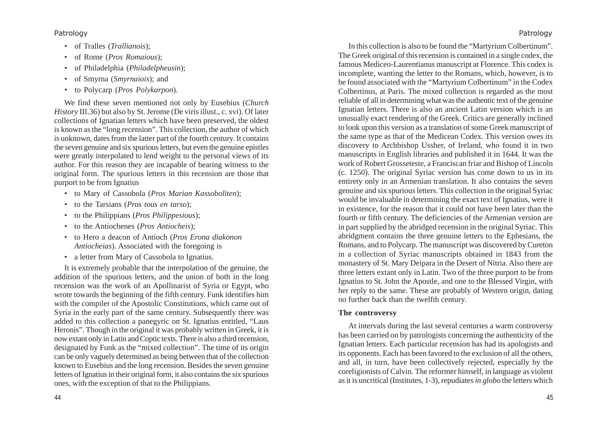- of Tralles ( *Trallianois*);
- of Rome (*Pros Romaious*);
- of Philadelphia (*Philadelpheusin*);
- of Smyrna (*Smyrnaiois*); and
- to Polycarp (*Pros Polykarpon*).

We find these seven mentioned not only by Eusebius (*Church History* III.36) but also by St. Jerome (De viris illust., c. xvi). Of later collections of Ignatian letters which have been preserved, the oldest is known as the "long recension". This collection, the author of which is unknown, dates from the latter part of the fourth century. It contains the seven genuine and six spurious letters, but even the genuine epistles were greatly interpolated to lend weight to the personal views of its author. For this reason they are incapable of bearing witness to the original form. The spurious letters in this recension are those that purport to be from Ignatius

- to Mary of Cassobola (*Pros Marian Kassoboliten*);
- to the Tarsians (*Pros tous en tarso*);
- to the Philippians (*Pros Philippesious*);
- to the Antiochenes (*Pros Antiocheis*);
- to Hero a deacon of Antioch (*Pros Erona diakonon Antiocheias*). Associated with the foregoing is
- a letter from Mary of Cassobola to Ignatius.

It is extremely probable that the interpolation of the genuine, the addition of the spurious letters, and the union of both in the long recension was the work of an Apollinarist of Syria or Egypt, who wrote towards the beginning of the fifth century. Funk identifies him with the compiler of the Apostolic Constitutions, which came out of Syria in the early part of the same century. Subsequently there was added to this collection a panegyric on St. Ignatius entitled, "Laus Heronis". Though in the original it was probably written in Greek, it is now extant only in Latin and Coptic texts. There is also a third recension, designated by Funk as the "mixed collection". The time of its origin can be only vaguely determined as being between that of the collection known to Eusebius and the long recension. Besides the seven genuine letters of Ignatius in their original form, it also contains the six spurious ones, with the exception of that to the Philippians.

In this collection is also to be found the "Martyrium Colbertinum". The Greek original of this recension is contained in a single codex, the famous Mediceo-Laurentianus manuscript at Florence. This codex is incomplete, wanting the letter to the Romans, which, however, is to be found associated with the "Martyrium Colbertinum" in the Codex Colbertinus, at Paris. The mixed collection is regarded as the most reliable of all in determining what was the authentic text of the genuine Ignatian letters. There is also an ancient Latin version which is an unusually exact rendering of the Greek. Critics are generally inclined to look upon this version as a translation of some Greek manuscript of the same type as that of the Medicean Codex. This version owes its discovery to Archbishop Ussher, of Ireland, who found it in two manuscripts in English libraries and published it in 1644. It was the work of Robert Grosseteste, a Franciscan friar and Bishop of Lincoln (c. 1250). The original Syriac version has come down to us in its entirety only in an Armenian translation. It also contains the seven genuine and six spurious letters. This collection in the original Syriac would be invaluable in determining the exact text of Ignatius, were it in existence, for the reason that it could not have been later than the fourth or fifth century. The deficiencies of the Armenian version are in part supplied by the abridged recension in the original Syriac. This abridgment contains the three genuine letters to the Ephesians, the Romans, and to Polycarp. The manuscript was discovered by Cureton in a collection of Syriac manuscripts obtained in 1843 from the monastery of St. Mary Deipara in the Desert of Nitria. Also there are three letters extant only in Latin. Two of the three purport to be from Ignatius to St. John the Apostle, and one to the Blessed Virgin, with her reply to the same. These are probably of Western origin, dating no further back than the twelfth century.

### **The controversy**

At intervals during the last several centuries a warm controversy has been carried on by patrologists concerning the authenticity of the Ignatian letters. Each particular recension has had its apologists and its opponents. Each has been favored to the exclusion of all the others, and all, in turn, have been collectively rejected, especially by the coreligionists of Calvin. The reformer himself, in language as violent as it is uncritical (Institutes, 1-3), repudiates *in globo* the letters which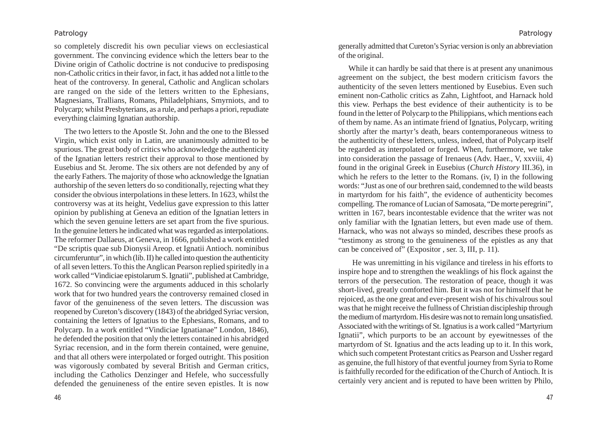so completely discredit his own peculiar views on ecclesiastical government. The convincing evidence which the letters bear to the Divine origin of Catholic doctrine is not conducive to predisposing non-Catholic critics in their favor, in fact, it has added not a little to the heat of the controversy. In general, Catholic and Anglican scholars are ranged on the side of the letters written to the Ephesians, Magnesians, Trallians, Romans, Philadelphians, Smyrniots, and to Polycarp; whilst Presbyterians, as a rule, and perhaps a priori, repudiate everything claiming Ignatian authorship.

The two letters to the Apostle St. John and the one to the Blessed Virgin, which exist only in Latin, are unanimously admitted to be spurious. The great body of critics who acknowledge the authenticity of the Ignatian letters restrict their approval to those mentioned by Eusebius and St. Jerome. The six others are not defended by any of the early Fathers. The majority of those who acknowledge the Ignatian authorship of the seven letters do so conditionally, rejecting what they consider the obvious interpolations in these letters. In 1623, whilst the controversy was at its height, Vedelius gave expression to this latter opinion by publishing at Geneva an edition of the Ignatian letters in which the seven genuine letters are set apart from the five spurious. In the genuine letters he indicated what was regarded as interpolations. The reformer Dallaeus, at Geneva, in 1666, published a work entitled "De scriptis quae sub Dionysii Areop. et Ignatii Antioch. nominibus circumferuntur", in which (lib. II) he called into question the authenticity of all seven letters. To this the Anglican Pearson replied spiritedly in a work called "Vindiciae epistolarum S. Ignatii", published at Cambridge, 1672. So convincing were the arguments adduced in this scholarly work that for two hundred years the controversy remained closed in favor of the genuineness of the seven letters. The discussion was reopened by Cureton's discovery (1843) of the abridged Syriac version, containing the letters of Ignatius to the Ephesians, Romans, and to Polycarp. In a work entitled "Vindiciae Ignatianae" London, 1846), he defended the position that only the letters contained in his abridged Syriac recension, and in the form therein contained, were genuine, and that all others were interpolated or forged outright. This position was vigorously combated by several British and German critics, including the Catholics Denzinger and Hefele, who successfully defended the genuineness of the entire seven epistles. It is now

generally admitted that Cureton's Syriac version is only an abbreviation of the original.

While it can hardly be said that there is at present any unanimous agreement on the subject, the best modern criticism favors the authenticity of the seven letters mentioned by Eusebius. Even such eminent non-Catholic critics as Zahn, Lightfoot, and Harnack hold this view. Perhaps the best evidence of their authenticity is to be found in the letter of Polycarp to the Philippians, which mentions each of them by name. As an intimate friend of Ignatius, Polycarp, writing shortly after the martyr's death, bears contemporaneous witness to the authenticity of these letters, unless, indeed, that of Polycarp itself be regarded as interpolated or forged. When, furthermore, we take into consideration the passage of Irenaeus (Adv. Haer., V, xxviii, 4) found in the original Greek in Eusebius (*Church History* III.36), in which he refers to the letter to the Romans. (iv, I) in the following words: "Just as one of our brethren said, condemned to the wild beasts in martyrdom for his faith", the evidence of authenticity becomes compelling. The romance of Lucian of Samosata, "De morte peregrini", written in 167, bears incontestable evidence that the writer was not only familiar with the Ignatian letters, but even made use of them. Harnack, who was not always so minded, describes these proofs as "testimony as strong to the genuineness of the epistles as any that can be conceived of" (Expositor , ser. 3, III, p. 11).

 He was unremitting in his vigilance and tireless in his efforts to inspire hope and to strengthen the weaklings of his flock against the terrors of the persecution. The restoration of peace, though it was short-lived, greatly comforted him. But it was not for himself that he rejoiced, as the one great and ever-present wish of his chivalrous soul was that he might receive the fullness of Christian discipleship through the medium of martyrdom. His desire was not to remain long unsatisfied. Associated with the writings of St. Ignatius is a work called "Martyrium Ignatii", which purports to be an account by eyewitnesses of the martyrdom of St. Ignatius and the acts leading up to it. In this work, which such competent Protestant critics as Pearson and Ussher regard as genuine, the full history of that eventful journey from Syria to Rome is faithfully recorded for the edification of the Church of Antioch. It is certainly very ancient and is reputed to have been written by Philo,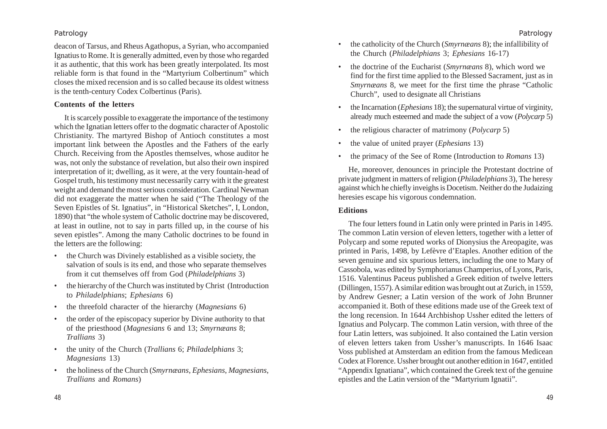deacon of Tarsus, and Rheus Agathopus, a Syrian, who accompanied Ignatius to Rome. It is generally admitted, even by those who regarded it as authentic, that this work has been greatly interpolated. Its most reliable form is that found in the "Martyrium Colbertinum" which closes the mixed recension and is so called because its oldest witness is the tenth-century Codex Colbertinus (Paris).

#### **Contents of the letters**

It is scarcely possible to exaggerate the importance of the testimony which the Ignatian letters offer to the dogmatic character of Apostolic Christianity. The martyred Bishop of Antioch constitutes a most important link between the Apostles and the Fathers of the early Church. Receiving from the Apostles themselves, whose auditor he was, not only the substance of revelation, but also their own inspired interpretation of it; dwelling, as it were, at the very fountain-head of Gospel truth, his testimony must necessarily carry with it the greatest weight and demand the most serious consideration. Cardinal Newman did not exaggerate the matter when he said ("The Theology of the Seven Epistles of St. Ignatius", in "Historical Sketches", I, London, 1890) that "the whole system of Catholic doctrine may be discovered, at least in outline, not to say in parts filled up, in the course of his seven epistles". Among the many Catholic doctrines to be found in the letters are the following:

- the Church was Divinely established as a visible society, the salvation of souls is its end, and those who separate themselves from it cut themselves off from God (*Philadelphians* 3)
- the hierarchy of the Church was instituted by Christ (Introduction to *Philadelphians*; *Ephesians* 6)
- the threefold character of the hierarchy (*Magnesians* 6)
- the order of the episcopacy superior by Divine authority to that of the priesthood (*Magnesians* 6 and 13; *Smyrnæans* 8; *Trallians* 3)
- the unity of the Church ( *Trallians* 6; *Philadelphians* 3; *Magnesians* 13)
- the holiness of the Church (*Smyrnæans*, *Ephesians*, *Magnesians*, *Trallians* and *Romans*)
- the catholicity of the Church (*Smyrnæans* 8); the infallibility of the Church (*Philadelphians* 3; *Ephesians* 16-17)
- the doctrine of the Eucharist (*Smyrnæans* 8), which word we find for the first time applied to the Blessed Sacrament, just as in *Smyrnæans* 8, we meet for the first time the phrase "Catholic Church", used to designate all Christians
- the Incarnation (*Ephesians* 18); the supernatural virtue of virginity, already much esteemed and made the subject of a vow (*Polycarp* 5)
- the religious character of matrimony (*Polycarp* 5)
- the value of united prayer (*Ephesians* 13)
- the primacy of the See of Rome (Introduction to *Romans* 13)

He, moreover, denounces in principle the Protestant doctrine of private judgment in matters of religion (*Philadelphians* 3), The heresy against which he chiefly inveighs is Docetism. Neither do the Judaizing heresies escape his vigorous condemnation.

#### **Editions**

The four letters found in Latin only were printed in Paris in 1495. The common Latin version of eleven letters, together with a letter of Polycarp and some reputed works of Dionysius the Areopagite, was printed in Paris, 1498, by Lefèvre d'Etaples. Another edition of the seven genuine and six spurious letters, including the one to Mary of Cassobola, was edited by Symphorianus Champerius, of Lyons, Paris, 1516. Valentinus Paceus published a Greek edition of twelve letters (Dillingen, 1557). A similar edition was brought out at Zurich, in 1559, by Andrew Gesner; a Latin version of the work of John Brunner accompanied it. Both of these editions made use of the Greek text of the long recension. In 1644 Archbishop Ussher edited the letters of Ignatius and Polycarp. The common Latin version, with three of the four Latin letters, was subjoined. It also contained the Latin version of eleven letters taken from Ussher's manuscripts. In 1646 Isaac Voss published at Amsterdam an edition from the famous Medicean Codex at Florence. Ussher brought out another edition in 1647, entitled "Appendix Ignatiana", which contained the Greek text of the genuine epistles and the Latin version of the "Martyrium Ignatii".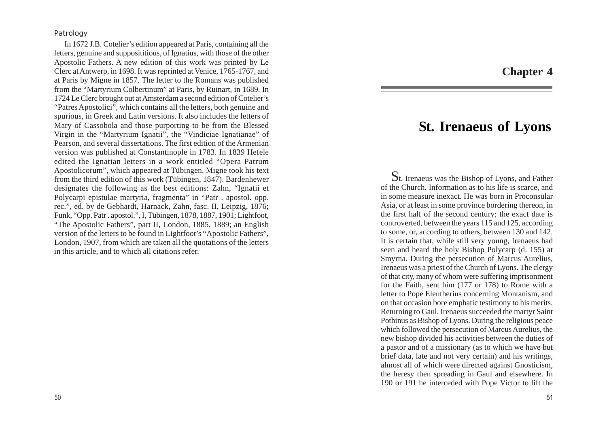In 1672 J.B. Cotelier's edition appeared at Paris, containing all the letters, genuine and supposititious, of Ignatius, with those of the other Apostolic Fathers. A new edition of this work was printed by Le Clerc at Antwerp, in 1698. It was reprinted at Venice, 1765-1767, and at Paris by Migne in 1857. The letter to the Romans was published from the "Martyrium Colbertinum" at Paris, by Ruinart, in 1689. In 1724 Le Clerc brought out at Amsterdam a second edition of Cotelier's "Patres Apostolici", which contains all the letters, both genuine and spurious, in Greek and Latin versions. It also includes the letters of Mary of Cassobola and those purporting to be from the Blessed Virgin in the "Martyrium Ignatii", the "Vindiciae Ignatianae" of Pearson, and several dissertations. The first edition of the Armenian version was published at Constantinople in 1783. In 1839 Hefele edited the Ignatian letters in a work entitled "Opera Patrum Apostolicorum", which appeared at Tübingen. Migne took his text from the third edition of this work (Tübingen, 1847). Bardenhewer designates the following as the best editions: Zahn, "Ignatii et Polycarpi epistulae martyria, fragmenta" in "Patr . apostol. opp. rec.", ed. by de Gebhardt, Harnack, Zahn, fasc. II, Leipzig, 1876; Funk, "Opp. Patr . apostol.", I, Tübingen, 1878, 1887, 1901; Lightfoot, "The Apostolic Fathers", part II, London, 1885, 1889; an English version of the letters to be found in Lightfoot's "Apostolic Fathers", London, 1907, from which are taken all the quotations of the letters in this article, and to which all citations refer.

### **Chapter 4**

# **St. Irenaeus of Lyons**

St. Irenaeus was the Bishop of Lyons, and Father of the Church. Information as to his life is scarce, and in some measure inexact. He was born in Proconsular Asia, or at least in some province bordering thereon, in the first half of the second century; the exact date is controverted, between the years 115 and 125, according to some, or, according to others, between 130 and 142. It is certain that, while still very young, Irenaeus had seen and heard the holy Bishop Polycarp (d. 155) at Smyrna. During the persecution of Marcus Aurelius, Irenaeus was a priest of the Church of Lyons. The clergy of that city, many of whom were suffering imprisonment for the Faith, sent him (177 or 178) to Rome with a letter to Pope Eleutherius concerning Montanism, and on that occasion bore emphatic testimony to his merits. Returning to Gaul, Irenaeus succeeded the martyr Saint Pothinus as Bishop of Lyons. During the religious peace which followed the persecution of Marcus Aurelius, the new bishop divided his activities between the duties of a pastor and of a missionary (as to which we have but brief data, late and not very certain) and his writings, almost all of which were directed against Gnosticism, the heresy then spreading in Gaul and elsewhere. In 190 or 191 he interceded with Pope Victor to lift the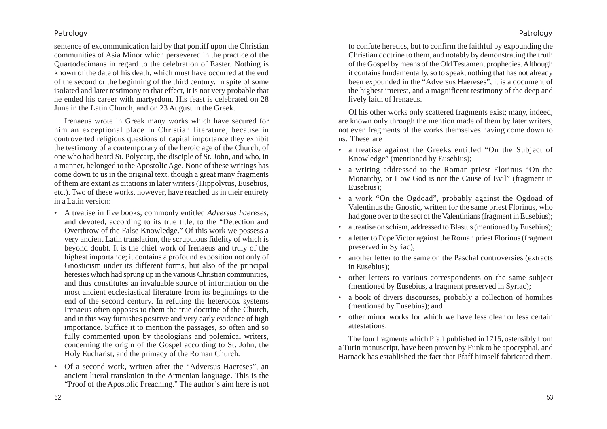sentence of excommunication laid by that pontiff upon the Christian communities of Asia Minor which persevered in the practice of the Quartodecimans in regard to the celebration of Easter. Nothing is known of the date of his death, which must have occurred at the end of the second or the beginning of the third century. In spite of some isolated and later testimony to that effect, it is not very probable that he ended his career with martyrdom. His feast is celebrated on 28 June in the Latin Church, and on 23 August in the Greek.

Irenaeus wrote in Greek many works which have secured for him an exceptional place in Christian literature, because in controverted religious questions of capital importance they exhibit the testimony of a contemporary of the heroic age of the Church, of one who had heard St. Polycarp, the disciple of St. John, and who, in a manner, belonged to the Apostolic Age. None of these writings has come down to us in the original text, though a great many fragments of them are extant as citations in later writers (Hippolytus, Eusebius, etc.). Two of these works, however, have reached us in their entirety in a Latin version:

- A treatise in five books, commonly entitled *Adversus haereses*, and devoted, according to its true title, to the "Detection and Overthrow of the False Knowledge." Of this work we possess a very ancient Latin translation, the scrupulous fidelity of which is beyond doubt. It is the chief work of Irenaeus and truly of the highest importance; it contains a profound exposition not only of Gnosticism under its different forms, but also of the principal heresies which had sprung up in the various Christian communities, and thus constitutes an invaluable source of information on the most ancient ecclesiastical literature from its beginnings to the end of the second century. In refuting the heterodox systems Irenaeus often opposes to them the true doctrine of the Church, and in this way furnishes positive and very early evidence of high importance. Suffice it to mention the passages, so often and so fully commented upon by theologians and polemical writers, concerning the origin of the Gospel according to St. John, the Holy Eucharist, and the primacy of the Roman Church.
- Of a second work, written after the "Adversus Haereses", an ancient literal translation in the Armenian language. This is the "Proof of the Apostolic Preaching." The author's aim here is not

to confute heretics, but to confirm the faithful by expounding the Christian doctrine to them, and notably by demonstrating the truth of the Gospel by means of the Old Testament prophecies. Although it contains fundamentally, so to speak, nothing that has not already been expounded in the "Adversus Haereses", it is a document of the highest interest, and a magnificent testimony of the deep and lively faith of Irenaeus.

Of his other works only scattered fragments exist; many, indeed, are known only through the mention made of them by later writers, not even fragments of the works themselves having come down to us. These are

- a treatise against the Greeks entitled "On the Subject of Knowledge" (mentioned by Eusebius);
- a writing addressed to the Roman priest Florinus "On the Monarchy, or How God is not the Cause of Evil" (fragment in Eusebius);
- a work "On the Ogdoad", probably against the Ogdoad of Valentinus the Gnostic, written for the same priest Florinus, who had gone over to the sect of the Valentinians (fragment in Eusebius);
- a treatise on schism, addressed to Blastus (mentioned by Eusebius);
- a letter to Pope Victor against the Roman priest Florinus (fragment preserved in Syriac);
- another letter to the same on the Paschal controversies (extracts in Eusebius);
- other letters to various correspondents on the same subject (mentioned by Eusebius, a fragment preserved in Syriac);
- a book of divers discourses, probably a collection of homilies (mentioned by Eusebius); and
- other minor works for which we have less clear or less certain attestations.

The four fragments which Pfaff published in 1715, ostensibly from a Turin manuscript, have been proven by Funk to be apocryphal, and Harnack has established the fact that Pfaff himself fabricated them.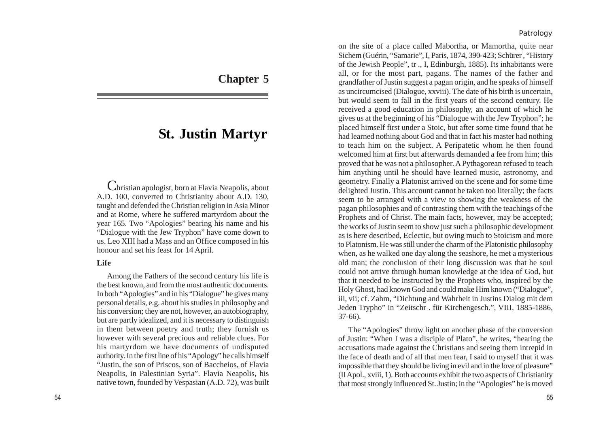# **St. Justin Martyr**

Christian apologist, born at Flavia Neapolis, about A.D. 100, converted to Christianity about A.D. 130, taught and defended the Christian religion in Asia Minor and at Rome, where he suffered martyrdom about the year 165. Two "Apologies" bearing his name and his "Dialogue with the Jew Tryphon" have come down to us. Leo XIII had a Mass and an Office composed in his honour and set his feast for 14 April.

#### **Life**

Among the Fathers of the second century his life is the best known, and from the most authentic documents. In both "Apologies" and in his "Dialogue" he gives many personal details, e.g. about his studies in philosophy and his conversion; they are not, however, an autobiography, but are partly idealized, and it is necessary to distinguish in them between poetry and truth; they furnish us however with several precious and reliable clues. For his martyrdom we have documents of undisputed authority. In the first line of his "Apology" he calls himself "Justin, the son of Priscos, son of Baccheios, of Flavia Neapolis, in Palestinian Syria". Flavia Neapolis, his native town, founded by Vespasian (A.D. 72), was built

Patrology

on the site of a place called Mabortha, or Mamortha, quite near Sichem (Guérin, "Samarie", I, Paris, 1874, 390-423; Schürer , "History of the Jewish People", tr ., I, Edinburgh, 1885). Its inhabitants were all, or for the most part, pagans. The names of the father and grandfather of Justin suggest a pagan origin, and he speaks of himself as uncircumcised (Dialogue, xxviii). The date of his birth is uncertain, but would seem to fall in the first years of the second century. He received a good education in philosophy, an account of which he gives us at the beginning of his "Dialogue with the Jew Tryphon"; he placed himself first under a Stoic, but after some time found that he had learned nothing about God and that in fact his master had nothing to teach him on the subject. A Peripatetic whom he then found welcomed him at first but afterwards demanded a fee from him; this proved that he was not a philosopher. A Pythagorean refused to teach him anything until he should have learned music, astronomy, and geometry. Finally a Platonist arrived on the scene and for some time delighted Justin. This account cannot be taken too literally; the facts seem to be arranged with a view to showing the weakness of the pagan philosophies and of contrasting them with the teachings of the Prophets and of Christ. The main facts, however, may be accepted; the works of Justin seem to show just such a philosophic development as is here described, Eclectic, but owing much to Stoicism and more to Platonism. He was still under the charm of the Platonistic philosophy when, as he walked one day along the seashore, he met a mysterious old man; the conclusion of their long discussion was that he soul could not arrive through human knowledge at the idea of God, but that it needed to be instructed by the Prophets who, inspired by the Holy Ghost, had known God and could make Him known ("Dialogue", iii, vii; cf. Zahm, "Dichtung and Wahrheit in Justins Dialog mit dem Jeden Trypho" in "Zeitschr . für Kirchengesch.", VIII, 1885-1886, 37-66).

The "Apologies" throw light on another phase of the conversion of Justin: "When I was a disciple of Plato", he writes, "hearing the accusations made against the Christians and seeing them intrepid in the face of death and of all that men fear, I said to myself that it was impossible that they should be living in evil and in the love of pleasure" (II Apol., xviii, 1). Both accounts exhibit the two aspects of Christianity that most strongly influenced St. Justin; in the "Apologies" he is moved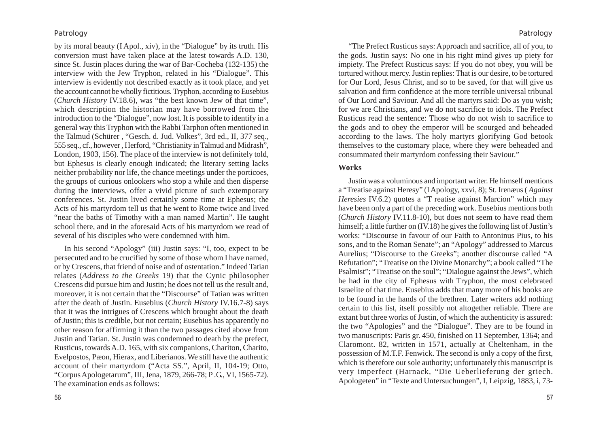by its moral beauty (I Apol., xiv), in the "Dialogue" by its truth. His conversion must have taken place at the latest towards A.D. 130, since St. Justin places during the war of Bar-Cocheba (132-135) the interview with the Jew Tryphon, related in his "Dialogue". This interview is evidently not described exactly as it took place, and yet the account cannot be wholly fictitious. Tryphon, according to Eusebius (*Church History* IV.18.6), was "the best known Jew of that time", which description the historian may have borrowed from the introduction to the "Dialogue", now lost. It is possible to identify in a general way this Tryphon with the Rabbi Tarphon often mentioned in the Talmud (Schürer , "Gesch. d. Jud. Volkes", 3rd ed., II, 377 seq., 555 seq., cf., however , Herford, "Christianity in Talmud and Midrash", London, 1903, 156). The place of the interview is not definitely told, but Ephesus is clearly enough indicated; the literary setting lacks neither probability nor life, the chance meetings under the porticoes, the groups of curious onlookers who stop a while and then disperse during the interviews, offer a vivid picture of such extemporary conferences. St. Justin lived certainly some time at Ephesus; the Acts of his martyrdom tell us that he went to Rome twice and lived "near the baths of Timothy with a man named Martin". He taught school there, and in the aforesaid Acts of his martyrdom we read of several of his disciples who were condemned with him.

In his second "Apology" (iii) Justin says: "I, too, expect to be persecuted and to be crucified by some of those whom I have named, or by Crescens, that friend of noise and of ostentation." Indeed Tatian relates (*Address to the Greeks* 19) that the Cynic philosopher Crescens did pursue him and Justin; he does not tell us the result and, moreover, it is not certain that the "Discourse" of Tatian was written after the death of Justin. Eusebius (*Church History* IV.16.7-8) says that it was the intrigues of Crescens which brought about the death of Justin; this is credible, but not certain; Eusebius has apparently no other reason for affirming it than the two passages cited above from Justin and Tatian. St. Justin was condemned to death by the prefect, Rusticus, towards A.D. 165, with six companions, Chariton, Charito, Evelpostos, Pæon, Hierax, and Liberianos. We still have the authentic account of their martyrdom ("Acta SS.", April, II, 104-19; Otto, "Corpus Apologetarum", III, Jena, 1879, 266-78; P .G., VI, 1565-72). The examination ends as follows:

"The Prefect Rusticus says: Approach and sacrifice, all of you, to the gods. Justin says: No one in his right mind gives up piety for impiety. The Prefect Rusticus says: If you do not obey, you will be tortured without mercy. Justin replies: That is our desire, to be tortured for Our Lord, Jesus Christ, and so to be saved, for that will give us salvation and firm confidence at the more terrible universal tribunal of Our Lord and Saviour. And all the martyrs said: Do as you wish; for we are Christians, and we do not sacrifice to idols. The Prefect Rusticus read the sentence: Those who do not wish to sacrifice to the gods and to obey the emperor will be scourged and beheaded according to the laws. The holy martyrs glorifying God betook themselves to the customary place, where they were beheaded and consummated their martyrdom confessing their Saviour."

#### **Works**

Justin was a voluminous and important writer. He himself mentions a "Treatise against Heresy" (I Apology, xxvi, 8); St. Irenæus ( *Against Heresies* IV.6.2) quotes a "T reatise against Marcion" which may have been only a part of the preceding work. Eusebius mentions both (*Church History* IV.11.8-10), but does not seem to have read them himself; a little further on (IV.18) he gives the following list of Justin's works: "Discourse in favour of our Faith to Antoninus Pius, to his sons, and to the Roman Senate"; an "Apology" addressed to Marcus Aurelius; "Discourse to the Greeks"; another discourse called "A Refutation"; "Treatise on the Divine Monarchy"; a book called "The Psalmist"; "Treatise on the soul"; "Dialogue against the Jews", which he had in the city of Ephesus with Tryphon, the most celebrated Israelite of that time. Eusebius adds that many more of his books are to be found in the hands of the brethren. Later writers add nothing certain to this list, itself possibly not altogether reliable. There are extant but three works of Justin, of which the authenticity is assured: the two "Apologies" and the "Dialogue". They are to be found in two manuscripts: Paris gr. 450, finished on 11 September, 1364; and Claromont. 82, written in 1571, actually at Cheltenham, in the possession of M.T.F. Fenwick. The second is only a copy of the first, which is therefore our sole authority; unfortunately this manuscript is very imperfect (Harnack, "Die Ueberlieferung der griech. Apologeten" in "Texte and Untersuchungen", I, Leipzig, 1883, i, 73-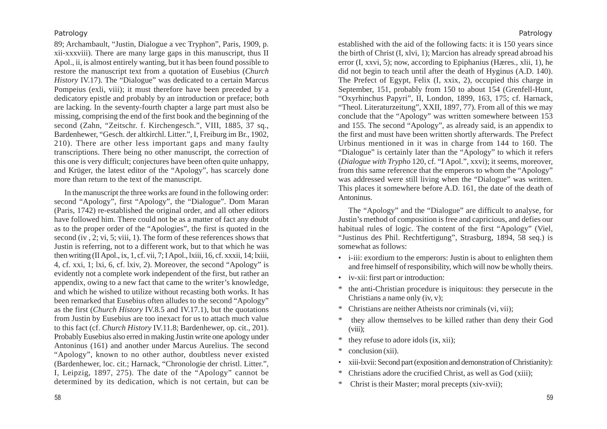89; Archambault, "Justin, Dialogue a vec Tryphon", Paris, 1909, p. xii-xxxviii). There are many large gaps in this manuscript, thus II Apol., ii, is almost entirely wanting, but it has been found possible to restore the manuscript text from a quotation of Eusebius (*Church History* IV.17). The "Dialogue" was dedicated to a certain Marcus Pompeius (exli, viii); it must therefore have been preceded by a dedicatory epistle and probably by an introduction or preface; both are lacking. In the seventy-fourth chapter a large part must also be missing, comprising the end of the first book and the beginning of the second (Zahn, "Zeitschr. f. Kirchengesch.", VIII, 1885, 37 sq., Bardenhewer, "Gesch. der altkirchl. Litter.", I, Freiburg im Br., 1902, 210). There are other less important gaps and many faulty transcriptions. There being no other manuscript, the correction of this one is very difficult; conjectures have been often quite unhappy, and Krüger, the latest editor of the "Apology", has scarcely done more than return to the text of the manuscript.

In the manuscript the three works are found in the following order: second "Apology", first "Apology", the "Dialogue". Dom Maran (Paris, 1742) re-established the original order, and all other editors have followed him. There could not be as a matter of fact any doubt as to the proper order of the "Apologies", the first is quoted in the second (iv , 2; vi, 5; viii, 1). The form of these references shows that Justin is referring, not to a different work, but to that which he was then writing (II Apol., ix, 1, cf. vii, 7; I Apol., lxiii, 16, cf. xxxii, 14; lxiii, 4, cf. xxi, 1; lxi, 6, cf. lxiv, 2). Moreover, the second "Apology" is evidently not a complete work independent of the first, but rather an appendix, owing to a new fact that came to the writer's knowledge, and which he wished to utilize without recasting both works. It has been remarked that Eusebius often alludes to the second "Apology" as the first (*Church History* IV.8.5 and IV.17.1), but the quotations from Justin by Eusebius are too inexact for us to attach much value to this fact (cf. *Church History* IV.11.8; Bardenhewer, op. cit., 201). Probably Eusebius also erred in making Justin write one apology under Antoninus (161) and another under Marcus Aurelius. The second "Apology", known to no other author, doubtless never existed (Bardenhewer, loc. cit.; Harnack, "Chronologie der christl. Litter.", I, Leipzig, 1897, 275). The date of the "Apology" cannot be determined by its dedication, which is not certain, but can be

established with the aid of the following facts: it is 150 years since the birth of Christ (I, xlvi, 1); Marcion has already spread abroad his error (I, xxvi, 5); now, according to Epiphanius (Hæres., xlii, 1), he did not begin to teach until after the death of Hyginus (A.D. 140). The Prefect of Egypt, Felix (I, xxix, 2), occupied this charge in September, 151, probably from 150 to about 154 (Grenfell-Hunt, "Oxyrhinchus Papyri", II, London, 1899, 163, 175; cf. Harnack, "Theol. Literaturzeitung", XXII, 1897, 77). From all of this we may conclude that the "Apology" was written somewhere between 153 and 155. The second "Apology", as already said, is an appendix to the first and must have been written shortly afterwards. The Prefect Urbinus mentioned in it was in charge from 144 to 160. The "Dialogue" is certainly later than the "Apology" to which it refers (*Dialogue with Trypho* 120, cf. "I Apol.", xxvi); it seems, moreover, from this same reference that the emperors to whom the "Apology" was addressed were still living when the "Dialogue" was written. This places it somewhere before A.D. 161, the date of the death of Antoninus.

The "Apology" and the "Dialogue" are difficult to analyse, for Justin's method of composition is free and capricious, and defies our habitual rules of logic. The content of the first "Apology" (Viel, "Justinus des Phil. Rechtfertigung", Strasburg, 1894, 58 seq.) is somewhat as follows:

- i-iii: exordium to the emperors: Justin is about to enlighten them and free himself of responsibility, which will now be wholly theirs.
- iv-xii: first part or introduction:
- the anti-Christian procedure is iniquitous: they persecute in the Christians a name only (iv, v);
- \* Christians are neither Atheists nor criminals (vi, vii);
- \* they allow themselves to be killed rather than deny their God (viii);
- they refuse to adore idols (ix, xii);
- conclusion (xii).
- xiii-lxvii: Second part (exposition and demonstration of Christianity):
- Christians adore the crucified Christ, as well as God (xiii);
- \* Christ is their Master; moral precepts (xiv-xvii);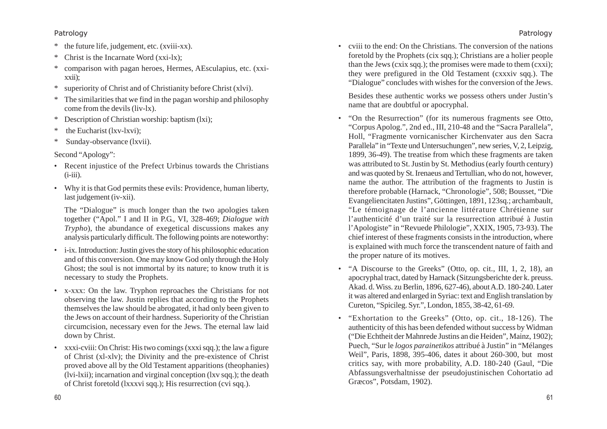- \* the future life, judgement, etc. (xviii-xx).
- \* Christ is the Incarnate Word (xxi-lx);
- \* comparison with pagan heroes, Hermes, AEsculapius, etc. (xxixxii);
- \* superiority of Christ and of Christianity before Christ (xlvi).
- \* The similarities that we find in the pagan worship and philosophy come from the devils (liv-lx).
- \* Description of Christian worship: baptism (lxi);
- \* the Eucharist (lxv-lxvi);
- Sunday-observance (lxvii).

### Second "Apology":

- Recent injustice of the Prefect Urbinus towards the Christians  $(i$ -iii).
- Why it is that God permits these evils: Providence, human liberty, last judgement (iv-xii).

The "Dialogue" is much longer than the two apologies taken together ("Apol." I and II in P.G., VI, 328-469; *Dialogue with Trypho*), the abundance of exegetical discussions makes any analysis particularly difficult. The following points are noteworthy:

- i-ix. Introduction: Justin gives the story of his philosophic education and of this conversion. One may know God only through the Holy Ghost; the soul is not immortal by its nature; to know truth it is necessary to study the Prophets.
- x-xxx: On the law. Tryphon reproaches the Christians for not observing the law. Justin replies that according to the Prophets themselves the law should be abrogated, it had only been given to the Jews on account of their hardness. Superiority of the Christian circumcision, necessary even for the Jews. The eternal law laid down by Christ.
- xxxi-cviii: On Christ: His two comings (xxxi sqq.); the law a figure of Christ (xl-xlv); the Divinity and the pre-existence of Christ proved above all by the Old Testament apparitions (theophanies) (lvi-lxii); incarnation and virginal conception (lxv sqq.); the death of Christ foretold (lxxxvi sqq.); His resurrection (cvi sqq.).

• cviii to the end: On the Christians. The conversion of the nations foretold by the Prophets (cix sqq.); Christians are a holier people than the Jews (cxix sqq.); the promises were made to them (cxxi); they were prefigured in the Old Testament (cxxxiv sqq.). The "Dialogue" concludes with wishes for the conversion of the Jews.

Besides these authentic works we possess others under Justin's name that are doubtful or apocryphal.

- "On the Resurrection" (for its numerous fragments see Otto, "Corpus Apolog.", 2nd ed., III, 210-48 and the "Sacra Parallela", Holl, "Fragmente vornicanischer Kirchenvater aus den Sacra Parallela" in "Texte und Untersuchungen", new series, V, 2, Leipzig, 1899, 36-49). The treatise from which these fragments are taken was attributed to St. Justin by St. Methodius (early fourth century) and was quoted by St. Irenaeus and Tertullian, who do not, however, name the author. The attribution of the fragments to Justin is therefore probable (Harnack, "Chronologie", 508; Bousset, "Die Evangeliencitaten Justins", Göttingen, 1891, 123sq.; archambault, "Le témoignage de l'ancienne littérature Chrétienne sur l'authenticité d'un traité sur la resurrection attribué à Justin l'Apologiste" in "Revuede Philologie", XXIX, 1905, 73-93). The chief interest of these fragments consists in the introduction, where is explained with much force the transcendent nature of faith and the proper nature of its motives.
- "A Discourse to the Greeks" (Otto, op. cit., III, 1, 2, 18), an apocryphal tract, dated by Harnack (Sitzungsberichte der k. preuss. Akad. d. Wiss. zu Berlin, 1896, 627-46), about A.D. 180-240. Later it was altered and enlarged in Syriac: text and English translation by Cureton, "Spicileg. Syr.", London, 1855, 38-42, 61-69.
- "Exhortation to the Greeks" (Otto, op. cit., 18-126). The authenticity of this has been defended without success by Widman ("Die Echtheit der Mahnrede Justins an die Heiden", Mainz, 1902); Puech, "Sur le *logos parainetikos* attribué à Justin" in "Mélanges Weil", Paris, 1898, 395-406, dates it about 260-300, but most critics say, with more probability, A.D. 180-240 (Gaul, "Die Abfassungsverhaltnisse der pseudojustinischen Cohortatio ad Græcos", Potsdam, 1902).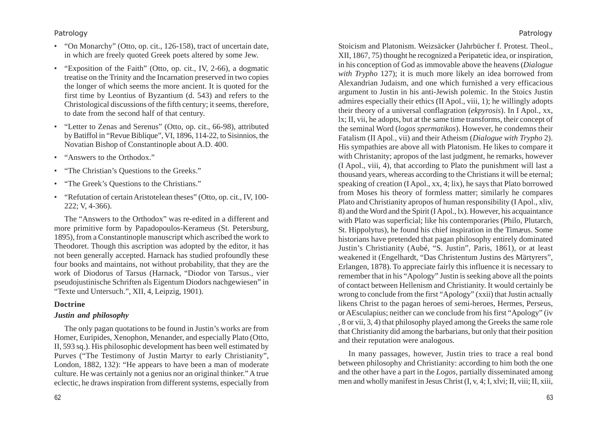#### Patrology

- "On Monarchy" (Otto, op. cit., 126-158), tract of uncertain date, in which are freely quoted Greek poets altered by some Jew.
- "Exposition of the Faith" (Otto, op. cit., IV, 2-66), a dogmatic treatise on the Trinity and the Incarnation preserved in two copies the longer of which seems the more ancient. It is quoted for the first time by Leontius of Byzantium (d. 543) and refers to the Christological discussions of the fifth century; it seems, therefore, to date from the second half of that century.
- "Letter to Zenas and Serenus" (Otto, op. cit., 66-98), attributed by Batiffol in "Revue Biblique", VI, 1896, 114-22, to Sisinnios, the Novatian Bishop of Constantinople about A.D. 400.
- "Answers to the Orthodox."
- "The Christian's Questions to the Greeks."
- "The Greek's Questions to the Christians."
- "Refutation of certain Aristotelean theses" (Otto, op. cit., IV, 100- 222; V, 4-366).

The "Answers to the Orthodox" was re-edited in a different and more primitive form by Papadopoulos-Kerameus (St. Petersburg, 1895), from a Constantinople manuscript which ascribed the work to Theodoret. Though this ascription was adopted by the editor, it has not been generally accepted. Harnack has studied profoundly these four books and maintains, not without probability, that they are the work of Diodorus of Tarsus (Harnack, "Diodor von Tarsus., vier pseudojustinische Schriften als Eigentum Diodors nachgewiesen" in "Texte und Untersuch.", XII, 4, Leipzig, 1901).

### **Doctrine**

### *Justin and philosophy*

The only pagan quotations to be found in Justin's works are from Homer, Euripides, Xenophon, Menander, and especially Plato (Otto, II, 593 sq.). His philosophic development has been well estimated by Purves ("The Testimony of Justin Martyr to early Christianity", London, 1882, 132): "He appears to have been a man of moderate culture. He was certainly not a genius nor an original thinker." A true eclectic, he draws inspiration from different systems, especially from

62 63

Stoicism and Platonism. Weizsäcker (Jahrbücher f. Protest. Theol., XII, 1867, 75) thought he recognized a Peripatetic idea, or inspiration, in his conception of God as immovable above the heavens (*Dialogue with Trypho* 127); it is much more likely an idea borrowed from Alexandrian Judaism, and one which furnished a very efficacious argument to Justin in his anti-Jewish polemic. In the Stoics Justin admires especially their ethics (II Apol., viii, 1); he willingly adopts their theory of a universal conflagration (*ekpyrosis*). In I Apol., xx, lx; II, vii, he adopts, but at the same time transforms, their concept of the seminal Word (*logos spermatikos*). However, he condemns their Fatalism (II Apol., vii) and their Atheism (*Dialogue with Trypho* 2). His sympathies are above all with Platonism. He likes to compare it with Christanity; apropos of the last judgment, he remarks, however (I Apol., viii, 4), that according to Plato the punishment will last a thousand years, whereas according to the Christians it will be eternal; speaking of creation (I Apol., xx, 4; lix), he says that Plato borrowed from Moses his theory of formless matter; similarly he compares Plato and Christianity apropos of human responsibility (I Apol., xliv, 8) and the Word and the Spirit (I Apol., lx). However, his acquaintance with Plato was superficial; like his contemporaries (Philo, Plutarch, St. Hippolytus), he found his chief inspiration in the Timæus. Some historians have pretended that pagan philosophy entirely dominated Justin's Christianity (Aubé, "S. Justin", Paris, 1861), or at least weakened it (Engelhardt, "Das Christentum Justins des Märtyrers", Erlangen, 1878). To appreciate fairly this influence it is necessary to remember that in his "Apology" Justin is seeking above all the points of contact between Hellenism and Christianity. It would certainly be wrong to conclude from the first "Apology" (xxii) that Justin actually likens Christ to the pagan heroes of semi-heroes, Hermes, Perseus, or AEsculapius; neither can we conclude from his first "Apology" (iv , 8 or vii, 3, 4) that philosophy played among the Greeks the same role that Christianity did among the barbarians, but only that their position and their reputation were analogous.

In many passages, however, Justin tries to trace a real bond between philosophy and Christianity: according to him both the one and the other have a part in the *Logos*, partially disseminated among men and wholly manifest in Jesus Christ (I, v, 4; I, xlvi; II, viii; II, xiii,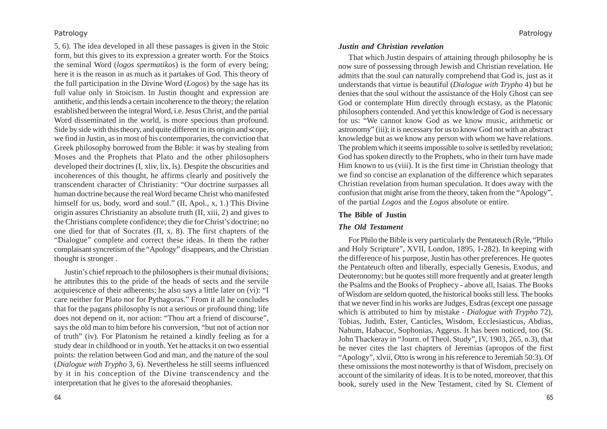5, 6). The idea developed in all these passages is given in the Stoic form, but this gives to its expression a greater worth. For the Stoics the seminal Word (*logos spermatikos*) is the form of every being; here it is the reason in as much as it partakes of God. This theory of the full participation in the Divine Word (*Logos*) by the sage has its full value only in Stoicism. In Justin thought and expression are antithetic, and this lends a certain incoherence to the theory; the relation established between the integral Word, i.e. Jesus Christ, and the partial Word disseminated in the world, is more specious than profound. Side by side with this theory, and quite different in its origin and scope, we find in Justin, as in most of his contemporaries, the conviction that Greek philosophy borrowed from the Bible: it was by stealing from Moses and the Prophets that Plato and the other philosophers developed their doctrines (I, xliv, lix, ls). Despite the obscurities and incoherences of this thought, he affirms clearly and positively the transcendent character of Christianity: "Our doctrine surpasses all human doctrine because the real Word became Christ who manifested himself for us, body, word and soul." (II, Apol., x, 1.) This Divine origin assures Christianity an absolute truth (II, xiii, 2) and gives to the Christians complete confidence; they die for Christ's doctrine; no one died for that of Socrates (II, x, 8). The first chapters of the "Dialogue" complete and correct these ideas. In them the rather complaisant syncretism of the "Apology" disappears, and the Christian thought is stronger .

Justin's chief reproach to the philosophers is their mutual divisions; he attributes this to the pride of the heads of sects and the servile acquiescence of their adherents; he also says a little later on (vi): "I care neither for Plato nor for Pythagoras." From it all he concludes that for the pagans philosophy is not a serious or profound thing; life does not depend on it, nor action: "Thou art a friend of discourse", says the old man to him before his conversion, "but not of action nor of truth" (iv). For Platonism he retained a kindly feeling as for a study dear in childhood or in youth. Yet he attacks it on two essential points: the relation between God and man, and the nature of the soul (*Dialogue with Trypho* 3, 6). Nevertheless he still seems influenced by it in his conception of the Divine transcendency and the interpretation that he gives to the aforesaid theophanies.

#### *Justin and Christian revelation*

That which Justin despairs of attaining through philosophy he is now sure of possessing through Jewish and Christian revelation. He admits that the soul can naturally comprehend that God is, just as it understands that virtue is beautiful (*Dialogue with Trypho* 4) but he denies that the soul without the assistance of the Holy Ghost can see God or contemplate Him directly through ecstasy, as the Platonic philosophers contended. And yet this knowledge of God is necessary for us: "We cannot know God as we know music, arithmetic or astronomy" (iii); it is necessary for us to know God not with an abstract knowledge but as we know any person with whom we have relations. The problem which it seems impossible to solve is settled by revelation; God has spoken directly to the Prophets, who in their turn have made Him known to us (viii). It is the first time in Christian theology that we find so concise an explanation of the difference which separates Christian revelation from human speculation. It does away with the confusion that might arise from the theory, taken from the "Apology", of the partial *Logos* and the *Logos* absolute or entire.

#### **The Bible of Justin**

#### *The Old Testament*

For Philo the Bible is very particularly the Pentateuch (Ryle, "Philo and Holy Scripture", XVII, London, 1895, 1-282). In keeping with the difference of his purpose, Justin has other preferences. He quotes the Pentateuch often and liberally, especially Genesis, Exodus, and Deuteronomy; but he quotes still more frequently and at greater length the Psalms and the Books of Prophecy - above all, Isaias. The Books of Wisdom are seldom quoted, the historical books still less. The books that we never find in his works are Judges, Esdras (except one passage which is attributed to him by mistake - *Dialogue with Trypho* 72), Tobias, Judith, Ester, Canticles, Wisdom, Ecclesiasticus, Abdias, Nahum, Habacuc, Sophonias, Aggeus. It has been noticed, too (St. John Thackeray in "Journ. of Theol. Study", IV, 1903, 265, n.3), that he never cites the last chapters of Jeremias (apropos of the first "Apology", xlvii, Otto is wrong in his reference to Jeremiah 50:3). Of these omissions the most noteworthy is that of Wisdom, precisely on account of the similarity of ideas. It is to be noted, moreover, that this book, surely used in the New Testament, cited by St. Clement of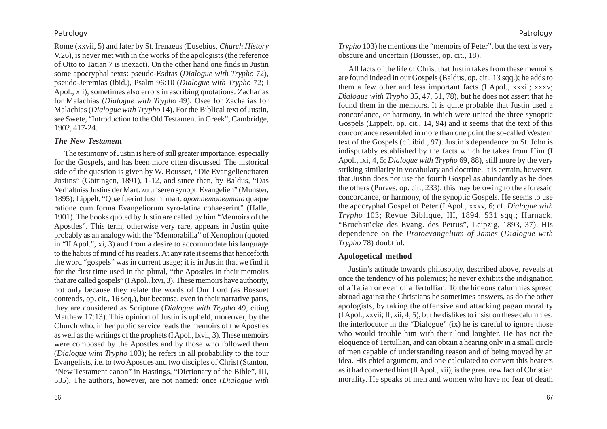Rome (xxvii, 5) and later by St. Irenaeus (Eusebius, *Church History* V.26), is never met with in the works of the apologists (the reference of Otto to Tatian 7 is inexact). On the other hand one finds in Justin some apocryphal texts: pseudo-Esdras (*Dialogue with Trypho* 72), pseudo-Jeremias (ibid.), Psalm 96:10 (*Dialogue with Trypho* 72; I Apol., xli); sometimes also errors in ascribing quotations: Zacharias for Malachias (*Dialogue with Trypho* 49), Osee for Zacharias for Malachias (*Dialogue with Trypho* 14). For the Biblical text of Justin, see Swete, "Introduction to the Old Testament in Greek", Cambridge, 1902, 417-24.

#### *The New Testament*

The testimony of Justin is here of still greater importance, especially for the Gospels, and has been more often discussed. The historical side of the question is given by W. Bousset, "Die Evangeliencitaten Justins" (Göttingen, 1891), 1-12, and since then, by Baldus, "Das Verhaltniss Justins der Mart. zu unseren synopt. Evangelien" (Munster, 1895); Lippelt, "Quæ fuerint Justini mart. *apomnemoneumata* quaque ratione cum forma Evangeliorum syro-latina cohaeserint" (Halle, 1901). The books quoted by Justin are called by him "Memoirs of the Apostles". This term, otherwise very rare, appears in Justin quite probably as an analogy with the "Memorabilia" of Xenophon (quoted in "II Apol.", xi, 3) and from a desire to accommodate his language to the habits of mind of his readers. At any rate it seems that henceforth the word "gospels" was in current usage; it is in Justin that we find it for the first time used in the plural, "the Apostles in their memoirs that are called gospels" (I Apol., lxvi, 3). These memoirs have authority, not only because they relate the words of Our Lord (as Bossuet contends, op. cit., 16 seq.), but because, even in their narrative parts, they are considered as Scripture (*Dialogue with Trypho* 49, citing Matthew 17:13). This opinion of Justin is upheld, moreover, by the Church who, in her public service reads the memoirs of the Apostles as well as the writings of the prophets (I Apol., lxvii, 3). These memoirs were composed by the Apostles and by those who followed them (*Dialogue with Trypho* 103); he refers in all probability to the four Evangelists, i.e. to two Apostles and two disciples of Christ (Stanton, "New Testament canon" in Hastings, "Dictionary of the Bible", III, 535). The authors, however, are not named: once (*Dialogue with*

*Trypho* 103) he mentions the "memoirs of Peter", but the text is very obscure and uncertain (Bousset, op. cit., 18).

All facts of the life of Christ that Justin takes from these memoirs are found indeed in our Gospels (Baldus, op. cit., 13 sqq.); he adds to them a few other and less important facts (I Apol., xxxii; xxxv; *Dialogue with Trypho* 35, 47, 51, 78), but he does not assert that he found them in the memoirs. It is quite probable that Justin used a concordance, or harmony, in which were united the three synoptic Gospels (Lippelt, op. cit., 14, 94) and it seems that the text of this concordance resembled in more than one point the so-called Western text of the Gospels (cf. ibid., 97). Justin's dependence on St. John is indisputably established by the facts which he takes from Him (I Apol., lxi, 4, 5; *Dialogue with Trypho* 69, 88), still more by the very striking similarity in vocabulary and doctrine. It is certain, however, that Justin does not use the fourth Gospel as abundantly as he does the others (Purves, op. cit., 233); this may be owing to the aforesaid concordance, or harmony, of the synoptic Gospels. He seems to use the apocryphal Gospel of Peter (I Apol., xxxv, 6; cf. *Dialogue with Trypho* 103; Revue Biblique, III, 1894, 531 sqq.; Harnack, "Bruchstücke des Evang. des Petrus", Leipzig, 1893, 37). His dependence on the *Protoevangelium of James* (*Dialogue with Trypho* 78) doubtful.

#### **Apologetical method**

Justin's attitude towards philosophy, described above, reveals at once the tendency of his polemics; he never exhibits the indignation of a Tatian or even of a Tertullian. To the hideous calumnies spread abroad against the Christians he sometimes answers, as do the other apologists, by taking the offensive and attacking pagan morality (IApol., xxvii; II, xii, 4, 5), but he dislikes to insist on these calumnies: the interlocutor in the "Dialogue" (ix) he is careful to ignore those who would trouble him with their loud laughter. He has not the eloquence of Tertullian, and can obtain a hearing only in a small circle of men capable of understanding reason and of being moved by an idea. His chief argument, and one calculated to convert this hearers as it had converted him (II Apol., xii), is the great new fact of Christian morality. He speaks of men and women who have no fear of death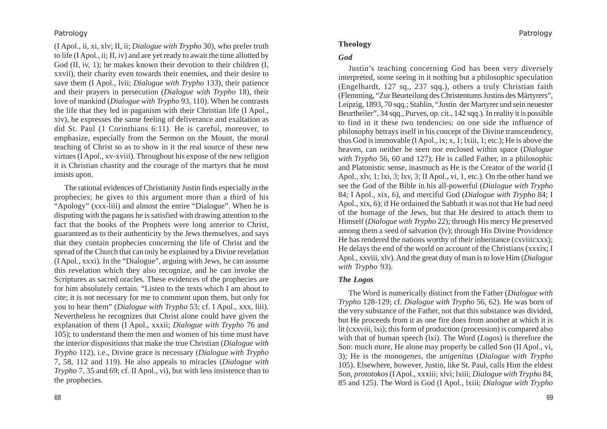#### Patrology

(I Apol., ii, xi, xlv; II, ii; *Dialogue with Trypho* 30), who prefer truth to life (I Apol., ii; II, iv) and are yet ready to await the time allotted by God (II, iv, 1); he makes known their devotion to their children (I, xxvii), their charity even towards their enemies, and their desire to save them (I Apol., lvii; *Dialogue with Trypho* 133), their patience and their prayers in persecution (*Dialogue with Trypho* 18), their love of mankind (*Dialogue with Trypho* 93, 110). When he contrasts the life that they led in paganism with their Christian life (I Apol., xiv), he expresses the same feeling of deliverance and exaltation as did St. Paul (1 Corinthians 6:11). He is careful, moreover, to emphasize, especially from the Sermon on the Mount, the moral teaching of Christ so as to show in it the real source of these new virtues (I Apol., xv-xviii). Throughout his expose of the new religion it is Christian chastity and the courage of the martyrs that he most insists upon.

The rational evidences of Christianity Justin finds especially in the prophecies; he gives to this argument more than a third of his "Apology" (xxx-liii) and almost the entire "Dialogue". When he is disputing with the pagans he is satisfied with drawing attention to the fact that the books of the Prophets were long anterior to Christ, guaranteed as to their authenticity by the Jews themselves, and says that they contain prophecies concerning the life of Christ and the spread of the Church that can only be explained by a Divine revelation (I Apol., xxxi). In the "Dialogue", arguing with Jews, he can assume this revelation which they also recognize, and he can invoke the Scriptures as sacred oracles. These evidences of the prophecies are for him absolutely certain. "Listen to the texts which I am about to cite; it is not necessary for me to comment upon them, but only for you to hear them" (*Dialogue with Trypho* 53; cf. I Apol., xxx, liii). Nevertheless he recognizes that Christ alone could have given the explanation of them (I Apol., xxxii; *Dialogue with Trypho* 76 and 105); to understand them the men and women of his time must have the interior dispositions that make the true Christian (*Dialogue with Trypho* 112), i.e., Divine grace is necessary (*Dialogue with Trypho* 7, 58, 112 and 119). He also appeals to miracles (*Dialogue with Trypho* 7, 35 and 69; cf. II Apol., vi), but with less insistence than to the prophecies.

### **Theology**

#### *God*

Justin's teaching concerning God has been very diversely interpreted, some seeing in it nothing but a philosophic speculation (Engelhardt, 127 sq., 237 sqq.), others a truly Christian faith (Flemming, "Zur Beurteilung des Christentums Justins des Märtyrers", Leipzig, 1893, 70 sqq.; Stahlin, "Justin der Martyrer und sein neuester Beurtheiler", 34 sqq., Purves, op. cit., 142 sqq.). In reality it is possible to find in it these two tendencies: on one side the influence of philosophy betrays itself in his concept of the Divine transcendency, thus God is immovable (I Apol., ix; x, 1; lxiii, 1; etc.); He is above the heaven, can neither be seen nor enclosed within space (*Dialogue with Trypho* 56, 60 and 127); He is called Father, in a philosophic and Platonistic sense, inasmuch as He is the Creator of the world (I Apol., xlv, 1; lxi, 3; lxv, 3; II Apol., vi, 1, etc.). On the other hand we see the God of the Bible in his all-powerful (*Dialogue with Trypho* 84; I Apol., xix, 6), and merciful God (*Dialogue with Trypho* 84; I Apol., xix, 6); if He ordained the Sabbath it was not that He had need of the homage of the Jews, but that He desired to attach them to Himself (*Dialogue with Trypho* 22); through His mercy He preserved among them a seed of salvation (lv); through His Divine Providence He has rendered the nations worthy of their inheritance (cxviiicxxx); He delays the end of the world on account of the Christians (xxxix; I Apol., xxviii, xlv). And the great duty of man is to love Him (*Dialogue with Trypho* 93).

#### *The Logos*

The Word is numerically distinct from the Father (*Dialogue with Trypho* 128-129; cf. *Dialogue with Trypho* 56, 62). He was born of the very substance of the Father, not that this substance was divided, but He proceeds from it as one fire does from another at which it is lit (cxxviii, lxi); this form of production (procession) is compared also with that of human speech (lxi). The Word (*Logos*) is therefore the Son: much more, He alone may properly be called Son (II Apol., vi, 3); He is the *monogenes*, the *unigenitus* (*Dialogue with Trypho* 105). Elsewhere, however, Justin, like St. Paul, calls Him the eldest Son, *prototokos* (I Apol., xxxiii; xlvi; lxiii; *Dialogue with Trypho* 84, 85 and 125). The Word is God (I Apol., lxiii; *Dialogue with Trypho*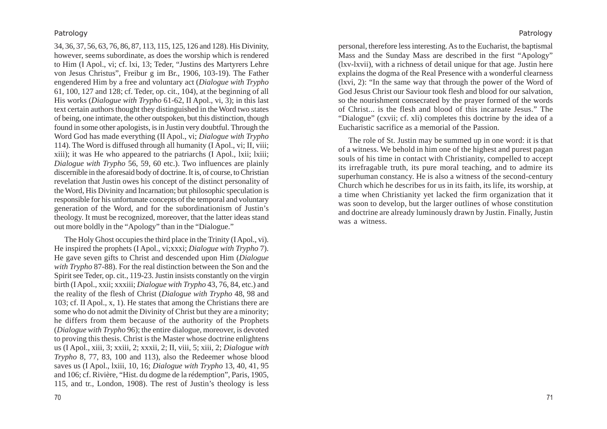34, 36, 37, 56, 63, 76, 86, 87, 113, 115, 125, 126 and 128). His Divinity, however, seems subordinate, as does the worship which is rendered to Him (I Apol., vi; cf. lxi, 13; Teder, "Justins des Martyrers Lehre von Jesus Christus", Freibur g im Br., 1906, 103-19). The Father engendered Him by a free and voluntary act (*Dialogue with Trypho* 61, 100, 127 and 128; cf. Teder, op. cit., 104), at the beginning of all His works (*Dialogue with Trypho* 61-62, II Apol., vi, 3); in this last text certain authors thought they distinguished in the Word two states of being, one intimate, the other outspoken, but this distinction, though found in some other apologists, is in Justin very doubtful. Through the Word God has made everything (II Apol., vi; *Dialogue with Trypho* 114). The Word is diffused through all humanity (I Apol., vi; II, viii; xiii); it was He who appeared to the patriarchs (I Apol., lxii; lxiii; *Dialogue with Trypho* 56, 59, 60 etc.). Two influences are plainly discernible in the aforesaid body of doctrine. It is, of course, to Christian revelation that Justin owes his concept of the distinct personality of the Word, His Divinity and Incarnation; but philosophic speculation is responsible for his unfortunate concepts of the temporal and voluntary generation of the Word, and for the subordinationism of Justin's theology. It must be recognized, moreover, that the latter ideas stand out more boldly in the "Apology" than in the "Dialogue."

The Holy Ghost occupies the third place in the Trinity (I Apol., vi). He inspired the prophets (I Apol., vi;xxxi; *Dialogue with Trypho* 7). He gave seven gifts to Christ and descended upon Him (*Dialogue with Trypho* 87-88). For the real distinction between the Son and the Spirit see Teder, op. cit., 119-23. Justin insists constantly on the virgin birth (I Apol., xxii; xxxiii; *Dialogue with Trypho* 43, 76, 84, etc.) and the reality of the flesh of Christ (*Dialogue with Trypho* 48, 98 and 103; cf. II Apol., x, 1). He states that among the Christians there are some who do not admit the Divinity of Christ but they are a minority; he differs from them because of the authority of the Prophets (*Dialogue with Trypho* 96); the entire dialogue, moreover, is devoted to proving this thesis. Christ is the Master whose doctrine enlightens us (I Apol., xiii, 3; xxiii, 2; xxxii, 2; II, viii, 5; xiii, 2; *Dialogue with Trypho* 8, 77, 83, 100 and 113), also the Redeemer whose blood saves us (I Apol., lxiii, 10, 16; *Dialogue with Trypho* 13, 40, 41, 95 and 106; cf. Rivière, "Hist. du dogme de la rédemption", Paris, 1905, 115, and tr., London, 1908). The rest of Justin's theology is less personal, therefore less interesting. As to the Eucharist, the baptismal Mass and the Sunday Mass are described in the first "Apology" (lxv-lxvii), with a richness of detail unique for that age. Justin here explains the dogma of the Real Presence with a wonderful clearness (lxvi, 2): "In the same way that through the power of the Word of God Jesus Christ our Saviour took flesh and blood for our salvation, so the nourishment consecrated by the prayer formed of the words of Christ... is the flesh and blood of this incarnate Jesus." The "Dialogue" (cxvii; cf. xli) completes this doctrine by the idea of a Eucharistic sacrifice as a memorial of the Passion.

The role of St. Justin may be summed up in one word: it is that of a witness. We behold in him one of the highest and purest pagan souls of his time in contact with Christianity, compelled to accept its irrefragable truth, its pure moral teaching, and to admire its superhuman constancy. He is also a witness of the second-century Church which he describes for us in its faith, its life, its worship, at a time when Christianity yet lacked the firm organization that it was soon to develop, but the larger outlines of whose constitution and doctrine are already luminously drawn by Justin. Finally, Justin was a witness.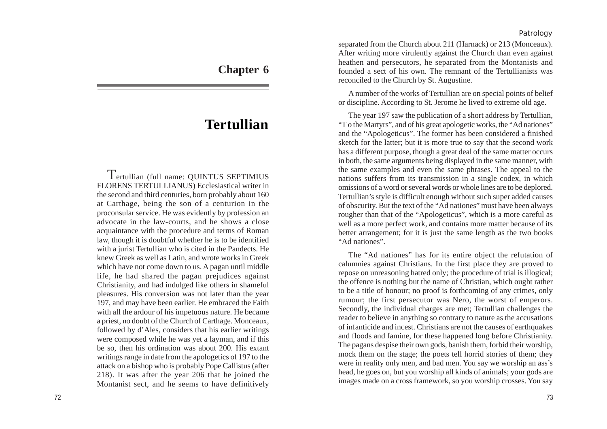## **Chapter 6**

# **Tertullian**

Tertullian (full name: QUINTUS SEPTIMIUS FLORENS TERTULLIANUS) Ecclesiastical writer in the second and third centuries, born probably about 160 at Carthage, being the son of a centurion in the proconsular service. He was evidently by profession an advocate in the law-courts, and he shows a close acquaintance with the procedure and terms of Roman law, though it is doubtful whether he is to be identified with a jurist Tertullian who is cited in the Pandects. He knew Greek as well as Latin, and wrote works in Greek which have not come down to us. A pagan until middle life, he had shared the pagan prejudices against Christianity, and had indulged like others in shameful pleasures. His conversion was not later than the year 197, and may have been earlier. He embraced the Faith with all the ardour of his impetuous nature. He became a priest, no doubt of the Church of Carthage. Monceaux, followed by d'Ales, considers that his earlier writings were composed while he was yet a layman, and if this be so, then his ordination was about 200. His extant writings range in date from the apologetics of 197 to the attack on a bishop who is probably Pope Callistus (after 218). It was after the year 206 that he joined the Montanist sect, and he seems to have definitively separated from the Church about 211 (Harnack) or 213 (Monceaux). After writing more virulently against the Church than even against heathen and persecutors, he separated from the Montanists and founded a sect of his own. The remnant of the Tertullianists was reconciled to the Church by St. Augustine.

A number of the works of Tertullian are on special points of belief or discipline. According to St. Jerome he lived to extreme old age.

The year 197 saw the publication of a short address by Tertullian, "T o the Martyrs", and of his great apologetic works, the "Ad nationes" and the "Apologeticus". The former has been considered a finished sketch for the latter; but it is more true to say that the second work has a different purpose, though a great deal of the same matter occurs in both, the same arguments being displayed in the same manner, with the same examples and even the same phrases. The appeal to the nations suffers from its transmission in a single codex, in which omissions of a word or several words or whole lines are to be deplored. Tertullian's style is difficult enough without such super added causes of obscurity. But the text of the "Ad nationes" must have been always rougher than that of the "Apologeticus", which is a more careful as well as a more perfect work, and contains more matter because of its better arrangement; for it is just the same length as the two books "Ad nationes".

The "Ad nationes" has for its entire object the refutation of calumnies against Christians. In the first place they are proved to repose on unreasoning hatred only; the procedure of trial is illogical; the offence is nothing but the name of Christian, which ought rather to be a title of honour; no proof is forthcoming of any crimes, only rumour; the first persecutor was Nero, the worst of emperors. Secondly, the individual charges are met; Tertullian challenges the reader to believe in anything so contrary to nature as the accusations of infanticide and incest. Christians are not the causes of earthquakes and floods and famine, for these happened long before Christianity. The pagans despise their own gods, banish them, forbid their worship, mock them on the stage; the poets tell horrid stories of them; they were in reality only men, and bad men. You say we worship an ass's head, he goes on, but you worship all kinds of animals; your gods are images made on a cross framework, so you worship crosses. You say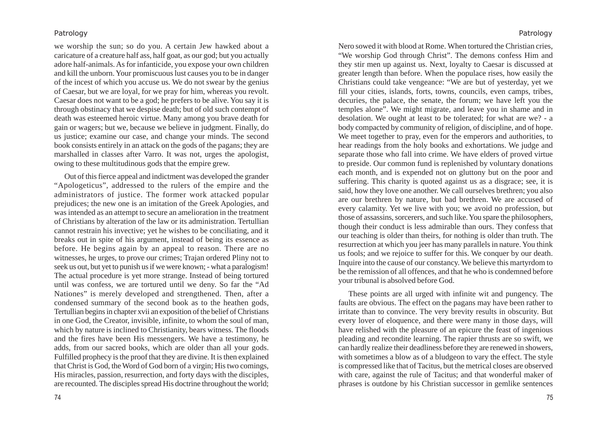we worship the sun; so do you. A certain Jew hawked about a caricature of a creature half ass, half goat, as our god; but you actually adore half-animals. As for infanticide, you expose your own children and kill the unborn. Your promiscuous lust causes you to be in danger of the incest of which you accuse us. We do not swear by the genius of Caesar, but we are loyal, for we pray for him, whereas you revolt. Caesar does not want to be a god; he prefers to be alive. You say it is through obstinacy that we despise death; but of old such contempt of death was esteemed heroic virtue. Many among you brave death for gain or wagers; but we, because we believe in judgment. Finally, do us justice; examine our case, and change your minds. The second book consists entirely in an attack on the gods of the pagans; they are marshalled in classes after Varro. It was not, urges the apologist, owing to these multitudinous gods that the empire grew.

Out of this fierce appeal and indictment was developed the grander "Apologeticus", addressed to the rulers of the empire and the administrators of justice. The former work attacked popular prejudices; the new one is an imitation of the Greek Apologies, and was intended as an attempt to secure an amelioration in the treatment of Christians by alteration of the law or its administration. Tertullian cannot restrain his invective; yet he wishes to be conciliating, and it breaks out in spite of his argument, instead of being its essence as before. He begins again by an appeal to reason. There are no witnesses, he urges, to prove our crimes; Trajan ordered Pliny not to seek us out, but yet to punish us if we were known; - what a paralogism! The actual procedure is yet more strange. Instead of being tortured until was confess, we are tortured until we deny. So far the "Ad Nationes" is merely developed and strengthened. Then, after a condensed summary of the second book as to the heathen gods, Tertullian begins in chapter xvii an exposition of the belief of Christians in one God, the Creator, invisible, infinite, to whom the soul of man, which by nature is inclined to Christianity, bears witness. The floods and the fires have been His messengers. We have a testimony, he adds, from our sacred books, which are older than all your gods. Fulfilled prophecy is the proof that they are divine. It is then explained that Christ is God, the Word of God born of a virgin; His two comings, His miracles, passion, resurrection, and forty days with the disciples, are recounted. The disciples spread His doctrine throughout the world;

Nero sowed it with blood at Rome. When tortured the Christian cries, "We worship God through Christ". The demons confess Him and they stir men up against us. Next, loyalty to Caesar is discussed at greater length than before. When the populace rises, how easily the Christians could take vengeance: "We are but of yesterday, yet we fill your cities, islands, forts, towns, councils, even camps, tribes, decuries, the palace, the senate, the forum; we have left you the temples alone". We might migrate, and leave you in shame and in desolation. We ought at least to be tolerated; for what are we? - a body compacted by community of religion, of discipline, and of hope. We meet together to pray, even for the emperors and authorities, to hear readings from the holy books and exhortations. We judge and separate those who fall into crime. We have elders of proved virtue to preside. Our common fund is replenished by voluntary donations each month, and is expended not on gluttony but on the poor and suffering. This charity is quoted against us as a disgrace; see, it is said, how they love one another. We call ourselves brethren; you also are our brethren by nature, but bad brethren. We are accused of every calamity. Yet we live with you; we avoid no profession, but those of assassins, sorcerers, and such like. You spare the philosophers, though their conduct is less admirable than ours. They confess that our teaching is older than theirs, for nothing is older than truth. The resurrection at which you jeer has many parallels in nature. You think us fools; and we rejoice to suffer for this. We conquer by our death. Inquire into the cause of our constancy. We believe this martyrdom to be the remission of all offences, and that he who is condemned before your tribunal is absolved before God.

These points are all urged with infinite wit and pungency. The faults are obvious. The effect on the pagans may have been rather to irritate than to convince. The very brevity results in obscurity. But every lover of eloquence, and there were many in those days, will have relished with the pleasure of an epicure the feast of ingenious pleading and recondite learning. The rapier thrusts are so swift, we can hardly realize their deadliness before they are renewed in showers, with sometimes a blow as of a bludgeon to vary the effect. The style is compressed like that of Tacitus, but the metrical closes are observed with care, against the rule of Tacitus; and that wonderful maker of phrases is outdone by his Christian successor in gemlike sentences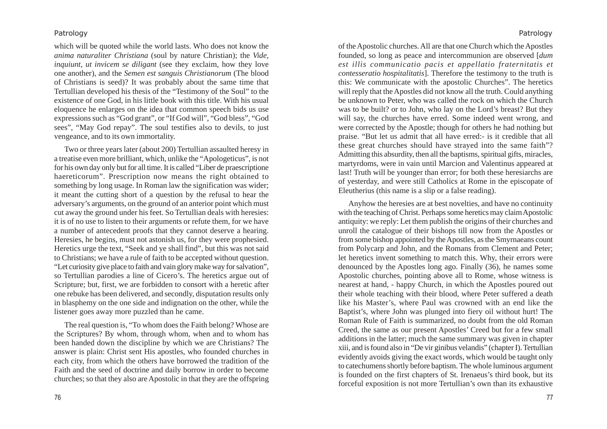*anima naturaliter Christiana* (soul by nature Christian); the *Vide, inquiunt, ut invicem se diligant* (see they exclaim, how they love one another), and the *Semen est sanguis Christianorum* (The blood of Christians is seed)? It was probably about the same time that Tertullian developed his thesis of the "Testimony of the Soul" to the existence of one God, in his little book with this title. With his usual eloquence he enlarges on the idea that common speech bids us use expressions such as "God grant", or "If God will", "God bless", "God sees", "May God repay". The soul testifies also to devils, to just vengeance, and to its own immortality.

which will be quoted while the world lasts. Who does not know the

Two or three years later (about 200) Tertullian assaulted heresy in a treatise even more brilliant, which, unlike the "Apologeticus", is not for his own day only but for all time. It is called "Liber de praescriptione haereticorum". Prescription now means the right obtained to something by long usage. In Roman law the signification was wider; it meant the cutting short of a question by the refusal to hear the adversary's arguments, on the ground of an anterior point which must cut away the ground under his feet. So Tertullian deals with heresies: it is of no use to listen to their arguments or refute them, for we have a number of antecedent proofs that they cannot deserve a hearing. Heresies, he begins, must not astonish us, for they were prophesied. Heretics urge the text, "Seek and ye shall find", but this was not said to Christians; we have a rule of faith to be accepted without question. "Let curiosity give place to faith and vain glory make way for salvation", so Tertullian parodies a line of Cicero's. The heretics argue out of Scripture; but, first, we are forbidden to consort with a heretic after one rebuke has been delivered, and secondly, disputation results only in blasphemy on the one side and indignation on the other, while the listener goes away more puzzled than he came.

The real question is, "To whom does the Faith belong? Whose are the Scriptures? By whom, through whom, when and to whom has been handed down the discipline by which we are Christians? The answer is plain: Christ sent His apostles, who founded churches in each city, from which the others have borrowed the tradition of the Faith and the seed of doctrine and daily borrow in order to become churches; so that they also are Apostolic in that they are the offspring

of the Apostolic churches. All are that one Church which the Apostles founded, so long as peace and intercommunion are observed [*dum est illis communicatio pacis et appellatio fraternitatis et contesseratio hospitalitatis*]. Therefore the testimony to the truth is this: We communicate with the apostolic Churches". The heretics will reply that the Apostles did not know all the truth. Could anything be unknown to Peter, who was called the rock on which the Church was to be built? or to John, who lay on the Lord's breast? But they will say, the churches have erred. Some indeed went wrong, and were corrected by the Apostle; though for others he had nothing but praise. "But let us admit that all have erred:- is it credible that all these great churches should have strayed into the same faith"? Admitting this absurdity, then all the baptisms, spiritual gifts, miracles, martyrdoms, were in vain until Marcion and Valentinus appeared at last! Truth will be younger than error; for both these heresiarchs are of yesterday, and were still Catholics at Rome in the episcopate of Eleutherius (this name is a slip or a false reading).

Anyhow the heresies are at best novelties, and have no continuity with the teaching of Christ. Perhaps some heretics may claim Apostolic antiquity: we reply: Let them publish the origins of their churches and unroll the catalogue of their bishops till now from the Apostles or from some bishop appointed by the Apostles, as the Smyrnaeans count from Polycarp and John, and the Romans from Clement and Peter; let heretics invent something to match this. Why, their errors were denounced by the Apostles long ago. Finally (36), he names some Apostolic churches, pointing above all to Rome, whose witness is nearest at hand, - happy Church, in which the Apostles poured out their whole teaching with their blood, where Peter suffered a death like his Master's, where Paul was crowned with an end like the Baptist's, where John was plunged into fiery oil without hurt! The Roman Rule of Faith is summarized, no doubt from the old Roman Creed, the same as our present Apostles' Creed but for a few small additions in the latter; much the same summary was given in chapter xiii, and is found also in "De vir ginibus velandis" (chapter I). Tertullian evidently avoids giving the exact words, which would be taught only to catechumens shortly before baptism. The whole luminous argument is founded on the first chapters of St. Irenaeus's third book, but its forceful exposition is not more Tertullian's own than its exhaustive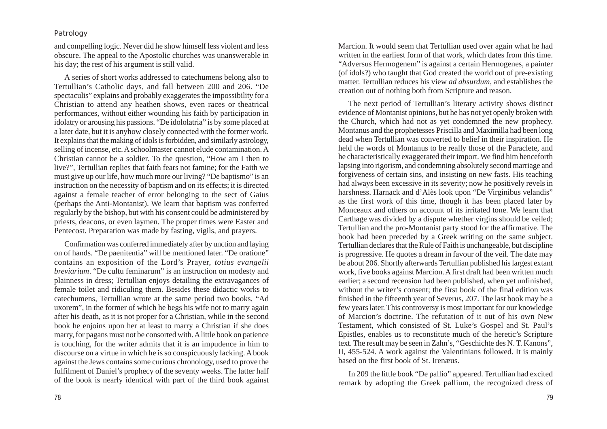and compelling logic. Never did he show himself less violent and less obscure. The appeal to the Apostolic churches was unanswerable in his day; the rest of his argument is still valid.

A series of short works addressed to catechumens belong also to Tertullian's Catholic days, and fall between 200 and 206. "De spectaculis" explains and probably exaggerates the impossibility for a Christian to attend any heathen shows, even races or theatrical performances, without either wounding his faith by participation in idolatry or arousing his passions. "De idololatria" is by some placed at a later date, but it is anyhow closely connected with the former work. It explains that the making of idols is forbidden, and similarly astrology, selling of incense, etc. A schoolmaster cannot elude contamination. A Christian cannot be a soldier. To the question, "How am I then to live?", Tertullian replies that faith fears not famine; for the Faith we must give up our life, how much more our living? "De baptismo" is an instruction on the necessity of baptism and on its effects; it is directed against a female teacher of error belonging to the sect of Gaius (perhaps the Anti-Montanist). We learn that baptism was conferred regularly by the bishop, but with his consent could be administered by priests, deacons, or even laymen. The proper times were Easter and Pentecost. Preparation was made by fasting, vigils, and prayers.

Confirmation was conferred immediately after by unction and laying on of hands. "De paenitentia" will be mentioned later. "De oratione" contains an exposition of the Lord's Prayer, *totius evangelii breviarium*. "De cultu feminarum" is an instruction on modesty and plainness in dress; Tertullian enjoys detailing the extravagances of female toilet and ridiculing them. Besides these didactic works to catechumens, Tertullian wrote at the same period two books, "Ad uxorem", in the former of which he begs his wife not to marry again after his death, as it is not proper for a Christian, while in the second book he enjoins upon her at least to marry a Christian if she does marry, for pagans must not be consorted with. A little book on patience is touching, for the writer admits that it is an impudence in him to discourse on a virtue in which he is so conspicuously lacking. A book against the Jews contains some curious chronology, used to prove the fulfilment of Daniel's prophecy of the seventy weeks. The latter half of the book is nearly identical with part of the third book against

Marcion. It would seem that Tertullian used over again what he had written in the earliest form of that work, which dates from this time. "Adversus Hermogenem" is against a certain Hermogenes, a painter (of idols?) who taught that God created the world out of pre-existing matter. Tertullian reduces his view *ad absurdum*, and establishes the creation out of nothing both from Scripture and reason.

The next period of Tertullian's literary activity shows distinct evidence of Montanist opinions, but he has not yet openly broken with the Church, which had not as yet condemned the new prophecy. Montanus and the prophetesses Priscilla and Maximilla had been long dead when Tertullian was converted to belief in their inspiration. He held the words of Montanus to be really those of the Paraclete, and he characteristically exaggerated their import. We find him henceforth lapsing into rigorism, and condemning absolutely second marriage and forgiveness of certain sins, and insisting on new fasts. His teaching had always been excessive in its severity; now he positively revels in harshness. Harnack and d'Alès look upon "De Virginibus velandis" as the first work of this time, though it has been placed later by Monceaux and others on account of its irritated tone. We learn that Carthage was divided by a dispute whether virgins should be veiled; Tertullian and the pro-Montanist party stood for the affirmative. The book had been preceded by a Greek writing on the same subject. Tertullian declares that the Rule of Faith is unchangeable, but discipline is progressive. He quotes a dream in favour of the veil. The date may be about 206. Shortly afterwards Tertullian published his largest extant work, five books against Marcion. A first draft had been written much earlier; a second recension had been published, when yet unfinished, without the writer's consent; the first book of the final edition was finished in the fifteenth year of Severus, 207. The last book may be a few years later. This controversy is most important for our knowledge of Marcion's doctrine. The refutation of it out of his own New Testament, which consisted of St. Luke's Gospel and St. Paul's Epistles, enables us to reconstitute much of the heretic's Scripture text. The result may be seen in Zahn's, "Geschichte des N. T. Kanons", II, 455-524. A work against the Valentinians followed. It is mainly based on the first book of St. Irenæus.

In 209 the little book "De pallio" appeared. Tertullian had excited remark by adopting the Greek pallium, the recognized dress of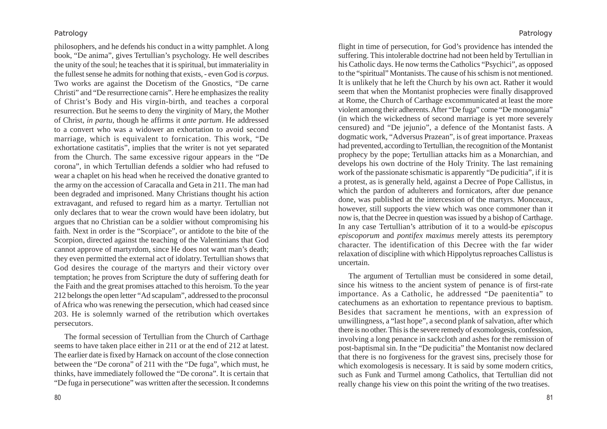philosophers, and he defends his conduct in a witty pamphlet. A long book, "De anima", gives Tertullian's psychology. He well describes the unity of the soul; he teaches that it is spiritual, but immateriality in the fullest sense he admits for nothing that exists, - even God is *corpus*. Two works are against the Docetism of the Gnostics, "De carne Christi" and "De resurrectione carnis". Here he emphasizes the reality of Christ's Body and His virgin-birth, and teaches a corporal resurrection. But he seems to deny the virginity of Mary, the Mother of Christ, *in partu*, though he affirms it *ante partum*. He addressed to a convert who was a widower an exhortation to avoid second marriage, which is equivalent to fornication. This work, "De exhortatione castitatis", implies that the writer is not yet separated from the Church. The same excessive rigour appears in the "De corona", in which Tertullian defends a soldier who had refused to wear a chaplet on his head when he received the donative granted to the army on the accession of Caracalla and Geta in 211. The man had been degraded and imprisoned. Many Christians thought his action extravagant, and refused to regard him as a martyr. Tertullian not only declares that to wear the crown would have been idolatry, but argues that no Christian can be a soldier without compromising his faith. Next in order is the "Scorpiace", or antidote to the bite of the Scorpion, directed against the teaching of the Valentinians that God cannot approve of martyrdom, since He does not want man's death; they even permitted the external act of idolatry. Tertullian shows that God desires the courage of the martyrs and their victory over temptation; he proves from Scripture the duty of suffering death for the Faith and the great promises attached to this heroism. To the year 212 belongs the open letter "Ad scapulam", addressed to the proconsul of Africa who was renewing the persecution, which had ceased since 203. He is solemnly warned of the retribution which overtakes persecutors.

The formal secession of Tertullian from the Church of Carthage seems to have taken place either in 211 or at the end of 212 at latest. The earlier date is fixed by Harnack on account of the close connection between the "De corona" of 211 with the "De fuga", which must, he thinks, have immediately followed the "De corona". It is certain that "De fuga in persecutione" was written after the secession. It condemns

flight in time of persecution, for God's providence has intended the suffering. This intolerable doctrine had not been held by Tertullian in his Catholic days. He now terms the Catholics "Psychici", as opposed to the "spiritual" Montanists. The cause of his schism is not mentioned. It is unlikely that he left the Church by his own act. Rather it would seem that when the Montanist prophecies were finally disapproved at Rome, the Church of Carthage excommunicated at least the more violent among their adherents. After "De fuga" come "De monogamia" (in which the wickedness of second marriage is yet more severely censured) and "De jejunio", a defence of the Montanist fasts. A dogmatic work, "Adversus Prazean", is of great importance. Praxeas had prevented, according to Tertullian, the recognition of the Montanist prophecy by the pope; Tertullian attacks him as a Monarchian, and develops his own doctrine of the Holy Trinity. The last remaining work of the passionate schismatic is apparently "De pudicitia", if it is a protest, as is generally held, against a Decree of Pope Callistus, in which the pardon of adulterers and fornicators, after due penance done, was published at the intercession of the martyrs. Monceaux, however, still supports the view which was once commoner than it now is, that the Decree in question was issued by a bishop of Carthage. In any case Tertullian's attribution of it to a would-be *episcopus episcoporum* and *pontifex maximus* merely attests its peremptory character. The identification of this Decree with the far wider relaxation of discipline with which Hippolytus reproaches Callistus is uncertain.

The argument of Tertullian must be considered in some detail, since his witness to the ancient system of penance is of first-rate importance. As a Catholic, he addressed "De paenitentia" to catechumens as an exhortation to repentance previous to baptism. Besides that sacrament he mentions, with an expression of unwillingness, a "last hope", a second plank of salvation, after which there is no other. This is the severe remedy of exomologesis, confession, involving a long penance in sackcloth and ashes for the remission of post-baptismal sin. In the "De pudicitia" the Montanist now declared that there is no forgiveness for the gravest sins, precisely those for which exomologesis is necessary. It is said by some modern critics, such as Funk and Turmel among Catholics, that Tertullian did not really change his view on this point the writing of the two treatises.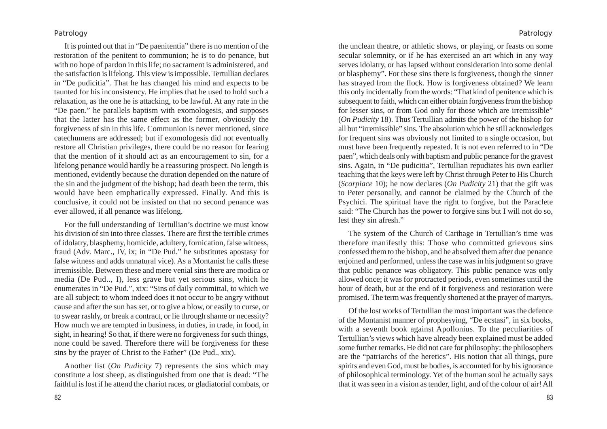It is pointed out that in "De paenitentia" there is no mention of the restoration of the penitent to communion; he is to do penance, but with no hope of pardon in this life; no sacrament is administered, and the satisfaction is lifelong. This view is impossible. Tertullian declares in "De pudicitia". That he has changed his mind and expects to be taunted for his inconsistency. He implies that he used to hold such a relaxation, as the one he is attacking, to be lawful. At any rate in the "De paen." he parallels baptism with exomologesis, and supposes that the latter has the same effect as the former, obviously the forgiveness of sin in this life. Communion is never mentioned, since catechumens are addressed; but if exomologesis did not eventually restore all Christian privileges, there could be no reason for fearing that the mention of it should act as an encouragement to sin, for a lifelong penance would hardly be a reassuring prospect. No length is mentioned, evidently because the duration depended on the nature of the sin and the judgment of the bishop; had death been the term, this would have been emphatically expressed. Finally. And this is conclusive, it could not be insisted on that no second penance was ever allowed, if all penance was lifelong.

For the full understanding of Tertullian's doctrine we must know his division of sin into three classes. There are first the terrible crimes of idolatry, blasphemy, homicide, adultery, fornication, false witness, fraud (Adv. Marc., IV, ix; in "De Pud." he substitutes apostasy for false witness and adds unnatural vice). As a Montanist he calls these irremissible. Between these and mere venial sins there are modica or media (De Pud.., I), less grave but yet serious sins, which he enumerates in "De Pud.", xix: "Sins of daily committal, to which we are all subject; to whom indeed does it not occur to be angry without cause and after the sun has set, or to give a blow, or easily to curse, or to swear rashly, or break a contract, or lie through shame or necessity? How much we are tempted in business, in duties, in trade, in food, in sight, in hearing! So that, if there were no forgiveness for such things, none could be saved. Therefore there will be forgiveness for these sins by the prayer of Christ to the Father" (De Pud., xix).

Another list (*On Pudicity* 7) represents the sins which may constitute a lost sheep, as distinguished from one that is dead: "The faithful is lost if he attend the chariot races, or gladiatorial combats, or

#### Patrology

the unclean theatre, or athletic shows, or playing, or feasts on some secular solemnity, or if he has exercised an art which in any way serves idolatry, or has lapsed without consideration into some denial or blasphemy". For these sins there is forgiveness, though the sinner has strayed from the flock. How is forgiveness obtained? We learn this only incidentally from the words: "That kind of penitence which is subsequent to faith, which can either obtain forgiveness from the bishop for lesser sins, or from God only for those which are irremissible" (*On Pudicity* 18). Thus Tertullian admits the power of the bishop for all but "irremissible" sins. The absolution which he still acknowledges for frequent sins was obviously not limited to a single occasion, but must have been frequently repeated. It is not even referred to in "De paen", which deals only with baptism and public penance for the gravest sins. Again, in "De pudicitia", Tertullian repudiates his own earlier teaching that the keys were left by Christ through Peter to His Church (*Scorpiace* 10); he now declares (*On Pudicity* 21) that the gift was to Peter personally, and cannot be claimed by the Church of the Psychici. The spiritual have the right to forgive, but the Paraclete said: "The Church has the power to forgive sins but I will not do so, lest they sin afresh."

The system of the Church of Carthage in Tertullian's time was therefore manifestly this: Those who committed grievous sins confessed them to the bishop, and he absolved them after due penance enjoined and performed, unless the case was in his judgment so grave that public penance was obligatory. This public penance was only allowed once; it was for protracted periods, even sometimes until the hour of death, but at the end of it forgiveness and restoration were promised. The term was frequently shortened at the prayer of martyrs.

Of the lost works of Tertullian the most important was the defence of the Montanist manner of prophesying, "De ecstasi", in six books, with a seventh book against Apollonius. To the peculiarities of Tertullian's views which have already been explained must be added some further remarks. He did not care for philosophy: the philosophers are the "patriarchs of the heretics". His notion that all things, pure spirits and even God, must be bodies, is accounted for by his ignorance of philosophical terminology. Yet of the human soul he actually says that it was seen in a vision as tender, light, and of the colour of air! All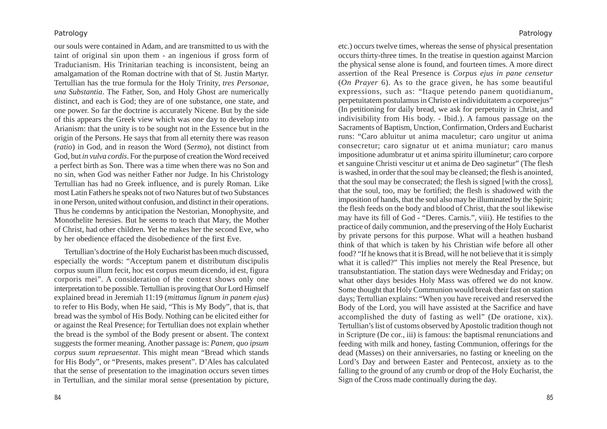our souls were contained in Adam, and are transmitted to us with the taint of original sin upon them - an ingenious if gross form of Traducianism. His Trinitarian teaching is inconsistent, being an amalgamation of the Roman doctrine with that of St. Justin Martyr. Tertullian has the true formula for the Holy Trinity, *tres Personae, una Substantia*. The Father, Son, and Holy Ghost are numerically distinct, and each is God; they are of one substance, one state, and one power. So far the doctrine is accurately Nicene. But by the side of this appears the Greek view which was one day to develop into Arianism: that the unity is to be sought not in the Essence but in the origin of the Persons. He says that from all eternity there was reason (*ratio*) in God, and in reason the Word (*Sermo*), not distinct from God, but *in vulva cordis*. For the purpose of creation the Word received a perfect birth as Son. There was a time when there was no Son and no sin, when God was neither Father nor Judge. In his Christology Tertullian has had no Greek influence, and is purely Roman. Like most Latin Fathers he speaks not of two Natures but of two Substances in one Person, united without confusion, and distinct in their operations. Thus he condemns by anticipation the Nestorian, Monophysite, and Monothelite heresies. But he seems to teach that Mary, the Mother of Christ, had other children. Yet he makes her the second Eve, who by her obedience effaced the disobedience of the first Eve.

Tertullian's doctrine of the Holy Eucharist has been much discussed, especially the words: "Acceptum panem et distributum discipulis corpus suum illum fecit, hoc est corpus meum dicendo, id est, figura corporis mei". A consideration of the context shows only one interpretation to be possible. Tertullian is proving that Our Lord Himself explained bread in Jeremiah 11:19 (*mittamus lignum in panem ejus*) to refer to His Body, when He said, "This is My Body", that is, that bread was the symbol of His Body. Nothing can be elicited either for or against the Real Presence; for Tertullian does not explain whether the bread is the symbol of the Body present or absent. The context suggests the former meaning. Another passage is: *Panem, quo ipsum corpus suum repraesentat*. This might mean "Bread which stands for His Body", or "Presents, makes present". D'Ales has calculated that the sense of presentation to the imagination occurs seven times in Tertullian, and the similar moral sense (presentation by picture,

#### Patrology

etc.) occurs twelve times, whereas the sense of physical presentation occurs thirty-three times. In the treatise in question against Marcion the physical sense alone is found, and fourteen times. A more direct assertion of the Real Presence is *Corpus ejus in pane censetur* (*On Prayer* 6). As to the grace given, he has some beautiful expressions, such as: "Itaque petendo panem quotidianum, perpetuitatem postulamus in Christo et individuitatem a corporeejus" (In petitioning for daily bread, we ask for perpetuity in Christ, and indivisibility from His body. - Ibid.). A famous passage on the Sacraments of Baptism, Unction, Confirmation, Orders and Eucharist runs: "Caro abluitur ut anima maculetur; caro ungitur ut anima consecretur; caro signatur ut et anima muniatur; caro manus impositione adumbratur ut et anima spiritu illuminetur; caro corpore et sanguine Christi vescitur ut et anima de Deo saginetur" (The flesh is washed, in order that the soul may be cleansed; the flesh is anointed, that the soul may be consecrated; the flesh is signed [with the cross], that the soul, too, may be fortified; the flesh is shadowed with the imposition of hands, that the soul also may be illuminated by the Spirit; the flesh feeds on the body and blood of Christ, that the soul likewise may have its fill of God - "Deres. Carnis.", viii). He testifies to the practice of daily communion, and the preserving of the Holy Eucharist by private persons for this purpose. What will a heathen husband think of that which is taken by his Christian wife before all other food? "If he knows that it is Bread, will he not believe that it is simply what it is called?" This implies not merely the Real Presence, but transubstantiation. The station days were Wednesday and Friday; on what other days besides Holy Mass was offered we do not know. Some thought that Holy Communion would break their fast on station days; Tertullian explains: "When you have received and reserved the Body of the Lord, you will have assisted at the Sacrifice and have accomplished the duty of fasting as well" (De oratione, xix). Tertullian's list of customs observed by Apostolic tradition though not in Scripture (De cor., iii) is famous: the baptismal renunciations and feeding with milk and honey, fasting Communion, offerings for the dead (Masses) on their anniversaries, no fasting or kneeling on the Lord's Day and between Easter and Pentecost, anxiety as to the falling to the ground of any crumb or drop of the Holy Eucharist, the Sign of the Cross made continually during the day.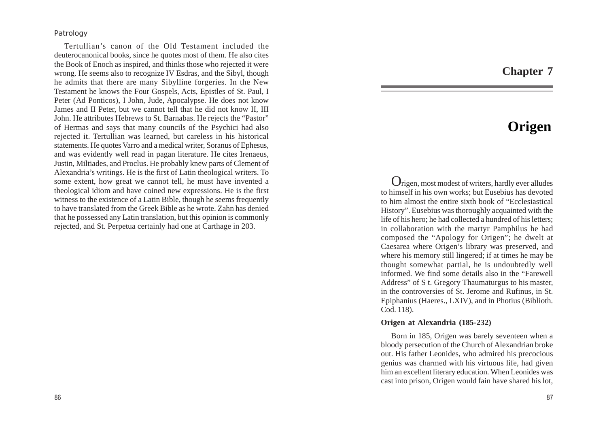Tertullian's canon of the Old Testament included the deuterocanonical books, since he quotes most of them. He also cites the Book of Enoch as inspired, and thinks those who rejected it were wrong. He seems also to recognize IV Esdras, and the Sibyl, though he admits that there are many Sibylline forgeries. In the New Testament he knows the Four Gospels, Acts, Epistles of St. Paul, I Peter (Ad Ponticos), I John, Jude, Apocalypse. He does not know James and II Peter, but we cannot tell that he did not know II, III John. He attributes Hebrews to St. Barnabas. He rejects the "Pastor" of Hermas and says that many councils of the Psychici had also rejected it. Tertullian was learned, but careless in his historical statements. He quotes Varro and a medical writer, Soranus of Ephesus, and was evidently well read in pagan literature. He cites Irenaeus, Justin, Miltiades, and Proclus. He probably knew parts of Clement of Alexandria's writings. He is the first of Latin theological writers. To some extent, how great we cannot tell, he must have invented a theological idiom and have coined new expressions. He is the first witness to the existence of a Latin Bible, though he seems frequently to have translated from the Greek Bible as he wrote. Zahn has denied that he possessed any Latin translation, but this opinion is commonly rejected, and St. Perpetua certainly had one at Carthage in 203.

### **Chapter 7**

# **Origen**

Origen, most modest of writers, hardly ever alludes to himself in his own works; but Eusebius has devoted to him almost the entire sixth book of "Ecclesiastical History". Eusebius was thoroughly acquainted with the life of his hero; he had collected a hundred of his letters; in collaboration with the martyr Pamphilus he had composed the "Apology for Origen"; he dwelt at Caesarea where Origen's library was preserved, and where his memory still lingered; if at times he may be thought somewhat partial, he is undoubtedly well informed. We find some details also in the "Farewell Address" of S t. Gregory Thaumaturgus to his master, in the controversies of St. Jerome and Rufinus, in St. Epiphanius (Haeres., LXIV), and in Photius (Biblioth. Cod. 118).

#### **Origen at Alexandria (185-232)**

Born in 185, Origen was barely seventeen when a bloody persecution of the Church of Alexandrian broke out. His father Leonides, who admired his precocious genius was charmed with his virtuous life, had given him an excellent literary education. When Leonides was cast into prison, Origen would fain have shared his lot,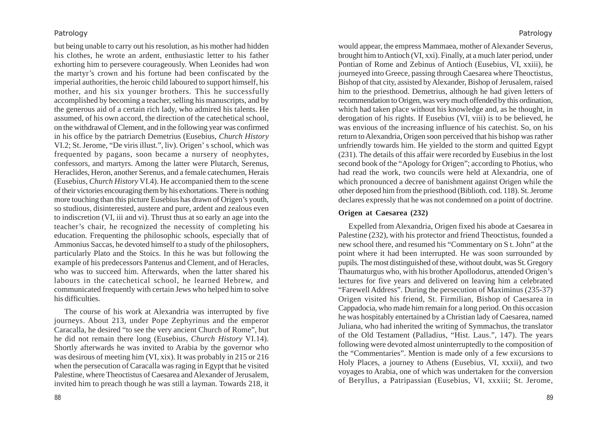but being unable to carry out his resolution, as his mother had hidden his clothes, he wrote an ardent, enthusiastic letter to his father exhorting him to persevere courageously. When Leonides had won the martyr's crown and his fortune had been confiscated by the imperial authorities, the heroic child laboured to support himself, his mother, and his six younger brothers. This he successfully accomplished by becoming a teacher, selling his manuscripts, and by the generous aid of a certain rich lady, who admired his talents. He assumed, of his own accord, the direction of the catechetical school, on the withdrawal of Clement, and in the following year was confirmed in his office by the patriarch Demetrius (Eusebius, *Church History* VI.2; St. Jerome, "De viris illust.", liv). Origen' s school, which was frequented by pagans, soon became a nursery of neophytes, confessors, and martyrs. Among the latter were Plutarch, Serenus, Heraclides, Heron, another Serenus, and a female catechumen, Herais (Eusebius, *Church History* VI.4). He accompanied them to the scene of their victories encouraging them by his exhortations. There is nothing more touching than this picture Eusebius has drawn of Origen's youth, so studious, disinterested, austere and pure, ardent and zealous even to indiscretion (VI, iii and vi). Thrust thus at so early an age into the teacher's chair, he recognized the necessity of completing his education. Frequenting the philosophic schools, especially that of Ammonius Saccas, he devoted himself to a study of the philosophers, particularly Plato and the Stoics. In this he was but following the example of his predecessors Pantenus and Clement, and of Heracles, who was to succeed him. Afterwards, when the latter shared his labours in the catechetical school, he learned Hebrew, and communicated frequently with certain Jews who helped him to solve his difficulties.

The course of his work at Alexandria was interrupted by five journeys. About 213, under Pope Zephyrinus and the emperor Caracalla, he desired "to see the very ancient Church of Rome", but he did not remain there long (Eusebius, *Church History* VI.14). Shortly afterwards he was invited to Arabia by the governor who was desirous of meeting him (VI, xix). It was probably in 215 or 216 when the persecution of Caracalla was raging in Egypt that he visited Palestine, where Theoctistus of Caesarea and Alexander of Jerusalem, invited him to preach though he was still a layman. Towards 218, it

would appear, the empress Mammaea, mother of Alexander Severus, brought him to Antioch (VI, xxi). Finally, at a much later period, under Pontian of Rome and Zebinus of Antioch (Eusebius, VI, xxiii), he journeyed into Greece, passing through Caesarea where Theoctistus, Bishop of that city, assisted by Alexander, Bishop of Jerusalem, raised him to the priesthood. Demetrius, although he had given letters of recommendation to Origen, was very much offended by this ordination, which had taken place without his knowledge and, as he thought, in derogation of his rights. If Eusebius (VI, viii) is to be believed, he was envious of the increasing influence of his catechist. So, on his return to Alexandria, Origen soon perceived that his bishop was rather unfriendly towards him. He yielded to the storm and quitted Egypt (231). The details of this affair were recorded by Eusebius in the lost second book of the "Apology for Origen"; according to Photius, who had read the work, two councils were held at Alexandria, one of which pronounced a decree of banishment against Origen while the other deposed him from the priesthood (Biblioth. cod. 118). St. Jerome declares expressly that he was not condemned on a point of doctrine.

#### **Origen at Caesarea (232)**

Expelled from Alexandria, Origen fixed his abode at Caesarea in Palestine (232), with his protector and friend Theoctistus, founded a new school there, and resumed his "Commentary on S t. John" at the point where it had been interrupted. He was soon surrounded by pupils. The most distinguished of these, without doubt, was St. Gregory Thaumaturgus who, with his brother Apollodorus, attended Origen's lectures for five years and delivered on leaving him a celebrated "Farewell Address". During the persecution of Maximinus (235-37) Origen visited his friend, St. Firmilian, Bishop of Caesarea in Cappadocia, who made him remain for a long period. On this occasion he was hospitably entertained by a Christian lady of Caesarea, named Juliana, who had inherited the writing of Symmachus, the translator of the Old Testament (Palladius, "Hist. Laus.", 147). The years following were devoted almost uninterruptedly to the composition of the "Commentaries". Mention is made only of a few excursions to Holy Places, a journey to Athens (Eusebius, VI, xxxii), and two voyages to Arabia, one of which was undertaken for the conversion of Beryllus, a Patripassian (Eusebius, VI, xxxiii; St. Jerome,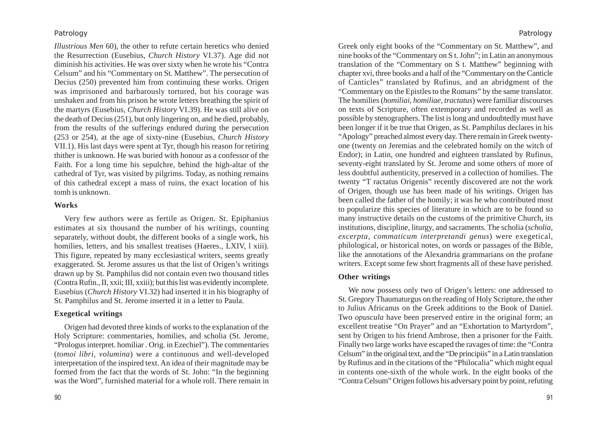*Illustrious Men* 60), the other to refute certain heretics who denied the Resurrection (Eusebius, *Church History* VI.37). Age did not diminish his activities. He was over sixty when he wrote his "Contra Celsum" and his "Commentary on St. Matthew". The persecution of Decius (250) prevented him from continuing these works. Origen was imprisoned and barbarously tortured, but his courage was unshaken and from his prison he wrote letters breathing the spirit of the martyrs (Eusebius, *Church History* VI.39). He was still alive on the death of Decius (251), but only lingering on, and he died, probably, from the results of the sufferings endured during the persecution (253 or 254), at the age of sixty-nine (Eusebius, *Church History* VII.1). His last days were spent at Tyr, though his reason for retiring thither is unknown. He was buried with honour as a confessor of the Faith. For a long time his sepulchre, behind the high-altar of the cathedral of Tyr, was visited by pilgrims. Today, as nothing remains of this cathedral except a mass of ruins, the exact location of his tomb is unknown.

#### **Works**

Very few authors were as fertile as Origen. St. Epiphanius estimates at six thousand the number of his writings, counting separately, without doubt, the different books of a single work, his homilies, letters, and his smallest treatises (Haeres., LXIV, 1 xiii). This figure, repeated by many ecclesiastical writers, seems greatly exaggerated. St. Jerome assures us that the list of Origen's writings drawn up by St. Pamphilus did not contain even two thousand titles (Contra Rufin., II, xxii; III, xxiii); but this list was evidently incomplete. Eusebius (*Church History* VI.32) had inserted it in his biography of St. Pamphilus and St. Jerome inserted it in a letter to Paula.

#### **Exegetical writings**

Origen had devoted three kinds of works to the explanation of the Holy Scripture: commentaries, homilies, and scholia (St. Jerome, "Prologus interpret. homiliar . Orig. in Ezechiel"). The commentaries (*tomoi libri, volumina*) were a continuous and well-developed interpretation of the inspired text. An idea of their magnitude may be formed from the fact that the words of St. John: "In the beginning was the Word", furnished material for a whole roll. There remain in

Greek only eight books of the "Commentary on St. Matthew", and nine books of the "Commentary on S t. John"; in Latin an anonymous translation of the "Commentary on S t. Matthew" beginning with chapter xvi, three books and a half of the "Commentary on the Canticle of Canticles" translated by Rufinus, and an abridgment of the "Commentary on the Epistles to the Romans" by the same translator. The homilies (*homiliai, homiliae, tractatus*) were familiar discourses on texts of Scripture, often extemporary and recorded as well as possible by stenographers. The list is long and undoubtedly must have been longer if it be true that Origen, as St. Pamphilus declares in his "Apology" preached almost every day. There remain in Greek twentyone (twenty on Jeremias and the celebrated homily on the witch of Endor); in Latin, one hundred and eighteen translated by Rufinus, seventy-eight translated by St. Jerome and some others of more of less doubtful authenticity, preserved in a collection of homilies. The twenty "T ractatus Origenis" recently discovered are not the work of Origen, though use has been made of his writings. Origen has been called the father of the homily; it was he who contributed most to popularize this species of literature in which are to be found so many instructive details on the customs of the primitive Church, its institutions, discipline, liturgy, and sacraments. The scholia (*scholia, excerpta, commaticum interpretandi genus*) were exegetical, philological, or historical notes, on words or passages of the Bible, like the annotations of the Alexandria grammarians on the profane writers. Except some few short fragments all of these have perished.

#### **Other writings**

We now possess only two of Origen's letters: one addressed to St. Gregory Thaumaturgus on the reading of Holy Scripture, the other to Julius Africanus on the Greek additions to the Book of Daniel. Two *opuscula* have been preserved entire in the original form; an excellent treatise "On Prayer" and an "Exhortation to Martyrdom", sent by Origen to his friend Ambrose, then a prisoner for the Faith. Finally two large works have escaped the ravages of time: the "Contra Celsum" in the original text, and the "De principiis" in a Latin translation by Rufinus and in the citations of the "Philocalia" which might equal in contents one-sixth of the whole work. In the eight books of the "Contra Celsum" Origen follows his adversary point by point, refuting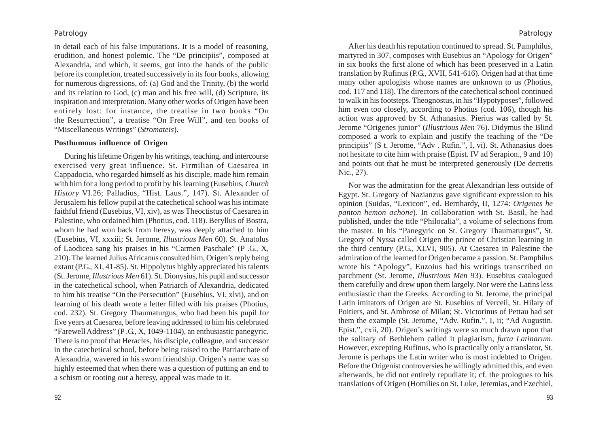in detail each of his false imputations. It is a model of reasoning, erudition, and honest polemic. The "De principiis", composed at Alexandria, and which, it seems, got into the hands of the public before its completion, treated successively in its four books, allowing for numerous digressions, of: (a) God and the Trinity, (b) the world and its relation to God, (c) man and his free will, (d) Scripture, its inspiration and interpretation. Many other works of Origen have been entirely lost: for instance, the treatise in two books "On the Resurrection", a treatise "On Free Will", and ten books of "Miscellaneous Writings" ( *Stromateis*).

#### **Posthumous influence of Origen**

During his lifetime Origen by his writings, teaching, and intercourse exercised very great influence. St. Firmilian of Caesarea in Cappadocia, who regarded himself as his disciple, made him remain with him for a long period to profit by his learning (Eusebius, *Church History* VI.26; Palladius, "Hist. Laus.", 147). St. Alexander of Jerusalem his fellow pupil at the catechetical school was his intimate faithful friend (Eusebius, VI, xiv), as was Theoctistus of Caesarea in Palestine, who ordained him (Photius, cod. 118). Beryllus of Bostra, whom he had won back from heresy, was deeply attached to him (Eusebius, VI, xxxiii; St. Jerome, *Illustrious Men* 60). St. Anatolus of Laodicea sang his praises in his "Carmen Paschale" (P .G., X, 210). The learned Julius Africanus consulted him, Origen's reply being extant (P.G., XI, 41-85). St. Hippolytus highly appreciated his talents (St. Jerome, *Illustrious Men* 61). St. Dionysius, his pupil and successor in the catechetical school, when Patriarch of Alexandria, dedicated to him his treatise "On the Persecution" (Eusebius, VI, xlvi), and on learning of his death wrote a letter filled with his praises (Photius, cod. 232). St. Gregory Thaumaturgus, who had been his pupil for five years at Caesarea, before leaving addressed to him his celebrated "Farewell Address" (P .G., X, 1049-1104), an enthusiastic panegyric. There is no proof that Heracles, his disciple, colleague, and successor in the catechetical school, before being raised to the Patriarchate of Alexandria, wavered in his sworn friendship. Origen's name was so highly esteemed that when there was a question of putting an end to a schism or rooting out a heresy, appeal was made to it.

After his death his reputation continued to spread. St. Pamphilus, martyred in 307, composes with Eusebius an "Apology for Origen" in six books the first alone of which has been preserved in a Latin translation by Rufinus (P.G., XVII, 541-616). Origen had at that time many other apologists whose names are unknown to us (Photius, cod. 117 and 118). The directors of the catechetical school continued to walk in his footsteps. Theognostus, in his "Hypotyposes", followed him even too closely, according to Photius (cod. 106), though his action was approved by St. Athanasius. Pierius was called by St. Jerome "Origenes junior" (*Illustrious Men* 76). Didymus the Blind composed a work to explain and justify the teaching of the "De principiis" (S t. Jerome, "Adv . Rufin.", I, vi). St. Athanasius does not hesitate to cite him with praise (Epist. IV ad Serapion., 9 and 10) and points out that he must be interpreted generously (De decretis Nic., 27).

Nor was the admiration for the great Alexandrian less outside of Egypt. St. Gregory of Nazianzus gave significant expression to his opinion (Suidas, "Lexicon", ed. Bernhardy, II, 1274: *Origenes he panton hemon achone*). In collaboration with St. Basil, he had published, under the title "Philocalia", a volume of selections from the master. In his "Panegyric on St. Gregory Thaumaturgus", St. Gregory of Nyssa called Origen the prince of Christian learning in the third century (P.G., XLVI, 905). At Caesarea in Palestine the admiration of the learned for Origen became a passion. St. Pamphilus wrote his "Apology", Euzoius had his writings transcribed on parchment (St. Jerome, *Illustrious Men* 93). Eusebius catalogued them carefully and drew upon them largely. Nor were the Latins less enthusiastic than the Greeks. According to St. Jerome, the principal Latin imitators of Origen are St. Eusebius of Verceil, St. Hilary of Poitiers, and St. Ambrose of Milan; St. Victorinus of Pettau had set them the example (St. Jerome, "Adv. Rufin.", I, ii; "Ad Augustin. Epist.", cxii, 20). Origen's writings were so much drawn upon that the solitary of Bethlehem called it plagiarism, *furta Latinarum*. However, excepting Rufinus, who is practically only a translator, St. Jerome is perhaps the Latin writer who is most indebted to Origen. Before the Origenist controversies he willingly admitted this, and even afterwards, he did not entirely repudiate it; cf. the prologues to his translations of Origen (Homilies on St. Luke, Jeremias, and Ezechiel,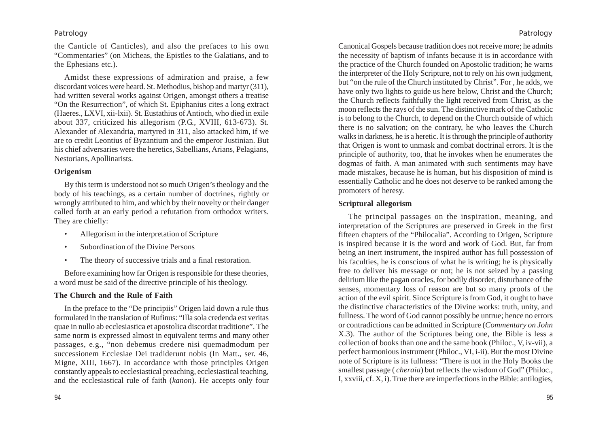the Canticle of Canticles), and also the prefaces to his own "Commentaries" (on Micheas, the Epistles to the Galatians, and to the Ephesians etc.).

Amidst these expressions of admiration and praise, a few discordant voices were heard. St. Methodius, bishop and martyr (311), had written several works against Origen, amongst others a treatise "On the Resurrection", of which St. Epiphanius cites a long extract (Haeres., LXVI, xii-lxii). St. Eustathius of Antioch, who died in exile about 337, criticized his allegorism (P.G., XVIII, 613-673). St. Alexander of Alexandria, martyred in 311, also attacked him, if we are to credit Leontius of Byzantium and the emperor Justinian. But his chief adversaries were the heretics, Sabellians, Arians, Pelagians, Nestorians, Apollinarists.

#### **Origenism**

By this term is understood not so much Origen's theology and the body of his teachings, as a certain number of doctrines, rightly or wrongly attributed to him, and which by their novelty or their danger called forth at an early period a refutation from orthodox writers. They are chiefly:

- Allegorism in the interpretation of Scripture
- Subordination of the Divine Persons
- The theory of successive trials and a final restoration.

Before examining how far Origen is responsible for these theories, a word must be said of the directive principle of his theology.

#### **The Church and the Rule of Faith**

In the preface to the "De principiis" Origen laid down a rule thus formulated in the translation of Rufinus: "Illa sola credenda est veritas quae in nullo ab ecclesiastica et apostolica discordat traditione". The same norm is expressed almost in equivalent terms and many other passages, e.g., "non debemus credere nisi quemadmodum per successionem Ecclesiae Dei tradiderunt nobis (In Matt., ser. 46, Migne, XIII, 1667). In accordance with those principles Origen constantly appeals to ecclesiastical preaching, ecclesiastical teaching, and the ecclesiastical rule of faith (*kanon*). He accepts only four

#### Patrology

Canonical Gospels because tradition does not receive more; he admits the necessity of baptism of infants because it is in accordance with the practice of the Church founded on Apostolic tradition; he warns the interpreter of the Holy Scripture, not to rely on his own judgment, but "on the rule of the Church instituted by Christ". For , he adds, we have only two lights to guide us here below, Christ and the Church; the Church reflects faithfully the light received from Christ, as the moon reflects the rays of the sun. The distinctive mark of the Catholic is to belong to the Church, to depend on the Church outside of which there is no salvation; on the contrary, he who leaves the Church walks in darkness, he is a heretic. It is through the principle of authority that Origen is wont to unmask and combat doctrinal errors. It is the principle of authority, too, that he invokes when he enumerates the dogmas of faith. A man animated with such sentiments may have made mistakes, because he is human, but his disposition of mind is essentially Catholic and he does not deserve to be ranked among the promoters of heresy.

#### **Scriptural allegorism**

The principal passages on the inspiration, meaning, and interpretation of the Scriptures are preserved in Greek in the first fifteen chapters of the "Philocalia". According to Origen, Scripture is inspired because it is the word and work of God. But, far from being an inert instrument, the inspired author has full possession of his faculties, he is conscious of what he is writing; he is physically free to deliver his message or not; he is not seized by a passing delirium like the pagan oracles, for bodily disorder, disturbance of the senses, momentary loss of reason are but so many proofs of the action of the evil spirit. Since Scripture is from God, it ought to have the distinctive characteristics of the Divine works: truth, unity, and fullness. The word of God cannot possibly be untrue; hence no errors or contradictions can be admitted in Scripture (*Commentary on John* X.3). The author of the Scriptures being one, the Bible is less a collection of books than one and the same book (Philoc., V, iv-vii), a perfect harmonious instrument (Philoc., VI, i-ii). But the most Divine note of Scripture is its fullness: "There is not in the Holy Books the smallest passage ( *cheraia*) but reflects the wisdom of God" (Philoc., I, xxviii, cf. X, i). True there are imperfections in the Bible: antilogies,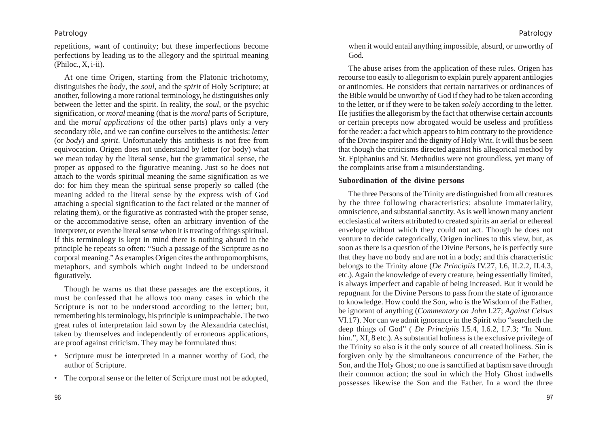#### Patrology

repetitions, want of continuity; but these imperfections become perfections by leading us to the allegory and the spiritual meaning  $(Philoc., X, i-ii).$ 

At one time Origen, starting from the Platonic trichotomy, distinguishes the *body*, the *soul*, and the *spirit* of Holy Scripture; at another, following a more rational terminology, he distinguishes only between the letter and the spirit. In reality, the *soul*, or the psychic signification, or *moral* meaning (that is the *moral* parts of Scripture, and the *moral applications* of the other parts) plays only a very secondary rôle, and we can confine ourselves to the antithesis: *letter* (or *body*) and *spirit*. Unfortunately this antithesis is not free from equivocation. Origen does not understand by letter (or body) what we mean today by the literal sense, but the grammatical sense, the proper as opposed to the figurative meaning. Just so he does not attach to the words spiritual meaning the same signification as we do: for him they mean the spiritual sense properly so called (the meaning added to the literal sense by the express wish of God attaching a special signification to the fact related or the manner of relating them), or the figurative as contrasted with the proper sense, or the accommodative sense, often an arbitrary invention of the interpreter, or even the literal sense when it is treating of things spiritual. If this terminology is kept in mind there is nothing absurd in the principle he repeats so often: "Such a passage of the Scripture as no corporal meaning." As examples Origen cites the anthropomorphisms, metaphors, and symbols which ought indeed to be understood figuratively.

Though he warns us that these passages are the exceptions, it must be confessed that he allows too many cases in which the Scripture is not to be understood according to the letter; but, remembering his terminology, his principle is unimpeachable. The two great rules of interpretation laid sown by the Alexandria catechist, taken by themselves and independently of erroneous applications, are proof against criticism. They may be formulated thus:

- Scripture must be interpreted in a manner worthy of God, the author of Scripture.
- The corporal sense or the letter of Scripture must not be adopted,

when it would entail anything impossible, absurd, or unworthy of God.

The abuse arises from the application of these rules. Origen has recourse too easily to allegorism to explain purely apparent antilogies or antinomies. He considers that certain narratives or ordinances of the Bible would be unworthy of God if they had to be taken according to the letter, or if they were to be taken *solely* according to the letter. He justifies the allegorism by the fact that otherwise certain accounts or certain precepts now abrogated would be useless and profitless for the reader: a fact which appears to him contrary to the providence of the Divine inspirer and the dignity of Holy Writ. It will thus be seen that though the criticisms directed against his allegorical method by St. Epiphanius and St. Methodius were not groundless, yet many of the complaints arise from a misunderstanding.

#### **Subordination of the divine persons**

The three Persons of the Trinity are distinguished from all creatures by the three following characteristics: absolute immateriality, omniscience, and substantial sanctity. As is well known many ancient ecclesiastical writers attributed to created spirits an aerial or ethereal envelope without which they could not act. Though he does not venture to decide categorically, Origen inclines to this view, but, as soon as there is a question of the Divine Persons, he is perfectly sure that they have no body and are not in a body; and this characteristic belongs to the Trinity alone (*De Principiis* IV.27, I.6, II.2.2, II.4.3, etc.). Again the knowledge of every creature, being essentially limited, is always imperfect and capable of being increased. But it would be repugnant for the Divine Persons to pass from the state of ignorance to knowledge. How could the Son, who is the Wisdom of the Father, be ignorant of anything (*Commentary on John* I.27; *Against Celsus* VI.17). Nor can we admit ignorance in the Spirit who "searcheth the deep things of God" ( *De Principiis* I.5.4, I.6.2, I.7.3; "In Num. him.", XI, 8 etc.). As substantial holiness is the exclusive privilege of the Trinity so also is it the only source of all created holiness. Sin is forgiven only by the simultaneous concurrence of the Father, the Son, and the Holy Ghost; no one is sanctified at baptism save through their common action; the soul in which the Holy Ghost indwells possesses likewise the Son and the Father. In a word the three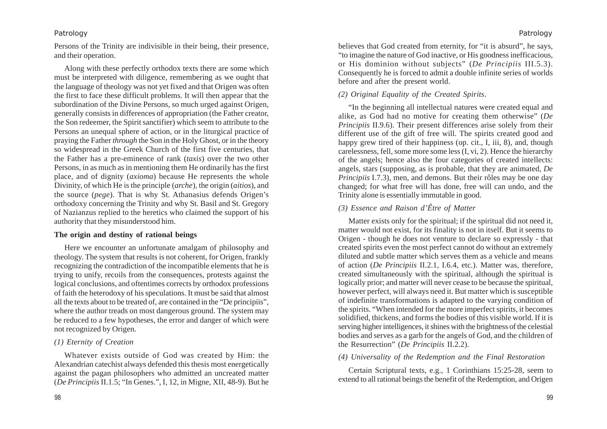#### Patrology

Persons of the Trinity are indivisible in their being, their presence, and their operation.

Along with these perfectly orthodox texts there are some which must be interpreted with diligence, remembering as we ought that the language of theology was not yet fixed and that Origen was often the first to face these difficult problems. It will then appear that the subordination of the Divine Persons, so much urged against Origen, generally consists in differences of appropriation (the Father creator, the Son redeemer, the Spirit sanctifier) which seem to attribute to the Persons an unequal sphere of action, or in the liturgical practice of praying the Father *through* the Son in the Holy Ghost, or in the theory so widespread in the Greek Church of the first five centuries, that the Father has a pre-eminence of rank (*taxis*) over the two other Persons, in as much as in mentioning them He ordinarily has the first place, and of dignity (*axioma*) because He represents the whole Divinity, of which He is the principle (*arche*), the origin (*aitios*), and the source (*pege*). That is why St. Athanasius defends Origen's orthodoxy concerning the Trinity and why St. Basil and St. Gregory of Nazianzus replied to the heretics who claimed the support of his authority that they misunderstood him.

#### **The origin and destiny of rational beings**

Here we encounter an unfortunate amalgam of philosophy and theology. The system that results is not coherent, for Origen, frankly recognizing the contradiction of the incompatible elements that he is trying to unify, recoils from the consequences, protests against the logical conclusions, and oftentimes corrects by orthodox professions of faith the heterodoxy of his speculations. It must be said that almost all the texts about to be treated of, are contained in the "De principiis", where the author treads on most dangerous ground. The system may be reduced to a few hypotheses, the error and danger of which were not recognized by Origen.

#### *(1) Eternity of Creation*

Whatever exists outside of God was created by Him: the Alexandrian catechist always defended this thesis most energetically against the pagan philosophers who admitted an uncreated matter (*De Principiis* II.1.5; "In Genes.", I, 12, in Migne, XII, 48-9). But he

believes that God created from eternity, for "it is absurd", he says, "to imagine the nature of God inactive, or His goodness inefficacious, or His dominion without subjects" (*De Principiis* III.5.3). Consequently he is forced to admit a double infinite series of worlds before and after the present world.

#### *(2) Original Equality of the Created Spirits*.

"In the beginning all intellectual natures were created equal and alike, as God had no motive for creating them otherwise" (*De Principiis* II.9.6). Their present differences arise solely from their different use of the gift of free will. The spirits created good and happy grew tired of their happiness (op. cit., I, iii, 8), and, though carelessness, fell, some more some less (I, vi, 2). Hence the hierarchy of the angels; hence also the four categories of created intellects: angels, stars (supposing, as is probable, that they are animated, *De Principiis* I.7.3), men, and demons. But their rôles may be one day changed; for what free will has done, free will can undo, and the Trinity alone is essentially immutable in good.

#### *(3) Essence and Raison d'Être of Matter*

Matter exists only for the spiritual; if the spiritual did not need it, matter would not exist, for its finality is not in itself. But it seems to Origen - though he does not venture to declare so expressly - that created spirits even the most perfect cannot do without an extremely diluted and subtle matter which serves them as a vehicle and means of action (*De Principiis* II.2.1, I.6.4, etc.). Matter was, therefore, created simultaneously with the spiritual, although the spiritual is logically prior; and matter will never cease to be because the spiritual, however perfect, will always need it. But matter which is susceptible of indefinite transformations is adapted to the varying condition of the spirits. "When intended for the more imperfect spirits, it becomes solidified, thickens, and forms the bodies of this visible world. If it is serving higher intelligences, it shines with the brightness of the celestial bodies and serves as a garb for the angels of God, and the children of the Resurrection" (*De Principiis* II.2.2).

#### *(4) Universality of the Redemption and the Final Restoration*

Certain Scriptural texts, e.g., 1 Corinthians 15:25-28, seem to extend to all rational beings the benefit of the Redemption, and Origen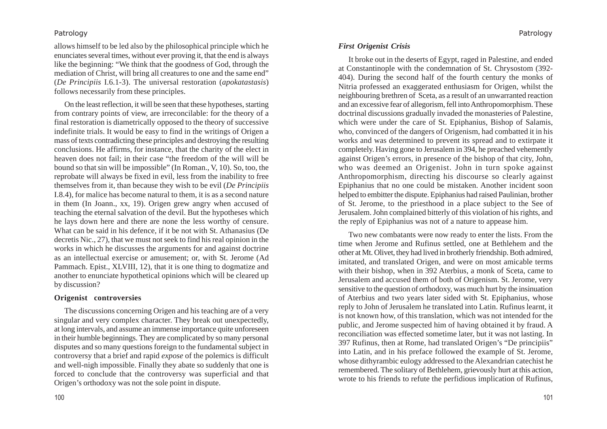#### Patrology

allows himself to be led also by the philosophical principle which he enunciates several times, without ever proving it, that the end is always like the beginning: "We think that the goodness of God, through the mediation of Christ, will bring all creatures to one and the same end" (*De Principiis* I.6.1-3). The universal restoration (*apokatastasis*) follows necessarily from these principles.

On the least reflection, it will be seen that these hypotheses, starting from contrary points of view, are irreconcilable: for the theory of a final restoration is diametrically opposed to the theory of successive indefinite trials. It would be easy to find in the writings of Origen a mass of texts contradicting these principles and destroying the resulting conclusions. He affirms, for instance, that the charity of the elect in heaven does not fail; in their case "the freedom of the will will be bound so that sin will be impossible" (In Roman., V, 10). So, too, the reprobate will always be fixed in evil, less from the inability to free themselves from it, than because they wish to be evil (*De Principiis* I.8.4), for malice has become natural to them, it is as a second nature in them (In Joann., xx, 19). Origen grew angry when accused of teaching the eternal salvation of the devil. But the hypotheses which he lays down here and there are none the less worthy of censure. What can be said in his defence, if it be not with St. Athanasius (De decretis Nic., 27), that we must not seek to find his real opinion in the works in which he discusses the arguments for and against doctrine as an intellectual exercise or amusement; or, with St. Jerome (Ad Pammach. Epist., XLVIII, 12), that it is one thing to dogmatize and another to enunciate hypothetical opinions which will be cleared up by discussion?

#### **Origenist controversies**

The discussions concerning Origen and his teaching are of a very singular and very complex character. They break out unexpectedly, at long intervals, and assume an immense importance quite unforeseen in their humble beginnings. They are complicated by so many personal disputes and so many questions foreign to the fundamental subject in controversy that a brief and rapid *expose* of the polemics is difficult and well-nigh impossible. Finally they abate so suddenly that one is forced to conclude that the controversy was superficial and that Origen's orthodoxy was not the sole point in dispute.

#### *First Origenist Crisis*

It broke out in the deserts of Egypt, raged in Palestine, and ended at Constantinople with the condemnation of St. Chrysostom (392- 404). During the second half of the fourth century the monks of Nitria professed an exaggerated enthusiasm for Origen, whilst the neighbouring brethren of Sceta, as a result of an unwarranted reaction and an excessive fear of allegorism, fell into Anthropomorphism. These doctrinal discussions gradually invaded the monasteries of Palestine, which were under the care of St. Epiphanius, Bishop of Salamis, who, convinced of the dangers of Origenism, had combatted it in his works and was determined to prevent its spread and to extirpate it completely. Having gone to Jerusalem in 394, he preached vehemently against Origen's errors, in presence of the bishop of that city, John, who was deemed an Origenist. John in turn spoke against Anthropomorphism, directing his discourse so clearly against Epiphanius that no one could be mistaken. Another incident soon helped to embitter the dispute. Epiphanius had raised Paulinian, brother of St. Jerome, to the priesthood in a place subject to the See of Jerusalem. John complained bitterly of this violation of his rights, and the reply of Epiphanius was not of a nature to appease him.

Two new combatants were now ready to enter the lists. From the time when Jerome and Rufinus settled, one at Bethlehem and the other at Mt. Olivet, they had lived in brotherly friendship. Both admired, imitated, and translated Origen, and were on most amicable terms with their bishop, when in 392 Aterbius, a monk of Sceta, came to Jerusalem and accused them of both of Origenism. St. Jerome, very sensitive to the question of orthodoxy, was much hurt by the insinuation of Aterbius and two years later sided with St. Epiphanius, whose reply to John of Jerusalem he translated into Latin. Rufinus learnt, it is not known how, of this translation, which was not intended for the public, and Jerome suspected him of having obtained it by fraud. A reconciliation was effected sometime later, but it was not lasting. In 397 Rufinus, then at Rome, had translated Origen's "De principiis" into Latin, and in his preface followed the example of St. Jerome, whose dithyrambic eulogy addressed to the Alexandrian catechist he remembered. The solitary of Bethlehem, grievously hurt at this action, wrote to his friends to refute the perfidious implication of Rufinus,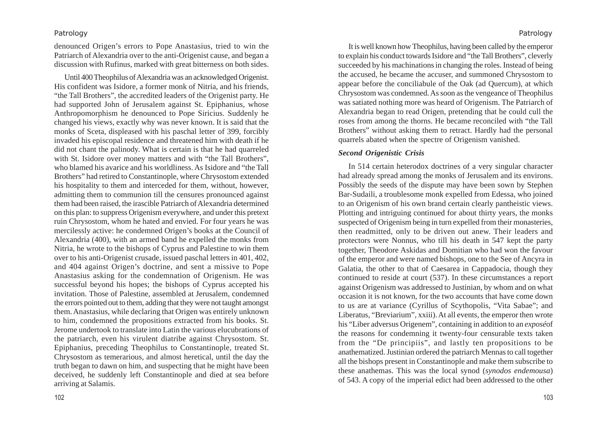denounced Origen's errors to Pope Anastasius, tried to win the Patriarch of Alexandria over to the anti-Origenist cause, and began a discussion with Rufinus, marked with great bitterness on both sides.

Until 400 Theophilus of Alexandria was an acknowledged Origenist. His confident was Isidore, a former monk of Nitria, and his friends, "the Tall Brothers", the accredited leaders of the Origenist party. He had supported John of Jerusalem against St. Epiphanius, whose Anthropomorphism he denounced to Pope Siricius. Suddenly he changed his views, exactly why was never known. It is said that the monks of Sceta, displeased with his paschal letter of 399, forcibly invaded his episcopal residence and threatened him with death if he did not chant the palinody. What is certain is that he had quarreled with St. Isidore over money matters and with "the Tall Brothers", who blamed his avarice and his worldliness. As Isidore and "the Tall Brothers" had retired to Constantinople, where Chrysostom extended his hospitality to them and interceded for them, without, however, admitting them to communion till the censures pronounced against them had been raised, the irascible Patriarch of Alexandria determined on this plan: to suppress Origenism everywhere, and under this pretext ruin Chrysostom, whom he hated and envied. For four years he was mercilessly active: he condemned Origen's books at the Council of Alexandria (400), with an armed band he expelled the monks from Nitria, he wrote to the bishops of Cyprus and Palestine to win them over to his anti-Origenist crusade, issued paschal letters in 401, 402, and 404 against Origen's doctrine, and sent a missive to Pope Anastasius asking for the condemnation of Origenism. He was successful beyond his hopes; the bishops of Cyprus accepted his invitation. Those of Palestine, assembled at Jerusalem, condemned the errors pointed out to them, adding that they were not taught amongst them. Anastasius, while declaring that Origen was entirely unknown to him, condemned the propositions extracted from his books. St. Jerome undertook to translate into Latin the various elucubrations of the patriarch, even his virulent diatribe against Chrysostom. St. Epiphanius, preceding Theophilus to Constantinople, treated St. Chrysostom as temerarious, and almost heretical, until the day the truth began to dawn on him, and suspecting that he might have been deceived, he suddenly left Constantinople and died at sea before arriving at Salamis.

It is well known how Theophilus, having been called by the emperor to explain his conduct towards Isidore and "the Tall Brothers", cleverly succeeded by his machinations in changing the roles. Instead of being the accused, he became the accuser, and summoned Chrysostom to appear before the conciliabule of the Oak (ad Quercum), at which Chrysostom was condemned. As soon as the vengeance of Theophilus was satiated nothing more was heard of Origenism. The Patriarch of Alexandria began to read Origen, pretending that he could cull the roses from among the thorns. He became reconciled with "the Tall Brothers" without asking them to retract. Hardly had the personal quarrels abated when the spectre of Origenism vanished.

#### *Second Origenistic Crisis*

In 514 certain heterodox doctrines of a very singular character had already spread among the monks of Jerusalem and its environs. Possibly the seeds of the dispute may have been sown by Stephen Bar-Sudaili, a troublesome monk expelled from Edessa, who joined to an Origenism of his own brand certain clearly pantheistic views. Plotting and intriguing continued for about thirty years, the monks suspected of Origenism being in turn expelled from their monasteries, then readmitted, only to be driven out anew. Their leaders and protectors were Nonnus, who till his death in 547 kept the party together, Theodore Askidas and Domitian who had won the favour of the emperor and were named bishops, one to the See of Ancyra in Galatia, the other to that of Caesarea in Cappadocia, though they continued to reside at court (537). In these circumstances a report against Origenism was addressed to Justinian, by whom and on what occasion it is not known, for the two accounts that have come down to us are at variance (Cyrillus of Scythopolis, "Vita Sabae"; and Liberatus, "Breviarium", xxiii). At all events, the emperor then wrote his "Liber adversus Origenem", containing in addition to an *exposé*of the reasons for condemning it twenty-four censurable texts taken from the "De principiis", and lastly ten propositions to be anathematized. Justinian ordered the patriarch Mennas to call together all the bishops present in Constantinople and make them subscribe to these anathemas. This was the local synod (*synodos endemousa*) of 543. A copy of the imperial edict had been addressed to the other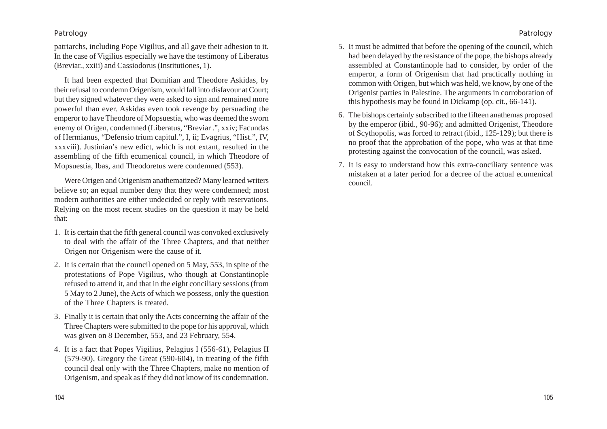patriarchs, including Pope Vigilius, and all gave their adhesion to it. In the case of Vigilius especially we have the testimony of Liberatus (Breviar., xxiii) and Cassiodorus (Institutiones, 1).

It had been expected that Domitian and Theodore Askidas, by their refusal to condemn Origenism, would fall into disfavour at Court; but they signed whatever they were asked to sign and remained more powerful than ever. Askidas even took revenge by persuading the emperor to have Theodore of Mopsuestia, who was deemed the sworn enemy of Origen, condemned (Liberatus, "Breviar .", xxiv; Facundas of Hermianus, "Defensio trium capitul.", I, ii; Evagrius, "Hist.", IV, xxxviii). Justinian's new edict, which is not extant, resulted in the assembling of the fifth ecumenical council, in which Theodore of Mopsuestia, Ibas, and Theodoretus were condemned (553).

Were Origen and Origenism anathematized? Many learned writers believe so; an equal number deny that they were condemned; most modern authorities are either undecided or reply with reservations. Relying on the most recent studies on the question it may be held that:

- 1. It is certain that the fifth general council was convoked exclusively to deal with the affair of the Three Chapters, and that neither Origen nor Origenism were the cause of it.
- 2. It is certain that the council opened on 5 May, 553, in spite of the protestations of Pope Vigilius, who though at Constantinople refused to attend it, and that in the eight conciliary sessions (from 5 May to 2 June), the Acts of which we possess, only the question of the Three Chapters is treated.
- 3. Finally it is certain that only the Acts concerning the affair of the Three Chapters were submitted to the pope for his approval, which was given on 8 December, 553, and 23 February, 554.
- 4. It is a fact that Popes Vigilius, Pelagius I (556-61), Pelagius II (579-90), Gregory the Great (590-604), in treating of the fifth council deal only with the Three Chapters, make no mention of Origenism, and speak as if they did not know of its condemnation.
- 5. It must be admitted that before the opening of the council, which had been delayed by the resistance of the pope, the bishops already assembled at Constantinople had to consider, by order of the emperor, a form of Origenism that had practically nothing in common with Origen, but which was held, we know, by one of the Origenist parties in Palestine. The arguments in corroboration of this hypothesis may be found in Dickamp (op. cit., 66-141).
- 6. The bishops certainly subscribed to the fifteen anathemas proposed by the emperor (ibid., 90-96); and admitted Origenist, Theodore of Scythopolis, was forced to retract (ibid., 125-129); but there is no proof that the approbation of the pope, who was at that time protesting against the convocation of the council, was asked.
- 7. It is easy to understand how this extra-conciliary sentence was mistaken at a later period for a decree of the actual ecumenical council.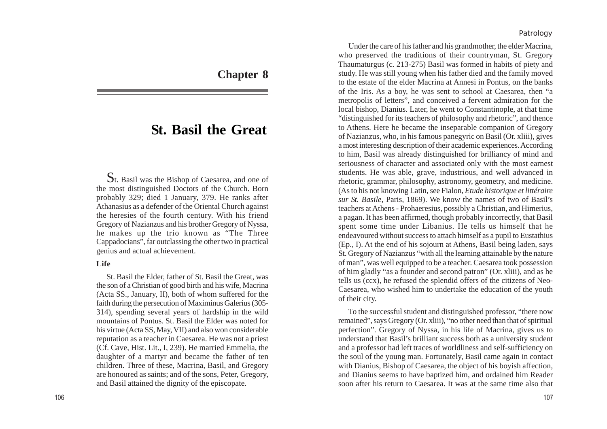## **Chapter 8**

# **St. Basil the Great**

St. Basil was the Bishop of Caesarea, and one of the most distinguished Doctors of the Church. Born probably 329; died 1 January, 379. He ranks after Athanasius as a defender of the Oriental Church against the heresies of the fourth century. With his friend Gregory of Nazianzus and his brother Gregory of Nyssa, he makes up the trio known as "The Three Cappadocians", far outclassing the other two in practical genius and actual achievement.

#### **Life**

St. Basil the Elder, father of St. Basil the Great, was the son of a Christian of good birth and his wife, Macrina (Acta SS., January, II), both of whom suffered for the faith during the persecution of Maximinus Galerius (305- 314), spending several years of hardship in the wild mountains of Pontus. St. Basil the Elder was noted for his virtue (Acta SS, May, VII) and also won considerable reputation as a teacher in Caesarea. He was not a priest (Cf. Cave, Hist. Lit., I, 239). He married Emmelia, the daughter of a martyr and became the father of ten children. Three of these, Macrina, Basil, and Gregory are honoured as saints; and of the sons, Peter, Gregory, and Basil attained the dignity of the episcopate.

Patrology

Under the care of his father and his grandmother, the elder Macrina, who preserved the traditions of their countryman, St. Gregory Thaumaturgus (c. 213-275) Basil was formed in habits of piety and study. He was still young when his father died and the family moved to the estate of the elder Macrina at Annesi in Pontus, on the banks of the Iris. As a boy, he was sent to school at Caesarea, then "a metropolis of letters", and conceived a fervent admiration for the local bishop, Dianius. Later, he went to Constantinople, at that time "distinguished for its teachers of philosophy and rhetoric", and thence to Athens. Here he became the inseparable companion of Gregory of Nazianzus, who, in his famous panegyric on Basil (Or. xliii), gives a most interesting description of their academic experiences. According to him, Basil was already distinguished for brilliancy of mind and seriousness of character and associated only with the most earnest students. He was able, grave, industrious, and well advanced in rhetoric, grammar, philosophy, astronomy, geometry, and medicine. (As to his not knowing Latin, see Fialon, *Etude historique et littéraire sur St. Basile*, Paris, 1869). We know the names of two of Basil's teachers at Athens - Prohaeresius, possibly a Christian, and Himerius, a pagan. It has been affirmed, though probably incorrectly, that Basil spent some time under Libanius. He tells us himself that he endeavoured without success to attach himself as a pupil to Eustathius (Ep., I). At the end of his sojourn at Athens, Basil being laden, says St. Gregory of Nazianzus "with all the learning attainable by the nature of man", was well equipped to be a teacher. Caesarea took possession of him gladly "as a founder and second patron" (Or. xliii), and as he tells us (ccx), he refused the splendid offers of the citizens of Neo-Caesarea, who wished him to undertake the education of the youth of their city.

To the successful student and distinguished professor, "there now remained", says Gregory (Or. xliii), "no other need than that of spiritual perfection". Gregory of Nyssa, in his life of Macrina, gives us to understand that Basil's brilliant success both as a university student and a professor had left traces of worldliness and self-sufficiency on the soul of the young man. Fortunately, Basil came again in contact with Dianius, Bishop of Caesarea, the object of his boyish affection, and Dianius seems to have baptized him, and ordained him Reader soon after his return to Caesarea. It was at the same time also that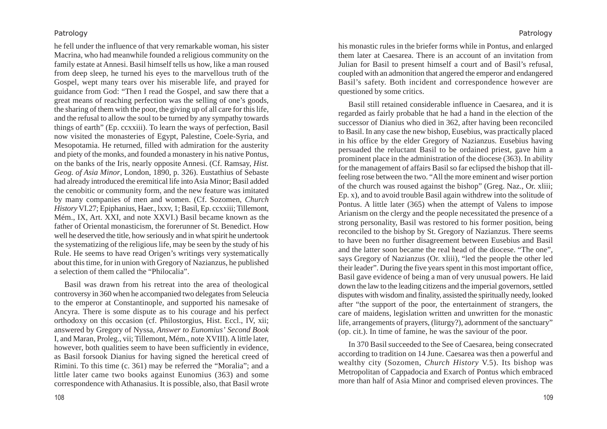he fell under the influence of that very remarkable woman, his sister Macrina, who had meanwhile founded a religious community on the family estate at Annesi. Basil himself tells us how, like a man roused from deep sleep, he turned his eyes to the marvellous truth of the Gospel, wept many tears over his miserable life, and prayed for guidance from God: "Then I read the Gospel, and saw there that a great means of reaching perfection was the selling of one's goods, the sharing of them with the poor, the giving up of all care for this life, and the refusal to allow the soul to be turned by any sympathy towards things of earth" (Ep. ccxxiii). To learn the ways of perfection, Basil now visited the monasteries of Egypt, Palestine, Coele-Syria, and Mesopotamia. He returned, filled with admiration for the austerity and piety of the monks, and founded a monastery in his native Pontus, on the banks of the Iris, nearly opposite Annesi. (Cf. Ramsay, *Hist. Geog. of Asia Minor*, London, 1890, p. 326). Eustathius of Sebaste had already introduced the eremitical life into Asia Minor; Basil added the cenobitic or community form, and the new feature was imitated by many companies of men and women. (Cf. Sozomen, *Church History* VI.27; Epiphanius, Haer., lxxv, 1; Basil, Ep. ccxxiii; Tillemont, Mém., IX, Art. XXI, and note XXVI.) Basil became known as the father of Oriental monasticism, the forerunner of St. Benedict. How well he deserved the title, how seriously and in what spirit he undertook the systematizing of the religious life, may be seen by the study of his Rule. He seems to have read Origen's writings very systematically about this time, for in union with Gregory of Nazianzus, he published a selection of them called the "Philocalia".

Basil was drawn from his retreat into the area of theological controversy in 360 when he accompanied two delegates from Seleucia to the emperor at Constantinople, and supported his namesake of Ancyra. There is some dispute as to his courage and his perfect orthodoxy on this occasion (cf. Philostorgius, Hist. Eccl., IV, xii; answered by Gregory of Nyssa, *Answer to Eunomius' Second Book* I, and Maran, Proleg., vii; Tillemont, Mém., note XVIII). A little later, however, both qualities seem to have been sufficiently in evidence, as Basil forsook Dianius for having signed the heretical creed of Rimini. To this time (c. 361) may be referred the "Moralia"; and a little later came two books against Eunomius (363) and some correspondence with Athanasius. It is possible, also, that Basil wrote

his monastic rules in the briefer forms while in Pontus, and enlarged them later at Caesarea. There is an account of an invitation from Julian for Basil to present himself a court and of Basil's refusal, coupled with an admonition that angered the emperor and endangered Basil's safety. Both incident and correspondence however are questioned by some critics.

Basil still retained considerable influence in Caesarea, and it is regarded as fairly probable that he had a hand in the election of the successor of Dianius who died in 362, after having been reconciled to Basil. In any case the new bishop, Eusebius, was practically placed in his office by the elder Gregory of Nazianzus. Eusebius having persuaded the reluctant Basil to be ordained priest, gave him a prominent place in the administration of the diocese (363). In ability for the management of affairs Basil so far eclipsed the bishop that illfeeling rose between the two. "All the more eminent and wiser portion of the church was roused against the bishop" (Greg. Naz., Or. xliii; Ep. x), and to avoid trouble Basil again withdrew into the solitude of Pontus. A little later (365) when the attempt of Valens to impose Arianism on the clergy and the people necessitated the presence of a strong personality, Basil was restored to his former position, being reconciled to the bishop by St. Gregory of Nazianzus. There seems to have been no further disagreement between Eusebius and Basil and the latter soon became the real head of the diocese. "The one", says Gregory of Nazianzus (Or. xliii), "led the people the other led their leader". During the five years spent in this most important office, Basil gave evidence of being a man of very unusual powers. He laid down the law to the leading citizens and the imperial governors, settled disputes with wisdom and finality, assisted the spiritually needy, looked after "the support of the poor, the entertainment of strangers, the care of maidens, legislation written and unwritten for the monastic life, arrangements of prayers, (liturgy?), adornment of the sanctuary" (op. cit.). In time of famine, he was the saviour of the poor.

In 370 Basil succeeded to the See of Caesarea, being consecrated according to tradition on 14 June. Caesarea was then a powerful and wealthy city (Sozomen, *Church History* V.5). Its bishop was Metropolitan of Cappadocia and Exarch of Pontus which embraced more than half of Asia Minor and comprised eleven provinces. The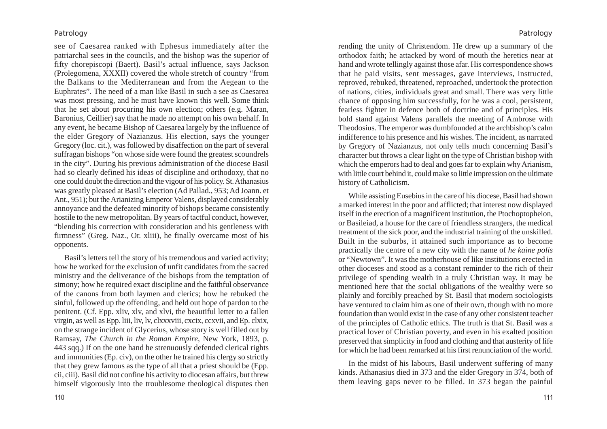see of Caesarea ranked with Ephesus immediately after the patriarchal sees in the councils, and the bishop was the superior of fifty chorepiscopi (Baert). Basil's actual influence, says Jackson (Prolegomena, XXXII) covered the whole stretch of country "from the Balkans to the Mediterranean and from the Aegean to the Euphrates". The need of a man like Basil in such a see as Caesarea was most pressing, and he must have known this well. Some think that he set about procuring his own election; others (e.g. Maran, Baronius, Ceillier) say that he made no attempt on his own behalf. In any event, he became Bishop of Caesarea largely by the influence of the elder Gregory of Nazianzus. His election, says the younger Gregory (loc. cit.), was followed by disaffection on the part of several suffragan bishops "on whose side were found the greatest scoundrels in the city". During his previous administration of the diocese Basil had so clearly defined his ideas of discipline and orthodoxy, that no one could doubt the direction and the vigour of his policy. St. Athanasius was greatly pleased at Basil's election (Ad Pallad., 953; Ad Joann. et Ant., 951); but the Arianizing Emperor Valens, displayed considerably annoyance and the defeated minority of bishops became consistently hostile to the new metropolitan. By years of tactful conduct, however, "blending his correction with consideration and his gentleness with firmness" (Greg. Naz., Or. xliii), he finally overcame most of his opponents.

Basil's letters tell the story of his tremendous and varied activity; how he worked for the exclusion of unfit candidates from the sacred ministry and the deliverance of the bishops from the temptation of simony; how he required exact discipline and the faithful observance of the canons from both laymen and clerics; how he rebuked the sinful, followed up the offending, and held out hope of pardon to the penitent. (Cf. Epp. xliv, xlv, and xlvi, the beautiful letter to a fallen virgin, as well as Epp. liii, liv, lv, clxxxviii, cxcix, ccxvii, and Ep. clxix, on the strange incident of Glycerius, whose story is well filled out by Ramsay, *The Church in the Roman Empire*, New York, 1893, p. 443 sqq.) If on the one hand he strenuously defended clerical rights and immunities (Ep. civ), on the other he trained his clergy so strictly that they grew famous as the type of all that a priest should be (Epp. cii, ciii). Basil did not confine his activity to diocesan affairs, but threw himself vigorously into the troublesome theological disputes then

#### Patrology

rending the unity of Christendom. He drew up a summary of the orthodox faith; he attacked by word of mouth the heretics near at hand and wrote tellingly against those afar. His correspondence shows that he paid visits, sent messages, gave interviews, instructed, reproved, rebuked, threatened, reproached, undertook the protection of nations, cities, individuals great and small. There was very little chance of opposing him successfully, for he was a cool, persistent, fearless fighter in defence both of doctrine and of principles. His bold stand against Valens parallels the meeting of Ambrose with Theodosius. The emperor was dumbfounded at the archbishop's calm indifference to his presence and his wishes. The incident, as narrated by Gregory of Nazianzus, not only tells much concerning Basil's character but throws a clear light on the type of Christian bishop with which the emperors had to deal and goes far to explain why Arianism, with little court behind it, could make so little impression on the ultimate history of Catholicism.

While assisting Eusebius in the care of his diocese, Basil had shown a marked interest in the poor and afflicted; that interest now displayed itself in the erection of a magnificent institution, the Ptochoptopheion, or Basileiad, a house for the care of friendless strangers, the medical treatment of the sick poor, and the industrial training of the unskilled. Built in the suburbs, it attained such importance as to become practically the centre of a new city with the name of *he kaine polis* or "Newtown". It was the motherhouse of like institutions erected in other dioceses and stood as a constant reminder to the rich of their privilege of spending wealth in a truly Christian way. It may be mentioned here that the social obligations of the wealthy were so plainly and forcibly preached by St. Basil that modern sociologists have ventured to claim him as one of their own, though with no more foundation than would exist in the case of any other consistent teacher of the principles of Catholic ethics. The truth is that St. Basil was a practical lover of Christian poverty, and even in his exalted position preserved that simplicity in food and clothing and that austerity of life for which he had been remarked at his first renunciation of the world.

In the midst of his labours, Basil underwent suffering of many kinds. Athanasius died in 373 and the elder Gregory in 374, both of them leaving gaps never to be filled. In 373 began the painful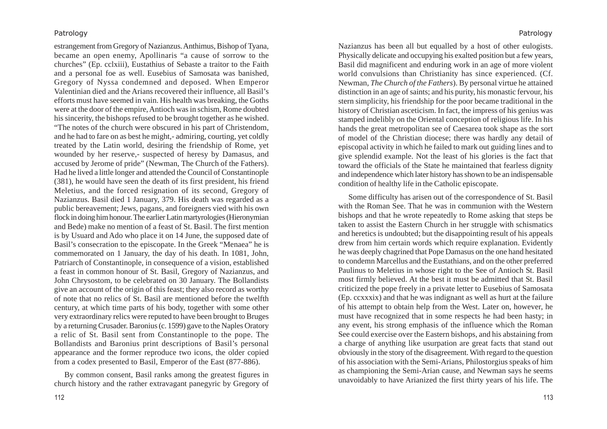estrangement from Gregory of Nazianzus. Anthimus, Bishop of Tyana, became an open enemy, Apollinaris "a cause of sorrow to the churches" (Ep. cclxiii), Eustathius of Sebaste a traitor to the Faith and a personal foe as well. Eusebius of Samosata was banished, Gregory of Nyssa condemned and deposed. When Emperor Valentinian died and the Arians recovered their influence, all Basil's efforts must have seemed in vain. His health was breaking, the Goths were at the door of the empire, Antioch was in schism, Rome doubted his sincerity, the bishops refused to be brought together as he wished. "The notes of the church were obscured in his part of Christendom, and he had to fare on as best he might,- admiring, courting, yet coldly treated by the Latin world, desiring the friendship of Rome, yet wounded by her reserve,- suspected of heresy by Damasus, and accused by Jerome of pride" (Newman, The Church of the Fathers). Had he lived a little longer and attended the Council of Constantinople (381), he would have seen the death of its first president, his friend Meletius, and the forced resignation of its second, Gregory of Nazianzus. Basil died 1 January, 379. His death was regarded as a public bereavement; Jews, pagans, and foreigners vied with his own flock in doing him honour. The earlier Latin martyrologies (Hieronymian and Bede) make no mention of a feast of St. Basil. The first mention is by Usuard and Ado who place it on 14 June, the supposed date of Basil's consecration to the episcopate. In the Greek "Menaea" he is commemorated on 1 January, the day of his death. In 1081, John, Patriarch of Constantinople, in consequence of a vision, established a feast in common honour of St. Basil, Gregory of Nazianzus, and John Chrysostom, to be celebrated on 30 January. The Bollandists give an account of the origin of this feast; they also record as worthy of note that no relics of St. Basil are mentioned before the twelfth century, at which time parts of his body, together with some other very extraordinary relics were reputed to have been brought to Bruges by a returning Crusader. Baronius (c. 1599) gave to the Naples Oratory a relic of St. Basil sent from Constantinople to the pope. The Bollandists and Baronius print descriptions of Basil's personal appearance and the former reproduce two icons, the older copied from a codex presented to Basil, Emperor of the East (877-886).

By common consent, Basil ranks among the greatest figures in church history and the rather extravagant panegyric by Gregory of

#### Patrology

Nazianzus has been all but equalled by a host of other eulogists. Physically delicate and occupying his exalted position but a few years, Basil did magnificent and enduring work in an age of more violent world convulsions than Christianity has since experienced. (Cf. Newman, *The Church of the Fathers*). By personal virtue he attained distinction in an age of saints; and his purity, his monastic fervour, his stern simplicity, his friendship for the poor became traditional in the history of Christian asceticism. In fact, the impress of his genius was stamped indelibly on the Oriental conception of religious life. In his hands the great metropolitan see of Caesarea took shape as the sort of model of the Christian diocese; there was hardly any detail of episcopal activity in which he failed to mark out guiding lines and to give splendid example. Not the least of his glories is the fact that toward the officials of the State he maintained that fearless dignity and independence which later history has shown to be an indispensable condition of healthy life in the Catholic episcopate.

Some difficulty has arisen out of the correspondence of St. Basil with the Roman See. That he was in communion with the Western bishops and that he wrote repeatedly to Rome asking that steps be taken to assist the Eastern Church in her struggle with schismatics and heretics is undoubted; but the disappointing result of his appeals drew from him certain words which require explanation. Evidently he was deeply chagrined that Pope Damasus on the one hand hesitated to condemn Marcellus and the Eustathians, and on the other preferred Paulinus to Meletius in whose right to the See of Antioch St. Basil most firmly believed. At the best it must be admitted that St. Basil criticized the pope freely in a private letter to Eusebius of Samosata (Ep. ccxxxix) and that he was indignant as well as hurt at the failure of his attempt to obtain help from the West. Later on, however, he must have recognized that in some respects he had been hasty; in any event, his strong emphasis of the influence which the Roman See could exercise over the Eastern bishops, and his abstaining from a charge of anything like usurpation are great facts that stand out obviously in the story of the disagreement. With regard to the question of his association with the Semi-Arians, Philostorgius speaks of him as championing the Semi-Arian cause, and Newman says he seems unavoidably to have Arianized the first thirty years of his life. The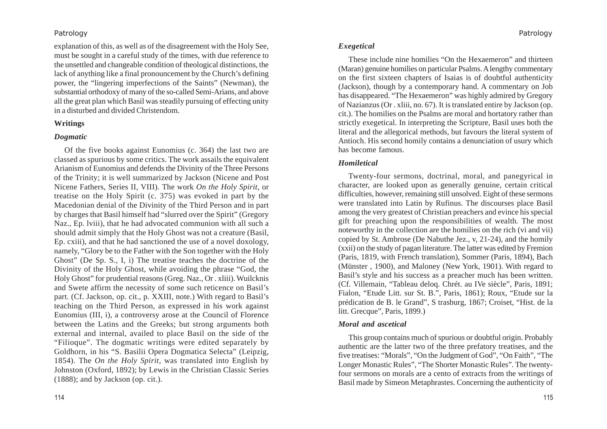#### Patrology

explanation of this, as well as of the disagreement with the Holy See, must be sought in a careful study of the times, with due reference to the unsettled and changeable condition of theological distinctions, the lack of anything like a final pronouncement by the Church's defining power, the "lingering imperfections of the Saints" (Newman), the substantial orthodoxy of many of the so-called Semi-Arians, and above all the great plan which Basil was steadily pursuing of effecting unity in a disturbed and divided Christendom.

#### **Writings**

#### *Dogmatic*

Of the five books against Eunomius (c. 364) the last two are classed as spurious by some critics. The work assails the equivalent Arianism of Eunomius and defends the Divinity of the Three Persons of the Trinity; it is well summarized by Jackson (Nicene and Post Nicene Fathers, Series II, VIII). The work *On the Holy Spirit*, or treatise on the Holy Spirit (c. 375) was evoked in part by the Macedonian denial of the Divinity of the Third Person and in part by charges that Basil himself had "slurred over the Spirit" (Gregory Naz., Ep. lviii), that he had advocated communion with all such a should admit simply that the Holy Ghost was not a creature (Basil, Ep. cxiii), and that he had sanctioned the use of a novel doxology, namely, "Glory be to the Father with the Son together with the Holy Ghost" (De Sp. S., I, i) The treatise teaches the doctrine of the Divinity of the Holy Ghost, while avoiding the phrase "God, the Holy Ghost" for prudential reasons (Greg. Naz., Or . xliii). Wuilcknis and Swete affirm the necessity of some such reticence on Basil's part. (Cf. Jackson, op. cit., p. XXIII, note.) With regard to Basil's teaching on the Third Person, as expressed in his work against Eunomius (III, i), a controversy arose at the Council of Florence between the Latins and the Greeks; but strong arguments both external and internal, availed to place Basil on the side of the "Filioque". The dogmatic writings were edited separately by Goldhorn, in his "S. Basilii Opera Dogmatica Selecta" (Leipzig, 1854). The *On the Holy Spirit*, was translated into English by Johnston (Oxford, 1892); by Lewis in the Christian Classic Series (1888); and by Jackson (op. cit.).

#### *Exegetical*

These include nine homilies "On the Hexaemeron" and thirteen (Maran) genuine homilies on particular Psalms. A lengthy commentary on the first sixteen chapters of Isaias is of doubtful authenticity (Jackson), though by a contemporary hand. A commentary on Job has disappeared. "The Hexaemeron" was highly admired by Gregory of Nazianzus (Or . xliii, no. 67). It is translated entire by Jackson (op. cit.). The homilies on the Psalms are moral and hortatory rather than strictly exegetical. In interpreting the Scripture, Basil uses both the literal and the allegorical methods, but favours the literal system of Antioch. His second homily contains a denunciation of usury which has become famous.

#### *Homiletical*

Twenty-four sermons, doctrinal, moral, and panegyrical in character, are looked upon as generally genuine, certain critical difficulties, however, remaining still unsolved. Eight of these sermons were translated into Latin by Rufinus. The discourses place Basil among the very greatest of Christian preachers and evince his special gift for preaching upon the responsibilities of wealth. The most noteworthy in the collection are the homilies on the rich (vi and vii) copied by St. Ambrose (De Nabuthe Jez., v, 21-24), and the homily (xxii) on the study of pagan literature. The latter was edited by Fremion (Paris, 1819, with French translation), Sommer (Paris, 1894), Bach (Münster , 1900), and Maloney (New York, 1901). With regard to Basil's style and his success as a preacher much has been written. (Cf. Villemain, "Tableau deloq. Chrét. au IVe siècle", Paris, 1891; Fialon, "Etude Litt. sur St. B.", Paris, 1861); Roux, "Etude sur la prédication de B. le Grand", S trasburg, 1867; Croiset, "Hist. de la litt. Grecque", Paris, 1899.)

#### *Moral and ascetical*

This group contains much of spurious or doubtful origin. Probably authentic are the latter two of the three prefatory treatises, and the five treatises: "Morals", "On the Judgment of God", "On Faith", "The Longer Monastic Rules", "The Shorter Monastic Rules". The twentyfour sermons on morals are a cento of extracts from the writings of Basil made by Simeon Metaphrastes. Concerning the authenticity of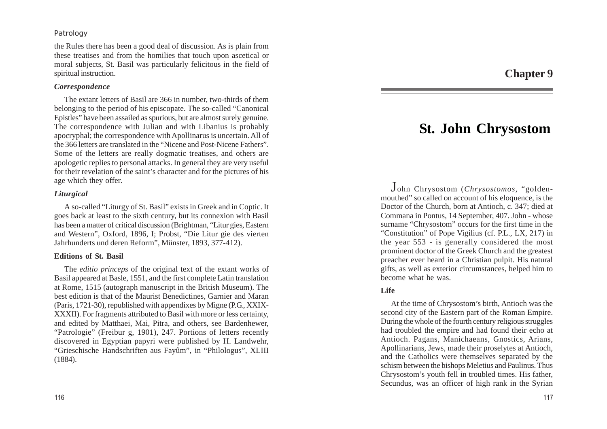the Rules there has been a good deal of discussion. As is plain from these treatises and from the homilies that touch upon ascetical or moral subjects, St. Basil was particularly felicitous in the field of spiritual instruction.

#### *Correspondence*

The extant letters of Basil are 366 in number, two-thirds of them belonging to the period of his episcopate. The so-called "Canonical Epistles" have been assailed as spurious, but are almost surely genuine. The correspondence with Julian and with Libanius is probably apocryphal; the correspondence with Apollinarus is uncertain. All of the 366 letters are translated in the "Nicene and Post-Nicene Fathers". Some of the letters are really dogmatic treatises, and others are apologetic replies to personal attacks. In general they are very useful for their revelation of the saint's character and for the pictures of his age which they offer.

#### *Liturgical*

A so-called "Liturgy of St. Basil" exists in Greek and in Coptic. It goes back at least to the sixth century, but its connexion with Basil has been a matter of critical discussion (Brightman, "Litur gies, Eastern and Western", Oxford, 1896, I; Probst, "Die Litur gie des vierten Jahrhunderts und deren Reform", Münster, 1893, 377-412).

#### **Editions of St. Basil**

The *editio princeps* of the original text of the extant works of Basil appeared at Basle, 1551, and the first complete Latin translation at Rome, 1515 (autograph manuscript in the British Museum). The best edition is that of the Maurist Benedictines, Garnier and Maran (Paris, 1721-30), republished with appendixes by Migne (P.G., XXIX-XXXII). For fragments attributed to Basil with more or less certainty, and edited by Matthaei, Mai, Pitra, and others, see Bardenhewer, "Patrologie" (Freibur g, 1901), 247. Portions of letters recently discovered in Egyptian papyri were published by H. Landwehr, "Grieschische Handschriften aus Fayûm", in "Philologus", XLIII (1884).

# **St. John Chrysostom**

John Chrysostom (*Chrysostomos*, "goldenmouthed" so called on account of his eloquence, is the Doctor of the Church, born at Antioch, c. 347; died at Commana in Pontus, 14 September, 407. John - whose surname "Chrysostom" occurs for the first time in the "Constitution" of Pope Vigilius (cf. P.L., LX, 217) in the year 553 - is generally considered the most prominent doctor of the Greek Church and the greatest preacher ever heard in a Christian pulpit. His natural gifts, as well as exterior circumstances, helped him to become what he was.

#### **Life**

At the time of Chrysostom's birth, Antioch was the second city of the Eastern part of the Roman Empire. During the whole of the fourth century religious struggles had troubled the empire and had found their echo at Antioch. Pagans, Manichaeans, Gnostics, Arians, Apollinarians, Jews, made their proselytes at Antioch, and the Catholics were themselves separated by the schism between the bishops Meletius and Paulinus. Thus Chrysostom's youth fell in troubled times. His father, Secundus, was an officer of high rank in the Syrian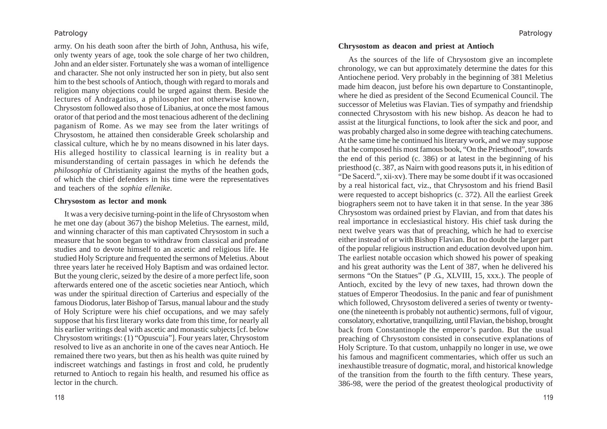#### Patrology

army. On his death soon after the birth of John, Anthusa, his wife, only twenty years of age, took the sole charge of her two children, John and an elder sister. Fortunately she was a woman of intelligence and character. She not only instructed her son in piety, but also sent him to the best schools of Antioch, though with regard to morals and religion many objections could be urged against them. Beside the lectures of Andragatius, a philosopher not otherwise known, Chrysostom followed also those of Libanius, at once the most famous orator of that period and the most tenacious adherent of the declining paganism of Rome. As we may see from the later writings of Chrysostom, he attained then considerable Greek scholarship and classical culture, which he by no means disowned in his later days. His alleged hostility to classical learning is in reality but a misunderstanding of certain passages in which he defends the *philosophia* of Christianity against the myths of the heathen gods, of which the chief defenders in his time were the representatives and teachers of the *sophia ellenike*.

#### **Chrysostom as lector and monk**

It was a very decisive turning-point in the life of Chrysostom when he met one day (about 367) the bishop Meletius. The earnest, mild, and winning character of this man captivated Chrysostom in such a measure that he soon began to withdraw from classical and profane studies and to devote himself to an ascetic and religious life. He studied Holy Scripture and frequented the sermons of Meletius. About three years later he received Holy Baptism and was ordained lector. But the young cleric, seized by the desire of a more perfect life, soon afterwards entered one of the ascetic societies near Antioch, which was under the spiritual direction of Carterius and especially of the famous Diodorus, later Bishop of Tarsus, manual labour and the study of Holy Scripture were his chief occupations, and we may safely suppose that his first literary works date from this time, for nearly all his earlier writings deal with ascetic and monastic subjects [cf. below Chrysostom writings: (1) "Opuscuia"]. Four years later, Chrysostom resolved to live as an anchorite in one of the caves near Antioch. He remained there two years, but then as his health was quite ruined by indiscreet watchings and fastings in frost and cold, he prudently returned to Antioch to regain his health, and resumed his office as lector in the church.

#### **Chrysostom as deacon and priest at Antioch**

As the sources of the life of Chrysostom give an incomplete chronology, we can but approximately determine the dates for this Antiochene period. Very probably in the beginning of 381 Meletius made him deacon, just before his own departure to Constantinople, where he died as president of the Second Ecumenical Council. The successor of Meletius was Flavian. Ties of sympathy and friendship connected Chrysostom with his new bishop. As deacon he had to assist at the liturgical functions, to look after the sick and poor, and was probably charged also in some degree with teaching catechumens. At the same time he continued his literary work, and we may suppose that he composed his most famous book, "On the Priesthood", towards the end of this period (c. 386) or at latest in the beginning of his priesthood (c. 387, as Nairn with good reasons puts it, in his edition of "De Sacerd.", xii-xv). There may be some doubt if it was occasioned by a real historical fact, viz., that Chrysostom and his friend Basil were requested to accept bishoprics (c. 372). All the earliest Greek biographers seem not to have taken it in that sense. In the year 386 Chrysostom was ordained priest by Flavian, and from that dates his real importance in ecclesiastical history. His chief task during the next twelve years was that of preaching, which he had to exercise either instead of or with Bishop Flavian. But no doubt the larger part of the popular religious instruction and education devolved upon him. The earliest notable occasion which showed his power of speaking and his great authority was the Lent of 387, when he delivered his sermons "On the Statues" (P .G., XLVIII, 15, xxx.). The people of Antioch, excited by the levy of new taxes, had thrown down the statues of Emperor Theodosius. In the panic and fear of punishment which followed, Chrysostom delivered a series of twenty or twentyone (the nineteenth is probably not authentic) sermons, full of vigour, consolatory, exhortative, tranquilizing, until Flavian, the bishop, brought back from Constantinople the emperor's pardon. But the usual preaching of Chrysostom consisted in consecutive explanations of Holy Scripture. To that custom, unhappily no longer in use, we owe his famous and magnificent commentaries, which offer us such an inexhaustible treasure of dogmatic, moral, and historical knowledge of the transition from the fourth to the fifth century. These years, 386-98, were the period of the greatest theological productivity of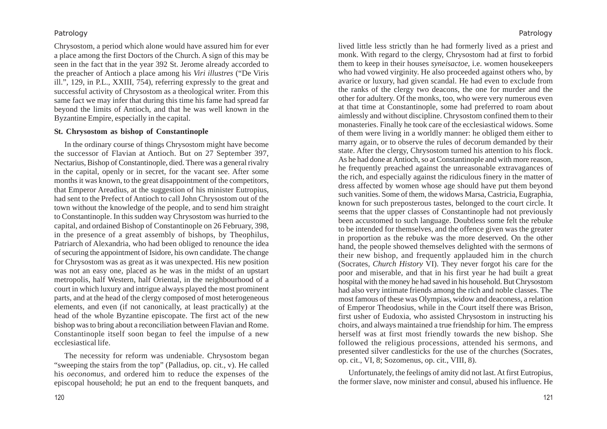Chrysostom, a period which alone would have assured him for ever a place among the first Doctors of the Church. A sign of this may be seen in the fact that in the year 392 St. Jerome already accorded to the preacher of Antioch a place among his *Viri illustres* ("De Viris ill.", 129, in P.L., XXIII, 754), referring expressly to the great and successful activity of Chrysostom as a theological writer. From this same fact we may infer that during this time his fame had spread far beyond the limits of Antioch, and that he was well known in the Byzantine Empire, especially in the capital.

#### **St. Chrysostom as bishop of Constantinople**

In the ordinary course of things Chrysostom might have become the successor of Flavian at Antioch. But on 27 September 397, Nectarius, Bishop of Constantinople, died. There was a general rivalry in the capital, openly or in secret, for the vacant see. After some months it was known, to the great disappointment of the competitors, that Emperor Areadius, at the suggestion of his minister Eutropius, had sent to the Prefect of Antioch to call John Chrysostom out of the town without the knowledge of the people, and to send him straight to Constantinople. In this sudden way Chrysostom was hurried to the capital, and ordained Bishop of Constantinople on 26 February, 398, in the presence of a great assembly of bishops, by Theophilus, Patriarch of Alexandria, who had been obliged to renounce the idea of securing the appointment of Isidore, his own candidate. The change for Chrysostom was as great as it was unexpected. His new position was not an easy one, placed as he was in the midst of an upstart metropolis, half Western, half Oriental, in the neighbourhood of a court in which luxury and intrigue always played the most prominent parts, and at the head of the clergy composed of most heterogeneous elements, and even (if not canonically, at least practically) at the head of the whole Byzantine episcopate. The first act of the new bishop was to bring about a reconciliation between Flavian and Rome. Constantinople itself soon began to feel the impulse of a new ecclesiastical life.

The necessity for reform was undeniable. Chrysostom began "sweeping the stairs from the top" (Palladius, op. cit., v). He called his *oeconomus*, and ordered him to reduce the expenses of the episcopal household; he put an end to the frequent banquets, and lived little less strictly than he had formerly lived as a priest and monk. With regard to the clergy, Chrysostom had at first to forbid them to keep in their houses *syneisactoe*, i.e. women housekeepers who had vowed virginity. He also proceeded against others who, by avarice or luxury, had given scandal. He had even to exclude from the ranks of the clergy two deacons, the one for murder and the other for adultery. Of the monks, too, who were very numerous even at that time at Constantinople, some had preferred to roam about aimlessly and without discipline. Chrysostom confined them to their monasteries. Finally he took care of the ecclesiastical widows. Some of them were living in a worldly manner: he obliged them either to marry again, or to observe the rules of decorum demanded by their state. After the clergy, Chrysostom turned his attention to his flock. As he had done at Antioch, so at Constantinople and with more reason, he frequently preached against the unreasonable extravagances of the rich, and especially against the ridiculous finery in the matter of dress affected by women whose age should have put them beyond such vanities. Some of them, the widows Marsa, Castricia, Eugraphia, known for such preposterous tastes, belonged to the court circle. It seems that the upper classes of Constantinople had not previously been accustomed to such language. Doubtless some felt the rebuke to be intended for themselves, and the offence given was the greater in proportion as the rebuke was the more deserved. On the other hand, the people showed themselves delighted with the sermons of their new bishop, and frequently applauded him in the church (Socrates, *Church History* VI). They never forgot his care for the poor and miserable, and that in his first year he had built a great hospital with the money he had saved in his household. But Chrysostom had also very intimate friends among the rich and noble classes. The most famous of these was Olympias, widow and deaconess, a relation of Emperor Theodosius, while in the Court itself there was Brison, first usher of Eudoxia, who assisted Chrysostom in instructing his choirs, and always maintained a true friendship for him. The empress herself was at first most friendly towards the new bishop. She followed the religious processions, attended his sermons, and presented silver candlesticks for the use of the churches (Socrates, op. cit., VI, 8; Sozomenus, op. cit., VIII, 8).

Unfortunately, the feelings of amity did not last. At first Eutropius, the former slave, now minister and consul, abused his influence. He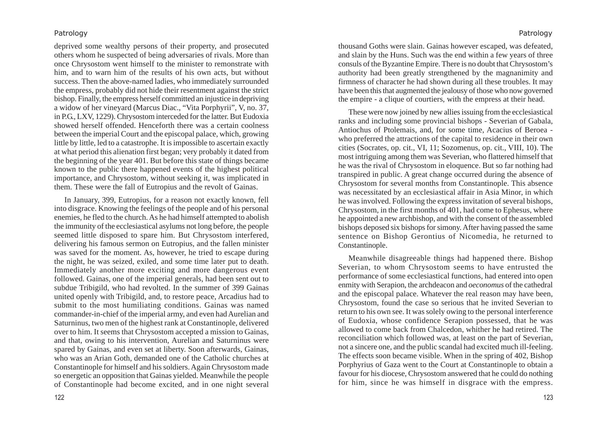deprived some wealthy persons of their property, and prosecuted others whom he suspected of being adversaries of rivals. More than once Chrysostom went himself to the minister to remonstrate with him, and to warn him of the results of his own acts, but without success. Then the above-named ladies, who immediately surrounded the empress, probably did not hide their resentment against the strict bishop. Finally, the empress herself committed an injustice in depriving a widow of her vineyard (Marcus Diac., "Vita Porphyrii", V, no. 37, in P.G., LXV, 1229). Chrysostom interceded for the latter. But Eudoxia showed herself offended. Henceforth there was a certain coolness between the imperial Court and the episcopal palace, which, growing little by little, led to a catastrophe. It is impossible to ascertain exactly at what period this alienation first began; very probably it dated from the beginning of the year 401. But before this state of things became known to the public there happened events of the highest political importance, and Chrysostom, without seeking it, was implicated in them. These were the fall of Eutropius and the revolt of Gainas.

In January, 399, Eutropius, for a reason not exactly known, fell into disgrace. Knowing the feelings of the people and of his personal enemies, he fled to the church. As he had himself attempted to abolish the immunity of the ecclesiastical asylums not long before, the people seemed little disposed to spare him. But Chrysostom interfered, delivering his famous sermon on Eutropius, and the fallen minister was saved for the moment. As, however, he tried to escape during the night, he was seized, exiled, and some time later put to death. Immediately another more exciting and more dangerous event followed. Gainas, one of the imperial generals, had been sent out to subdue Tribigild, who had revolted. In the summer of 399 Gainas united openly with Tribigild, and, to restore peace, Arcadius had to submit to the most humiliating conditions. Gainas was named commander-in-chief of the imperial army, and even had Aurelian and Saturninus, two men of the highest rank at Constantinople, delivered over to him. It seems that Chrysostom accepted a mission to Gainas, and that, owing to his intervention, Aurelian and Saturninus were spared by Gainas, and even set at liberty. Soon afterwards, Gainas, who was an Arian Goth, demanded one of the Catholic churches at Constantinople for himself and his soldiers. Again Chrysostom made so energetic an opposition that Gainas yielded. Meanwhile the people of Constantinople had become excited, and in one night several

thousand Goths were slain. Gainas however escaped, was defeated, and slain by the Huns. Such was the end within a few years of three consuls of the Byzantine Empire. There is no doubt that Chrysostom's authority had been greatly strengthened by the magnanimity and firmness of character he had shown during all these troubles. It may have been this that augmented the jealousy of those who now governed the empire - a clique of courtiers, with the empress at their head.

These were now joined by new allies issuing from the ecclesiastical ranks and including some provincial bishops - Severian of Gabala, Antiochus of Ptolemais, and, for some time, Acacius of Beroea who preferred the attractions of the capital to residence in their own cities (Socrates, op. cit., VI, 11; Sozomenus, op. cit., VIII, 10). The most intriguing among them was Severian, who flattered himself that he was the rival of Chrysostom in eloquence. But so far nothing had transpired in public. A great change occurred during the absence of Chrysostom for several months from Constantinople. This absence was necessitated by an ecclesiastical affair in Asia Minor, in which he was involved. Following the express invitation of several bishops, Chrysostom, in the first months of 401, had come to Ephesus, where he appointed a new archbishop, and with the consent of the assembled bishops deposed six bishops for simony. After having passed the same sentence on Bishop Gerontius of Nicomedia, he returned to Constantinople.

Meanwhile disagreeable things had happened there. Bishop Severian, to whom Chrysostom seems to have entrusted the performance of some ecclesiastical functions, had entered into open enmity with Serapion, the archdeacon and *oeconomus* of the cathedral and the episcopal palace. Whatever the real reason may have been, Chrysostom, found the case so serious that he invited Severian to return to his own see. It was solely owing to the personal interference of Eudoxia, whose confidence Serapion possessed, that he was allowed to come back from Chalcedon, whither he had retired. The reconciliation which followed was, at least on the part of Severian, not a sincere one, and the public scandal had excited much ill-feeling. The effects soon became visible. When in the spring of 402, Bishop Porphyrius of Gaza went to the Court at Constantinople to obtain a favour for his diocese, Chrysostom answered that he could do nothing for him, since he was himself in disgrace with the empress.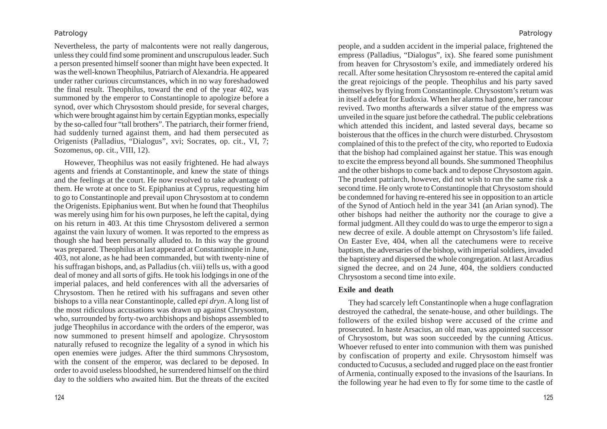Sozomenus, op. cit., VIII, 12).

Nevertheless, the party of malcontents were not really dangerous, unless they could find some prominent and unscrupulous leader. Such a person presented himself sooner than might have been expected. It was the well-known Theophilus, Patriarch of Alexandria. He appeared under rather curious circumstances, which in no way foreshadowed the final result. Theophilus, toward the end of the year 402, was summoned by the emperor to Constantinople to apologize before a synod, over which Chrysostom should preside, for several charges, which were brought against him by certain Egyptian monks, especially by the so-called four "tall brothers". The patriarch, their former friend, had suddenly turned against them, and had them persecuted as Origenists (Palladius, "Dialogus", xvi; Socrates, op. cit., VI, 7;

However, Theophilus was not easily frightened. He had always agents and friends at Constantinople, and knew the state of things and the feelings at the court. He now resolved to take advantage of them. He wrote at once to St. Epiphanius at Cyprus, requesting him to go to Constantinople and prevail upon Chrysostom at to condemn the Origenists. Epiphanius went. But when he found that Theophilus was merely using him for his own purposes, he left the capital, dying on his return in 403. At this time Chrysostom delivered a sermon against the vain luxury of women. It was reported to the empress as though she had been personally alluded to. In this way the ground was prepared. Theophilus at last appeared at Constantinople in June, 403, not alone, as he had been commanded, but with twenty-nine of his suffragan bishops, and, as Palladius (ch. viii) tells us, with a good deal of money and all sorts of gifts. He took his lodgings in one of the imperial palaces, and held conferences with all the adversaries of Chrysostom. Then he retired with his suffragans and seven other bishops to a villa near Constantinople, called *epi dryn*. A long list of the most ridiculous accusations was drawn up against Chrysostom, who, surrounded by forty-two archbishops and bishops assembled to judge Theophilus in accordance with the orders of the emperor, was now summoned to present himself and apologize. Chrysostom naturally refused to recognize the legality of a synod in which his open enemies were judges. After the third summons Chrysostom, with the consent of the emperor, was declared to be deposed. In order to avoid useless bloodshed, he surrendered himself on the third day to the soldiers who awaited him. But the threats of the excited

#### Patrology

people, and a sudden accident in the imperial palace, frightened the empress (Palladius, "Dialogus", ix). She feared some punishment from heaven for Chrysostom's exile, and immediately ordered his recall. After some hesitation Chrysostom re-entered the capital amid the great rejoicings of the people. Theophilus and his party saved themselves by flying from Constantinople. Chrysostom's return was in itself a defeat for Eudoxia. When her alarms had gone, her rancour revived. Two months afterwards a silver statue of the empress was unveiled in the square just before the cathedral. The public celebrations which attended this incident, and lasted several days, became so boisterous that the offices in the church were disturbed. Chrysostom complained of this to the prefect of the city, who reported to Eudoxia that the bishop had complained against her statue. This was enough to excite the empress beyond all bounds. She summoned Theophilus and the other bishops to come back and to depose Chrysostom again. The prudent patriarch, however, did not wish to run the same risk a second time. He only wrote to Constantinople that Chrysostom should be condemned for having re-entered his see in opposition to an article of the Synod of Antioch held in the year 341 (an Arian synod). The other bishops had neither the authority nor the courage to give a formal judgment. All they could do was to urge the emperor to sign a new decree of exile. A double attempt on Chrysostom's life failed. On Easter Eve, 404, when all the catechumens were to receive baptism, the adversaries of the bishop, with imperial soldiers, invaded the baptistery and dispersed the whole congregation. At last Arcadius signed the decree, and on 24 June, 404, the soldiers conducted Chrysostom a second time into exile.

#### **Exile and death**

They had scarcely left Constantinople when a huge conflagration destroyed the cathedral, the senate-house, and other buildings. The followers of the exiled bishop were accused of the crime and prosecuted. In haste Arsacius, an old man, was appointed successor of Chrysostom, but was soon succeeded by the cunning Atticus. Whoever refused to enter into communion with them was punished by confiscation of property and exile. Chrysostom himself was conducted to Cucusus, a secluded and rugged place on the east frontier of Armenia, continually exposed to the invasions of the Isaurians. In the following year he had even to fly for some time to the castle of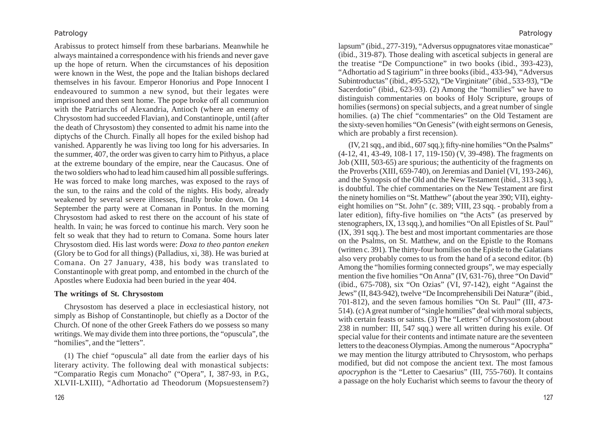Arabissus to protect himself from these barbarians. Meanwhile he always maintained a correspondence with his friends and never gave up the hope of return. When the circumstances of his deposition were known in the West, the pope and the Italian bishops declared themselves in his favour. Emperor Honorius and Pope Innocent I endeavoured to summon a new synod, but their legates were imprisoned and then sent home. The pope broke off all communion with the Patriarchs of Alexandria, Antioch (where an enemy of Chrysostom had succeeded Flavian), and Constantinople, until (after the death of Chrysostom) they consented to admit his name into the diptychs of the Church. Finally all hopes for the exiled bishop had vanished. Apparently he was living too long for his adversaries. In the summer, 407, the order was given to carry him to Pithyus, a place at the extreme boundary of the empire, near the Caucasus. One of the two soldiers who had to lead him caused him all possible sufferings. He was forced to make long marches, was exposed to the rays of the sun, to the rains and the cold of the nights. His body, already weakened by several severe illnesses, finally broke down. On 14 September the party were at Comanan in Pontus. In the morning Chrysostom had asked to rest there on the account of his state of health. In vain; he was forced to continue his march. Very soon he felt so weak that they had to return to Comana. Some hours later Chrysostom died. His last words were: *Doxa to theo panton eneken* (Glory be to God for all things) (Palladius, xi, 38). He was buried at Comana. On 27 January, 438, his body was translated to Constantinople with great pomp, and entombed in the church of the Apostles where Eudoxia had been buried in the year 404.

#### **The writings of St. Chrysostom**

Chrysostom has deserved a place in ecclesiastical history, not simply as Bishop of Constantinople, but chiefly as a Doctor of the Church. Of none of the other Greek Fathers do we possess so many writings. We may divide them into three portions, the "opuscula", the "homilies", and the "letters".

(1) The chief "opuscula" all date from the earlier days of his literary activity. The following deal with monastical subjects: "Comparatio Regis cum Monacho" ("Opera", I, 387-93, in P.G., XLVII-LXIII), "Adhortatio ad Theodorum (Mopsuestensem?) lapsum" (ibid., 277-319), "Adversus oppugnatores vitae monasticae" (ibid., 319-87). Those dealing with ascetical subjects in general are the treatise "De Compunctione" in two books (ibid., 393-423), "Adhortatio ad S tagirium" in three books (ibid., 433-94), "Adversus Subintroductas" (ibid., 495-532), "De Virginitate" (ibid., 533-93), "De Sacerdotio" (ibid., 623-93). (2) Among the "homilies" we have to distinguish commentaries on books of Holy Scripture, groups of homilies (sermons) on special subjects, and a great number of single homilies. (a) The chief "commentaries" on the Old Testament are the sixty-seven homilies "On Genesis" (with eight sermons on Genesis, which are probably a first recension).

(IV, 21 sqq., and ibid., 607 sqq.); fifty-nine homilies "On the Psalms" (4-12, 41, 43-49, 108-1 17, 119-150) (V, 39-498). The fragments on Job (XIII, 503-65) are spurious; the authenticity of the fragments on the Proverbs (XIII, 659-740), on Jeremias and Daniel (VI, 193-246), and the Synopsis of the Old and the New Testament (ibid., 313 sqq.), is doubtful. The chief commentaries on the New Testament are first the ninety homilies on "St. Matthew" (about the year 390; VII), eightyeight homilies on "St. John" (c. 389; VIII, 23 sqq. - probably from a later edition), fifty-five homilies on "the Acts" (as preserved by stenographers, IX, 13 sqq.), and homilies "On all Epistles of St. Paul" (IX, 391 sqq.). The best and most important commentaries are those on the Psalms, on St. Matthew, and on the Epistle to the Romans (written c. 391). The thirty-four homilies on the Epistle to the Galatians also very probably comes to us from the hand of a second editor. (b) Among the "homilies forming connected groups", we may especially mention the five homilies "On Anna" (IV, 631-76), three "On David" (ibid., 675-708), six "On Ozias" (VI, 97-142), eight "Against the Jews" (II, 843-942), twelve "De Incomprehensibili Dei Naturæ" (ibid., 701-812), and the seven famous homilies "On St. Paul" (III, 473- 514). (c) A great number of "single homilies" deal with moral subjects, with certain feasts or saints. (3) The "Letters" of Chrysostom (about 238 in number: III, 547 sqq.) were all written during his exile. Of special value for their contents and intimate nature are the seventeen letters to the deaconess Olympias. Among the numerous "Apocrypha" we may mention the liturgy attributed to Chrysostom, who perhaps modified, but did not compose the ancient text. The most famous *apocryphon* is the "Letter to Caesarius" (III, 755-760). It contains a passage on the holy Eucharist which seems to favour the theory of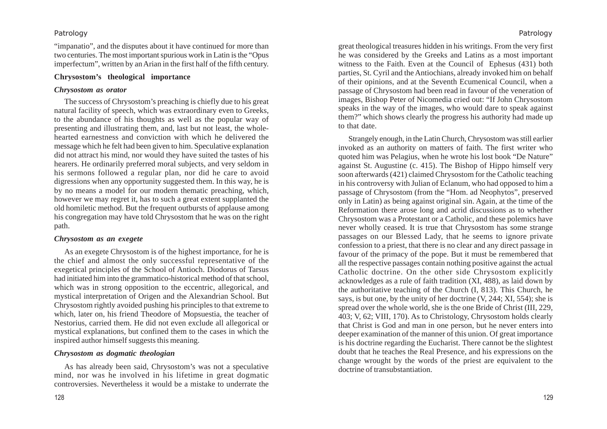"impanatio", and the disputes about it have continued for more than two centuries. The most important spurious work in Latin is the "Opus imperfectum", written by an Arian in the first half of the fifth century.

#### **Chrysostom's theological importance**

#### *Chrysostom as orator*

The success of Chrysostom's preaching is chiefly due to his great natural facility of speech, which was extraordinary even to Greeks, to the abundance of his thoughts as well as the popular way of presenting and illustrating them, and, last but not least, the wholehearted earnestness and conviction with which he delivered the message which he felt had been given to him. Speculative explanation did not attract his mind, nor would they have suited the tastes of his hearers. He ordinarily preferred moral subjects, and very seldom in his sermons followed a regular plan, nor did he care to avoid digressions when any opportunity suggested them. In this way, he is by no means a model for our modern thematic preaching, which, however we may regret it, has to such a great extent supplanted the old homiletic method. But the frequent outbursts of applause among his congregation may have told Chrysostom that he was on the right path.

#### *Chrysostom as an exegete*

As an exegete Chrysostom is of the highest importance, for he is the chief and almost the only successful representative of the exegetical principles of the School of Antioch. Diodorus of Tarsus had initiated him into the grammatico-historical method of that school, which was in strong opposition to the eccentric, allegorical, and mystical interpretation of Origen and the Alexandrian School. But Chrysostom rightly avoided pushing his principles to that extreme to which, later on, his friend Theodore of Mopsuestia, the teacher of Nestorius, carried them. He did not even exclude all allegorical or mystical explanations, but confined them to the cases in which the inspired author himself suggests this meaning.

#### *Chrysostom as dogmatic theologian*

As has already been said, Chrysostom's was not a speculative mind, nor was he involved in his lifetime in great dogmatic controversies. Nevertheless it would be a mistake to underrate the great theological treasures hidden in his writings. From the very first he was considered by the Greeks and Latins as a most important witness to the Faith. Even at the Council of Ephesus (431) both parties, St. Cyril and the Antiochians, already invoked him on behalf of their opinions, and at the Seventh Ecumenical Council, when a passage of Chrysostom had been read in favour of the veneration of images, Bishop Peter of Nicomedia cried out: "If John Chrysostom speaks in the way of the images, who would dare to speak against them?" which shows clearly the progress his authority had made up to that date.

Strangely enough, in the Latin Church, Chrysostom was still earlier invoked as an authority on matters of faith. The first writer who quoted him was Pelagius, when he wrote his lost book "De Nature" against St. Augustine (c. 415). The Bishop of Hippo himself very soon afterwards (421) claimed Chrysostom for the Catholic teaching in his controversy with Julian of Eclanum, who had opposed to him a passage of Chrysostom (from the "Hom. ad Neophytos", preserved only in Latin) as being against original sin. Again, at the time of the Reformation there arose long and acrid discussions as to whether Chrysostom was a Protestant or a Catholic, and these polemics have never wholly ceased. It is true that Chrysostom has some strange passages on our Blessed Lady, that he seems to ignore private confession to a priest, that there is no clear and any direct passage in favour of the primacy of the pope. But it must be remembered that all the respective passages contain nothing positive against the actual Catholic doctrine. On the other side Chrysostom explicitly acknowledges as a rule of faith tradition (XI, 488), as laid down by the authoritative teaching of the Church (I, 813). This Church, he says, is but one, by the unity of her doctrine (V, 244; XI, 554); she is spread over the whole world, she is the one Bride of Christ (III, 229, 403; V, 62; VIII, 170). As to Christology, Chrysostom holds clearly that Christ is God and man in one person, but he never enters into deeper examination of the manner of this union. Of great importance is his doctrine regarding the Eucharist. There cannot be the slightest doubt that he teaches the Real Presence, and his expressions on the change wrought by the words of the priest are equivalent to the doctrine of transubstantiation.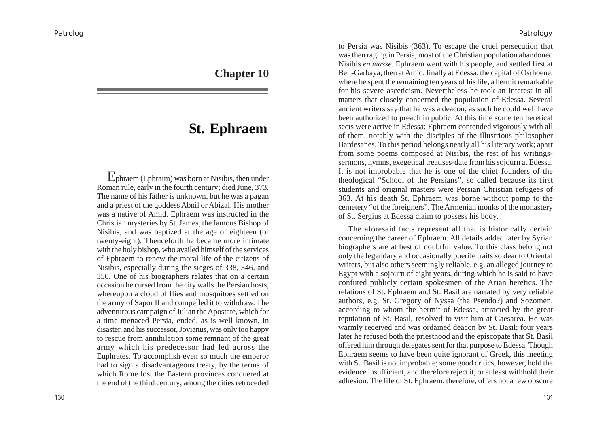### **Chapter 10**

# **St. Ephraem**

Ephraem (Ephraim) was born at Nisibis, then under Roman rule, early in the fourth century; died June, 373. The name of his father is unknown, but he was a pagan and a priest of the goddess Abnil or Abizal. His mother was a native of Amid. Ephraem was instructed in the Christian mysteries by St. James, the famous Bishop of Nisibis, and was baptized at the age of eighteen (or twenty-eight). Thenceforth he became more intimate with the holy bishop, who availed himself of the services of Ephraem to renew the moral life of the citizens of Nisibis, especially during the sieges of 338, 346, and 350. One of his biographers relates that on a certain occasion he cursed from the city walls the Persian hosts, whereupon a cloud of flies and mosquitoes settled on the army of Sapor II and compelled it to withdraw. The adventurous campaign of Julian the Apostate, which for a time menaced Persia, ended, as is well known, in disaster, and his successor, Jovianus, was only too happy to rescue from annihilation some remnant of the great army which his predecessor had led across the Euphrates. To accomplish even so much the emperor had to sign a disadvantageous treaty, by the terms of which Rome lost the Eastern provinces conquered at the end of the third century; among the cities retroceded

to Persia was Nisibis (363). To escape the cruel persecution that was then raging in Persia, most of the Christian population abandoned Nisibis *en masse.* Ephraem went with his people, and settled first at Beit-Garbaya, then at Amid, finally at Edessa, the capital of Osrhoene, where he spent the remaining ten years of his life, a hermit remarkable for his severe asceticism. Nevertheless he took an interest in all matters that closely concerned the population of Edessa. Several ancient writers say that he was a deacon; as such he could well have been authorized to preach in public. At this time some ten heretical sects were active in Edessa; Ephraem contended vigorously with all of them, notably with the disciples of the illustrious philosopher Bardesanes. To this period belongs nearly all his literary work; apart from some poems composed at Nisibis, the rest of his writingssermons, hymns, exegetical treatises-date from his sojourn at Edessa. It is not improbable that he is one of the chief founders of the theological "School of the Persians", so called because its first students and original masters were Persian Christian refugees of 363. At his death St. Ephraem was borne without pomp to the cemetery "of the foreigners". The Armenian monks of the monastery of St. Sergius at Edessa claim to possess his body.

The aforesaid facts represent all that is historically certain concerning the career of Ephraem. All details added later by Syrian biographers are at best of doubtful value. To this class belong not only the legendary and occasionally puerile traits so dear to Oriental writers, but also others seemingly reliable, e.g. an alleged journey to Egypt with a sojourn of eight years, during which he is said to have confuted publicly certain spokesmen of the Arian heretics. The relations of St. Ephraem and St. Basil are narrated by very reliable authors, e.g. St. Gregory of Nyssa (the Pseudo?) and Sozomen, according to whom the hermit of Edessa, attracted by the great reputation of St. Basil, resolved to visit him at Caesarea. He was warmly received and was ordained deacon by St. Basil; four years later he refused both the priesthood and the episcopate that St. Basil offered him through delegates sent for that purpose to Edessa. Though Ephraem seems to have been quite ignorant of Greek, this meeting with St. Basil is not improbable; some good critics, however, hold the evidence insufficient, and therefore reject it, or at least withhold their adhesion. The life of St. Ephraem, therefore, offers not a few obscure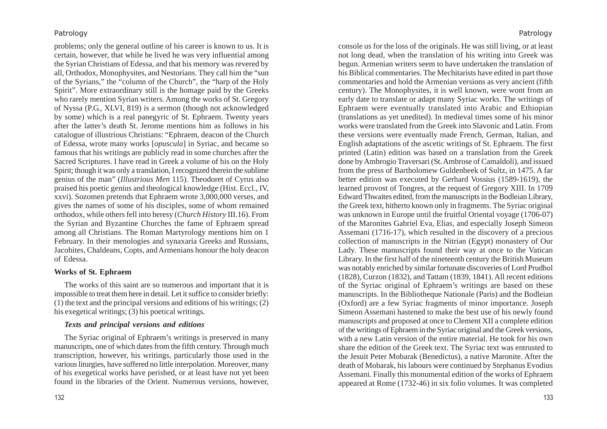problems; only the general outline of his career is known to us. It is certain, however, that while he lived he was very influential among the Syrian Christians of Edessa, and that his memory was revered by all, Orthodox, Monophysites, and Nestorians. They call him the "sun of the Syrians," the "column of the Church", the "harp of the Holy Spirit". More extraordinary still is the homage paid by the Greeks who rarely mention Syrian writers. Among the works of St. Gregory of Nyssa (P.G., XLVI, 819) is a sermon (though not acknowledged by some) which is a real panegyric of St. Ephraem. Twenty years after the latter's death St. Jerome mentions him as follows in his catalogue of illustrious Christians: "Ephraem, deacon of the Church of Edessa, wrote many works [*opuscula*] in Syriac, and became so famous that his writings are publicly read in some churches after the Sacred Scriptures. I have read in Greek a volume of his on the Holy Spirit; though it was only a translation, I recognized therein the sublime genius of the man" (*Illustrious Men* 115). Theodoret of Cyrus also praised his poetic genius and theological knowledge (Hist. Eccl., IV, xxvi). Sozomen pretends that Ephraem wrote 3,000,000 verses, and gives the names of some of his disciples, some of whom remained orthodox, while others fell into heresy (*Church History* III.16). From the Syrian and Byzantine Churches the fame of Ephraem spread among all Christians. The Roman Martyrology mentions him on 1 February. In their menologies and synaxaria Greeks and Russians, Jacobites, Chaldeans, Copts, and Armenians honour the holy deacon of Edessa.

#### **Works of St. Ephraem**

The works of this saint are so numerous and important that it is impossible to treat them here in detail. Let it suffice to consider briefly: (1) the text and the principal versions and editions of his writings; (2) his exegetical writings; (3) his poetical writings.

### *Texts and principal versions and editions*

The Syriac original of Ephraem's writings is preserved in many manuscripts, one of which dates from the fifth century. Through much transcription, however, his writings, particularly those used in the various liturgies, have suffered no little interpolation. Moreover, many of his exegetical works have perished, or at least have not yet been found in the libraries of the Orient. Numerous versions, however,

### Patrology

console us for the loss of the originals. He was still living, or at least not long dead, when the translation of his writing into Greek was begun. Armenian writers seem to have undertaken the translation of his Biblical commentaries. The Mechitarists have edited in part those commentaries and hold the Armenian versions as very ancient (fifth century). The Monophysites, it is well known, were wont from an early date to translate or adapt many Syriac works. The writings of Ephraem were eventually translated into Arabic and Ethiopian (translations as yet unedited). In medieval times some of his minor works were translated from the Greek into Slavonic and Latin. From these versions were eventually made French, German, Italian, and English adaptations of the ascetic writings of St. Ephraem. The first printed (Latin) edition was based on a translation from the Greek done by Ambrogio Traversari (St. Ambrose of Camaldoli), and issued from the press of Bartholomew Guldenbeek of Sultz, in 1475. A far better edition was executed by Gerhard Vossius (1589-1619), the learned provost of Tongres, at the request of Gregory XIII. In 1709 Edward Thwaites edited, from the manuscripts in the Bodleian Library, the Greek text, hitherto known only in fragments. The Syriac original was unknown in Europe until the fruitful Oriental voyage (1706-07) of the Maronites Gabriel Eva, Elias, and especially Joseph Simeon Assemani (1716-17), which resulted in the discovery of a precious collection of manuscripts in the Nitrian (Egypt) monastery of Our Lady. These manuscripts found their way at once to the Vatican Library. In the first half of the nineteenth century the British Museum was notably enriched by similar fortunate discoveries of Lord Prudhol (1828), Curzon (1832), and Tattam (1839, 1841). All recent editions of the Syriac original of Ephraem's writings are based on these manuscripts. In the Bibliotheque Nationale (Paris) and the Bodleian (Oxford) are a few Syriac fragments of minor importance. Joseph Simeon Assemani hastened to make the best use of his newly found manuscripts and proposed at once to Clement XII a complete edition of the writings of Ephraem in the Syriac original and the Greek versions, with a new Latin version of the entire material. He took for his own share the edition of the Greek text. The Syriac text was entrusted to the Jesuit Peter Mobarak (Benedictus), a native Maronite. After the death of Mobarak, his labours were continued by Stephanus Evodius Assemani. Finally this monumental edition of the works of Ephraem appeared at Rome (1732-46) in six folio volumes. It was completed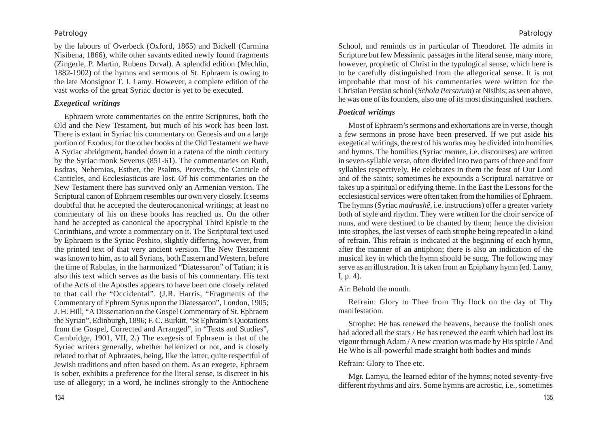by the labours of Overbeck (Oxford, 1865) and Bickell (Carmina Nisibena, 1866), while other savants edited newly found fragments (Zingerle, P. Martin, Rubens Duval). A splendid edition (Mechlin, 1882-1902) of the hymns and sermons of St. Ephraem is owing to the late Monsignor T. J. Lamy. However, a complete edition of the vast works of the great Syriac doctor is yet to be executed.

#### *Exegetical writings*

Ephraem wrote commentaries on the entire Scriptures, both the Old and the New Testament, but much of his work has been lost. There is extant in Syriac his commentary on Genesis and on a large portion of Exodus; for the other books of the Old Testament we have A Syriac abridgment, handed down in a catena of the ninth century by the Syriac monk Severus (851-61). The commentaries on Ruth, Esdras, Nehemias, Esther, the Psalms, Proverbs, the Canticle of Canticles, and Ecclesiasticus are lost. Of his commentaries on the New Testament there has survived only an Armenian version. The Scriptural canon of Ephraem resembles our own very closely. It seems doubtful that he accepted the deuterocanonical writings; at least no commentary of his on these books has reached us. On the other hand he accepted as canonical the apocryphal Third Epistle to the Corinthians, and wrote a commentary on it. The Scriptural text used by Ephraem is the Syriac Peshito, slightly differing, however, from the printed text of that very ancient version. The New Testament was known to him, as to all Syrians, both Eastern and Western, before the time of Rabulas, in the harmonized "Diatessaron" of Tatian; it is also this text which serves as the basis of his commentary. His text of the Acts of the Apostles appears to have been one closely related to that call the "Occidental". (J.R. Harris, "Fragments of the Commentary of Ephrem Syrus upon the Diatessaron", London, 1905; J. H. Hill, "A Dissertation on the Gospel Commentary of St. Ephraem the Syrian", Edinburgh, 1896; F. C. Burkitt, "St Ephraim's Quotations from the Gospel, Corrected and Arranged", in "Texts and Studies", Cambridge, 1901, VII, 2.) The exegesis of Ephraem is that of the Syriac writers generally, whether hellenized or not, and is closely related to that of Aphraates, being, like the latter, quite respectful of Jewish traditions and often based on them. As an exegete, Ephraem is sober, exhibits a preference for the literal sense, is discreet in his use of allegory; in a word, he inclines strongly to the Antiochene

School, and reminds us in particular of Theodoret. He admits in Scripture but few Messianic passages in the literal sense, many more, however, prophetic of Christ in the typological sense, which here is to be carefully distinguished from the allegorical sense. It is not improbable that most of his commentaries were written for the Christian Persian school (*Schola Persarum*) at Nisibis; as seen above, he was one of its founders, also one of its most distinguished teachers.

### *Poetical writings*

Most of Ephraem's sermons and exhortations are in verse, though a few sermons in prose have been preserved. If we put aside his exegetical writings, the rest of his works may be divided into homilies and hymns. The homilies (Syriac *memre*, i.e. discourses) are written in seven-syllable verse, often divided into two parts of three and four syllables respectively. He celebrates in them the feast of Our Lord and of the saints; sometimes he expounds a Scriptural narrative or takes up a spiritual or edifying theme. In the East the Lessons for the ecclesiastical services were often taken from the homilies of Ephraem. The hymns (Syriac *madrashê*, i.e. instructions) offer a greater variety both of style and rhythm. They were written for the choir service of nuns, and were destined to be chanted by them; hence the division into strophes, the last verses of each strophe being repeated in a kind of refrain. This refrain is indicated at the beginning of each hymn, after the manner of an antiphon; there is also an indication of the musical key in which the hymn should be sung. The following may serve as an illustration. It is taken from an Epiphany hymn (ed. Lamy, I, p. 4).

Air: Behold the month.

Refrain: Glory to Thee from Thy flock on the day of Thy manifestation.

Strophe: He has renewed the heavens, because the foolish ones had adored all the stars / He has renewed the earth which had lost its vigour through Adam / A new creation was made by His spittle / And He Who is all-powerful made straight both bodies and minds

### Refrain: Glory to Thee etc.

Mgr. Lamyu, the learned editor of the hymns; noted seventy-five different rhythms and airs. Some hymns are acrostic, i.e., sometimes